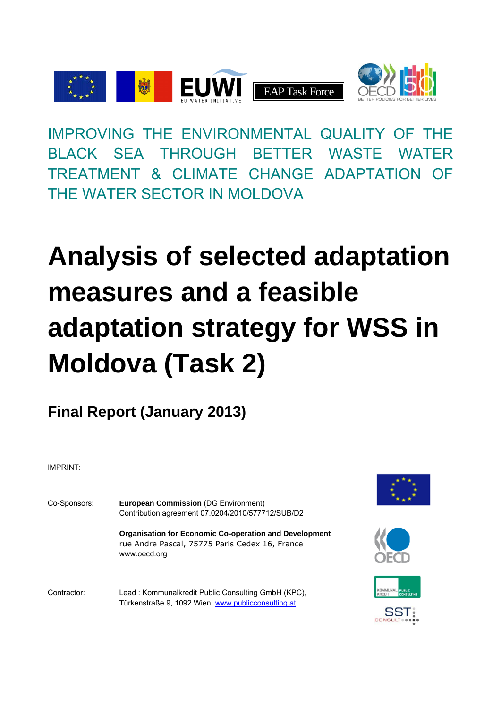

IMPROVING THE ENVIRONMENTAL QUALITY OF THE BLACK SEA THROUGH BETTER WASTE WATER TREATMENT & CLIMATE CHANGE ADAPTATION OF THE WATER SECTOR IN MOLDOVA

# **Analysis of selected adaptation measures and a feasible adaptation strategy for WSS in Moldova (Task 2)**

**Final Report (January 2013)** 

IMPRINT:

| Co-Sponsors: | <b>European Commission (DG Environment)</b><br>Contribution agreement 07.0204/2010/577712/SUB/D2                                |  |  |  |
|--------------|---------------------------------------------------------------------------------------------------------------------------------|--|--|--|
|              | <b>Organisation for Economic Co-operation and Development</b><br>rue Andre Pascal, 75775 Paris Cedex 16, France<br>www.oecd.org |  |  |  |
| Contractor:  | Lead: Kommunalkredit Public Consulting GmbH (KPC),<br>Türkenstraße 9, 1092 Wien, www.publicconsulting.at.                       |  |  |  |







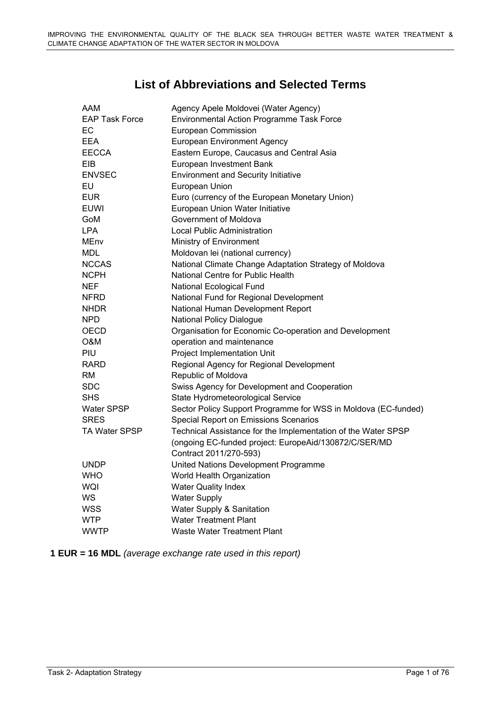# **List of Abbreviations and Selected Terms**

| AAM                   | Agency Apele Moldovei (Water Agency)                           |
|-----------------------|----------------------------------------------------------------|
| <b>EAP Task Force</b> | Environmental Action Programme Task Force                      |
| EC                    | <b>European Commission</b>                                     |
| EEA                   | <b>European Environment Agency</b>                             |
| <b>EECCA</b>          | Eastern Europe, Caucasus and Central Asia                      |
| EIB                   | European Investment Bank                                       |
| <b>ENVSEC</b>         | <b>Environment and Security Initiative</b>                     |
| EU                    | European Union                                                 |
| <b>EUR</b>            | Euro (currency of the European Monetary Union)                 |
| EUWI                  | European Union Water Initiative                                |
| GoM                   | Government of Moldova                                          |
| <b>LPA</b>            | <b>Local Public Administration</b>                             |
| MEnv                  | Ministry of Environment                                        |
| <b>MDL</b>            | Moldovan lei (national currency)                               |
| <b>NCCAS</b>          | National Climate Change Adaptation Strategy of Moldova         |
| <b>NCPH</b>           | National Centre for Public Health                              |
| <b>NEF</b>            | National Ecological Fund                                       |
| <b>NFRD</b>           | National Fund for Regional Development                         |
| <b>NHDR</b>           | National Human Development Report                              |
| <b>NPD</b>            | <b>National Policy Dialogue</b>                                |
| <b>OECD</b>           | Organisation for Economic Co-operation and Development         |
| O&M                   | operation and maintenance                                      |
| PIU                   | Project Implementation Unit                                    |
| <b>RARD</b>           | Regional Agency for Regional Development                       |
| RM                    | Republic of Moldova                                            |
| <b>SDC</b>            | Swiss Agency for Development and Cooperation                   |
| <b>SHS</b>            | State Hydrometeorological Service                              |
| Water SPSP            | Sector Policy Support Programme for WSS in Moldova (EC-funded) |
| <b>SRES</b>           | Special Report on Emissions Scenarios                          |
| <b>TA Water SPSP</b>  | Technical Assistance for the Implementation of the Water SPSP  |
|                       | (ongoing EC-funded project: EuropeAid/130872/C/SER/MD          |
|                       | Contract 2011/270-593)                                         |
| <b>UNDP</b>           | United Nations Development Programme                           |
| <b>WHO</b>            | World Health Organization                                      |
| WQI                   | <b>Water Quality Index</b>                                     |
| WS                    | <b>Water Supply</b>                                            |
| <b>WSS</b>            | Water Supply & Sanitation                                      |
| <b>WTP</b>            | <b>Water Treatment Plant</b>                                   |
| <b>WWTP</b>           | Waste Water Treatment Plant                                    |

**1 EUR = 16 MDL** *(average exchange rate used in this report)*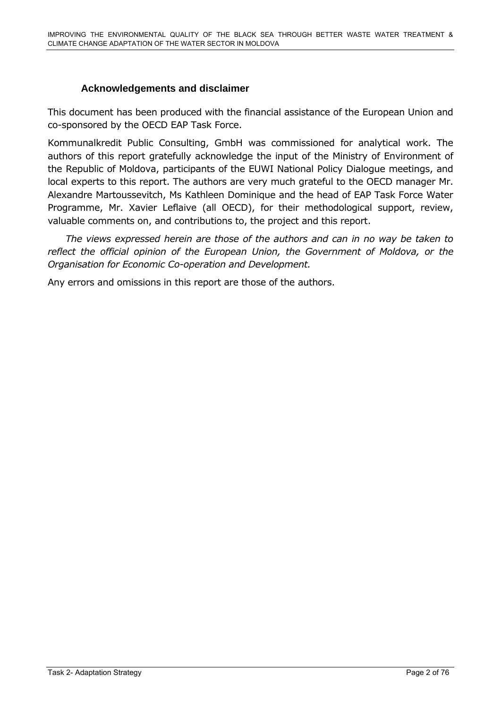# **Acknowledgements and disclaimer**

<span id="page-2-0"></span>This document has been produced with the financial assistance of the European Union and co-sponsored by the OECD EAP Task Force.

Kommunalkredit Public Consulting, GmbH was commissioned for analytical work. The authors of this report gratefully acknowledge the input of the Ministry of Environment of the Republic of Moldova, participants of the EUWI National Policy Dialogue meetings, and local experts to this report. The authors are very much grateful to the OECD manager Mr. Alexandre Martoussevitch, Ms Kathleen Dominique and the head of EAP Task Force Water Programme, Mr. Xavier Leflaive (all OECD), for their methodological support, review, valuable comments on, and contributions to, the project and this report.

 *The views expressed herein are those of the authors and can in no way be taken to reflect the official opinion of the European Union, the Government of Moldova, or the Organisation for Economic Co-operation and Development.* 

Any errors and omissions in this report are those of the authors.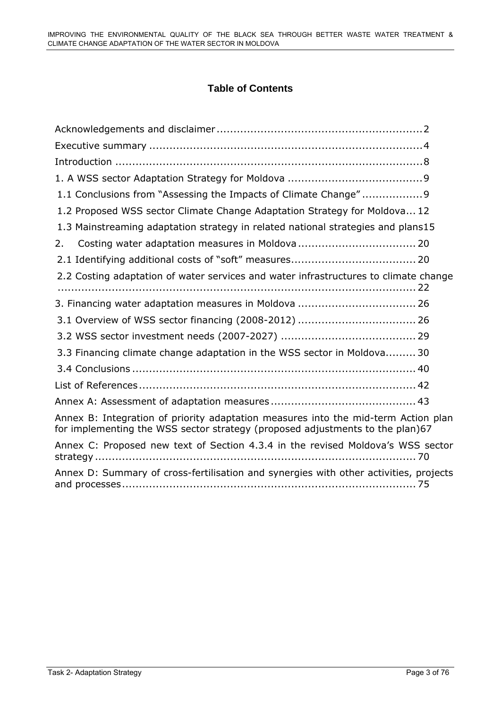# **Table of Contents**

| 1.1 Conclusions from "Assessing the Impacts of Climate Change"9                                                                                                     |
|---------------------------------------------------------------------------------------------------------------------------------------------------------------------|
| 1.2 Proposed WSS sector Climate Change Adaptation Strategy for Moldova 12                                                                                           |
| 1.3 Mainstreaming adaptation strategy in related national strategies and plans15                                                                                    |
| 2.                                                                                                                                                                  |
|                                                                                                                                                                     |
| 2.2 Costing adaptation of water services and water infrastructures to climate change                                                                                |
|                                                                                                                                                                     |
|                                                                                                                                                                     |
|                                                                                                                                                                     |
| 3.3 Financing climate change adaptation in the WSS sector in Moldova30                                                                                              |
|                                                                                                                                                                     |
|                                                                                                                                                                     |
|                                                                                                                                                                     |
| Annex B: Integration of priority adaptation measures into the mid-term Action plan<br>for implementing the WSS sector strategy (proposed adjustments to the plan)67 |
| Annex C: Proposed new text of Section 4.3.4 in the revised Moldova's WSS sector                                                                                     |
| Annex D: Summary of cross-fertilisation and synergies with other activities, projects                                                                               |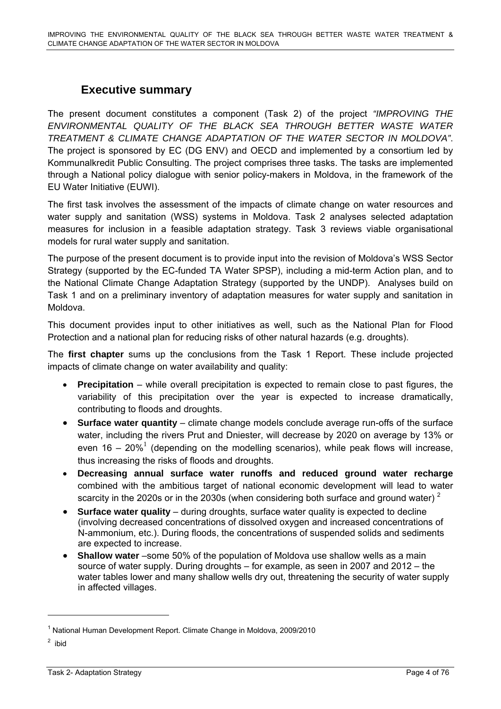# **Executive summary**

<span id="page-4-0"></span>The present document constitutes a component (Task 2) of the project *"IMPROVING THE ENVIRONMENTAL QUALITY OF THE BLACK SEA THROUGH BETTER WASTE WATER TREATMENT & CLIMATE CHANGE ADAPTATION OF THE WATER SECTOR IN MOLDOVA"*. The project is sponsored by EC (DG ENV) and OECD and implemented by a consortium led by Kommunalkredit Public Consulting. The project comprises three tasks. The tasks are implemented through a National policy dialogue with senior policy-makers in Moldova, in the framework of the EU Water Initiative (EUWI).

The first task involves the assessment of the impacts of climate change on water resources and water supply and sanitation (WSS) systems in Moldova. Task 2 analyses selected adaptation measures for inclusion in a feasible adaptation strategy. Task 3 reviews viable organisational models for rural water supply and sanitation.

The purpose of the present document is to provide input into the revision of Moldova's WSS Sector Strategy (supported by the EC-funded TA Water SPSP), including a mid-term Action plan, and to the National Climate Change Adaptation Strategy (supported by the UNDP). Analyses build on Task 1 and on a preliminary inventory of adaptation measures for water supply and sanitation in Moldova.

This document provides input to other initiatives as well, such as the National Plan for Flood Protection and a national plan for reducing risks of other natural hazards (e.g. droughts).

The **first chapter** sums up the conclusions from the Task 1 Report. These include projected impacts of climate change on water availability and quality:

- **Precipitation** while overall precipitation is expected to remain close to past figures, the variability of this precipitation over the year is expected to increase dramatically, contributing to floods and droughts.
- **Surface water quantity** climate change models conclude average run-offs of the surface water, including the rivers Prut and Dniester, will decrease by 2020 on average by 13% or even 16 – 20%<sup>1</sup> (depending on the modelling scenarios), while peak flows will increase, thus increasing the risks of floods and droughts.
- **Decreasing annual surface water runoffs and reduced ground water recharge** combined with the ambitious target of national economic development will lead to water scarcity in the 2020s or in the 2030s (when considering both surface and ground water)  $2$
- **Surface water quality** during droughts, surface water quality is expected to decline (involving decreased concentrations of dissolved oxygen and increased concentrations of N-ammonium, etc.). During floods, the concentrations of suspended solids and sediments are expected to increase.
- **Shallow water** –some 50% of the population of Moldova use shallow wells as a main source of water supply. During droughts – for example, as seen in 2007 and 2012 – the water tables lower and many shallow wells dry out, threatening the security of water supply in affected villages.

<sup>&</sup>lt;sup>1</sup> National Human Development Report. Climate Change in Moldova, 2009/2010

<sup>&</sup>lt;sup>2</sup> ibid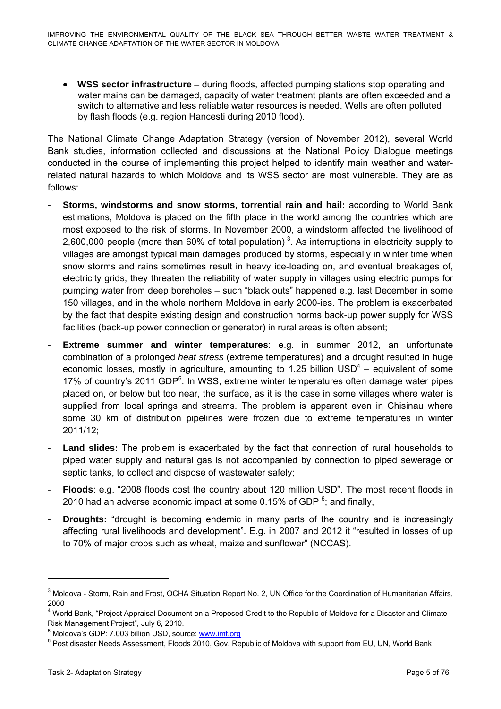• **WSS sector infrastructure** – during floods, affected pumping stations stop operating and water mains can be damaged, capacity of water treatment plants are often exceeded and a switch to alternative and less reliable water resources is needed. Wells are often polluted by flash floods (e.g. region Hancesti during 2010 flood).

The National Climate Change Adaptation Strategy (version of November 2012), several World Bank studies, information collected and discussions at the National Policy Dialogue meetings conducted in the course of implementing this project helped to identify main weather and waterrelated natural hazards to which Moldova and its WSS sector are most vulnerable. They are as follows:

- **Storms, windstorms and snow storms, torrential rain and hail:** according to World Bank estimations, Moldova is placed on the fifth place in the world among the countries which are most exposed to the risk of storms. In November 2000, a windstorm affected the livelihood of 2,600,000 people (more than 60% of total population)<sup>3</sup>. As interruptions in electricity supply to villages are amongst typical main damages produced by storms, especially in winter time when snow storms and rains sometimes result in heavy ice-loading on, and eventual breakages of, electricity grids, they threaten the reliability of water supply in villages using electric pumps for pumping water from deep boreholes – such "black outs" happened e.g. last December in some 150 villages, and in the whole northern Moldova in early 2000-ies. The problem is exacerbated by the fact that despite existing design and construction norms back-up power supply for WSS facilities (back-up power connection or generator) in rural areas is often absent;
- **Extreme summer and winter temperatures**: e.g. in summer 2012, an unfortunate combination of a prolonged *heat stress* (extreme temperatures) and a drought resulted in huge economic losses, mostly in agriculture, amounting to 1.25 billion  $\text{USD}^4$  – equivalent of some 17% of country's 2011 GDP<sup>5</sup>. In WSS, extreme winter temperatures often damage water pipes placed on, or below but too near, the surface, as it is the case in some villages where water is supplied from local springs and streams. The problem is apparent even in Chisinau where some 30 km of distribution pipelines were frozen due to extreme temperatures in winter 2011/12;
- **Land slides:** The problem is exacerbated by the fact that connection of rural households to piped water supply and natural gas is not accompanied by connection to piped sewerage or septic tanks, to collect and dispose of wastewater safely;
- **Floods**: e.g. "2008 floods cost the country about 120 million USD". The most recent floods in 2010 had an adverse economic impact at some 0.15% of GDP  $6$ ; and finally,
- **Droughts:** "drought is becoming endemic in many parts of the country and is increasingly affecting rural livelihoods and development". E.g. in 2007 and 2012 it "resulted in losses of up to 70% of major crops such as wheat, maize and sunflower" (NCCAS).

<sup>&</sup>lt;sup>3</sup> Moldova - Storm, Rain and Frost, OCHA Situation Report No. 2, UN Office for the Coordination of Humanitarian Affairs, 2000

<sup>&</sup>lt;sup>4</sup> World Bank, "Project Appraisal Document on a Proposed Credit to the Republic of Moldova for a Disaster and Climate Risk Management Project", July 6, 2010.

<sup>&</sup>lt;sup>5</sup> Moldova's GDP: 7.003 billion USD, so[urce:](http://www.imf.org/) www.imf.org<br><sup>6</sup> Peet diseater Neede Assessment, Floods 2010, Cov, Re

 $6$  Post disaster Needs Assessment, Floods 2010, Gov. Republic of Moldova with support from EU, UN, World Bank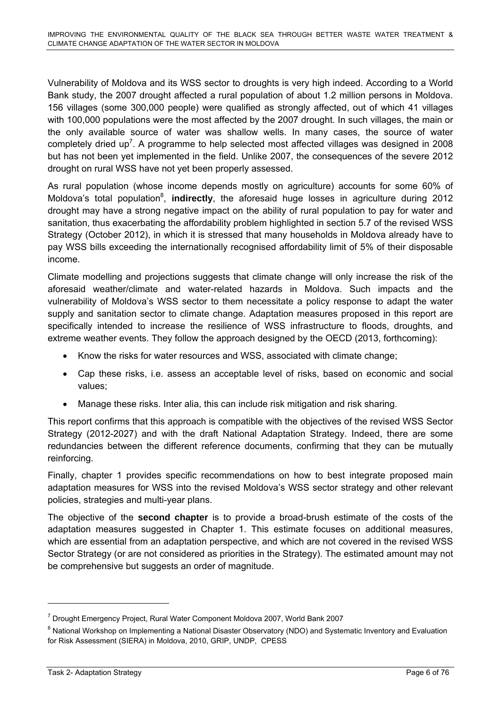Vulnerability of Moldova and its WSS sector to droughts is very high indeed. According to a World Bank study, the 2007 drought affected a rural population of about 1.2 million persons in Moldova. 156 villages (some 300,000 people) were qualified as strongly affected, out of which 41 villages with 100,000 populations were the most affected by the 2007 drought. In such villages, the main or the only available source of water was shallow wells. In many cases, the source of water completely dried up<sup>7</sup>. A programme to help selected most affected villages was designed in 2008 but has not been yet implemented in the field. Unlike 2007, the consequences of the severe 2012 drought on rural WSS have not yet been properly assessed.

As rural population (whose income depends mostly on agriculture) accounts for some 60% of Moldova's total population<sup>8</sup>, indirectly, the aforesaid huge losses in agriculture during 2012 drought may have a strong negative impact on the ability of rural population to pay for water and sanitation, thus exacerbating the affordability problem highlighted in section 5.7 of the revised WSS Strategy (October 2012), in which it is stressed that many households in Moldova already have to pay WSS bills exceeding the internationally recognised affordability limit of 5% of their disposable income.

Climate modelling and projections suggests that climate change will only increase the risk of the aforesaid weather/climate and water-related hazards in Moldova. Such impacts and the vulnerability of Moldova's WSS sector to them necessitate a policy response to adapt the water supply and sanitation sector to climate change. Adaptation measures proposed in this report are specifically intended to increase the resilience of WSS infrastructure to floods, droughts, and extreme weather events. They follow the approach designed by the OECD (2013, forthcoming):

- Know the risks for water resources and WSS, associated with climate change;
- Cap these risks, i.e. assess an acceptable level of risks, based on economic and social values;
- Manage these risks. Inter alia, this can include risk mitigation and risk sharing.

This report confirms that this approach is compatible with the objectives of the revised WSS Sector Strategy (2012-2027) and with the draft National Adaptation Strategy. Indeed, there are some redundancies between the different reference documents, confirming that they can be mutually reinforcing.

Finally, chapter 1 provides specific recommendations on how to best integrate proposed main adaptation measures for WSS into the revised Moldova's WSS sector strategy and other relevant policies, strategies and multi-year plans.

The objective of the **second chapter** is to provide a broad-brush estimate of the costs of the adaptation measures suggested in Chapter 1. This estimate focuses on additional measures, which are essential from an adaptation perspective, and which are not covered in the revised WSS Sector Strategy (or are not considered as priorities in the Strategy). The estimated amount may not be comprehensive but suggests an order of magnitude.

<sup>&</sup>lt;sup>7</sup> Drought Emergency Project, Rural Water Component Moldova 2007, World Bank 2007

<sup>&</sup>lt;sup>8</sup> National Workshop on Implementing a National Disaster Observatory (NDO) and Systematic Inventory and Evaluation for Risk Assessment (SIERA) in Moldova, 2010, GRIP, UNDP, CPESS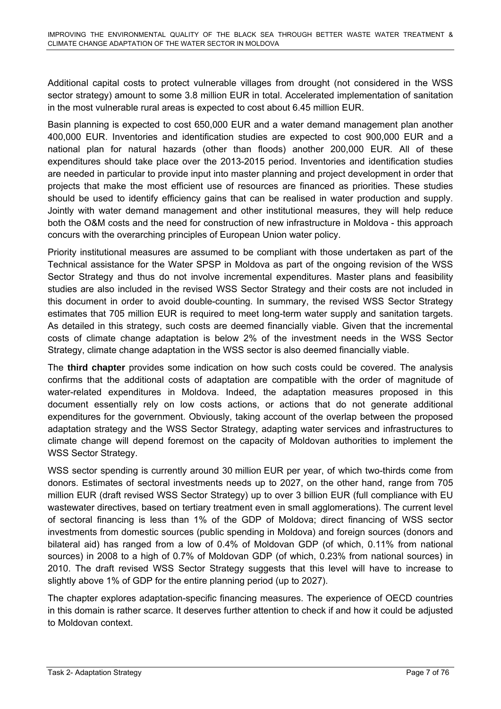Additional capital costs to protect vulnerable villages from drought (not considered in the WSS sector strategy) amount to some 3.8 million EUR in total. Accelerated implementation of sanitation in the most vulnerable rural areas is expected to cost about 6.45 million EUR.

Basin planning is expected to cost 650,000 EUR and a water demand management plan another 400,000 EUR. Inventories and identification studies are expected to cost 900,000 EUR and a national plan for natural hazards (other than floods) another 200,000 EUR. All of these expenditures should take place over the 2013-2015 period. Inventories and identification studies are needed in particular to provide input into master planning and project development in order that projects that make the most efficient use of resources are financed as priorities. These studies should be used to identify efficiency gains that can be realised in water production and supply. Jointly with water demand management and other institutional measures, they will help reduce both the O&M costs and the need for construction of new infrastructure in Moldova - this approach concurs with the overarching principles of European Union water policy.

Priority institutional measures are assumed to be compliant with those undertaken as part of the Technical assistance for the Water SPSP in Moldova as part of the ongoing revision of the WSS Sector Strategy and thus do not involve incremental expenditures. Master plans and feasibility studies are also included in the revised WSS Sector Strategy and their costs are not included in this document in order to avoid double-counting. In summary, the revised WSS Sector Strategy estimates that 705 million EUR is required to meet long-term water supply and sanitation targets. As detailed in this strategy, such costs are deemed financially viable. Given that the incremental costs of climate change adaptation is below 2% of the investment needs in the WSS Sector Strategy, climate change adaptation in the WSS sector is also deemed financially viable.

The **third chapter** provides some indication on how such costs could be covered. The analysis confirms that the additional costs of adaptation are compatible with the order of magnitude of water-related expenditures in Moldova. Indeed, the adaptation measures proposed in this document essentially rely on low costs actions, or actions that do not generate additional expenditures for the government. Obviously, taking account of the overlap between the proposed adaptation strategy and the WSS Sector Strategy, adapting water services and infrastructures to climate change will depend foremost on the capacity of Moldovan authorities to implement the WSS Sector Strategy.

WSS sector spending is currently around 30 million EUR per year, of which two-thirds come from donors. Estimates of sectoral investments needs up to 2027, on the other hand, range from 705 million EUR (draft revised WSS Sector Strategy) up to over 3 billion EUR (full compliance with EU wastewater directives, based on tertiary treatment even in small agglomerations). The current level of sectoral financing is less than 1% of the GDP of Moldova; direct financing of WSS sector investments from domestic sources (public spending in Moldova) and foreign sources (donors and bilateral aid) has ranged from a low of 0.4% of Moldovan GDP (of which, 0.11% from national sources) in 2008 to a high of 0.7% of Moldovan GDP (of which, 0.23% from national sources) in 2010. The draft revised WSS Sector Strategy suggests that this level will have to increase to slightly above 1% of GDP for the entire planning period (up to 2027).

The chapter explores adaptation-specific financing measures. The experience of OECD countries in this domain is rather scarce. It deserves further attention to check if and how it could be adjusted to Moldovan context.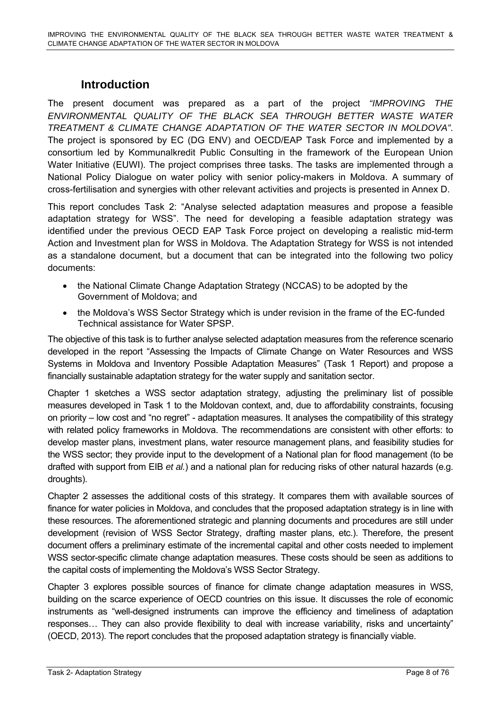# **Introduction**

<span id="page-8-0"></span>The present document was prepared as a part of the project *"IMPROVING THE ENVIRONMENTAL QUALITY OF THE BLACK SEA THROUGH BETTER WASTE WATER TREATMENT & CLIMATE CHANGE ADAPTATION OF THE WATER SECTOR IN MOLDOVA"*. The project is sponsored by EC (DG ENV) and OECD/EAP Task Force and implemented by a consortium led by Kommunalkredit Public Consulting in the framework of the European Union Water Initiative (EUWI). The project comprises three tasks. The tasks are implemented through a National Policy Dialogue on water policy with senior policy-makers in Moldova. A summary of cross-fertilisation and synergies with other relevant activities and projects is presented in Annex D.

This report concludes Task 2: "Analyse selected adaptation measures and propose a feasible adaptation strategy for WSS". The need for developing a feasible adaptation strategy was identified under the previous OECD EAP Task Force project on developing a realistic mid-term Action and Investment plan for WSS in Moldova. The Adaptation Strategy for WSS is not intended as a standalone document, but a document that can be integrated into the following two policy documents:

- the National Climate Change Adaptation Strategy (NCCAS) to be adopted by the Government of Moldova; and
- the Moldova's WSS Sector Strategy which is under revision in the frame of the EC-funded Technical assistance for Water SPSP.

The objective of this task is to further analyse selected adaptation measures from the reference scenario developed in the report "Assessing the Impacts of Climate Change on Water Resources and WSS Systems in Moldova and Inventory Possible Adaptation Measures" (Task 1 Report) and propose a financially sustainable adaptation strategy for the water supply and sanitation sector.

Chapter 1 sketches a WSS sector adaptation strategy, adjusting the preliminary list of possible measures developed in Task 1 to the Moldovan context, and, due to affordability constraints, focusing on priority – low cost and "no regret" - adaptation measures. It analyses the compatibility of this strategy with related policy frameworks in Moldova. The recommendations are consistent with other efforts: to develop master plans, investment plans, water resource management plans, and feasibility studies for the WSS sector; they provide input to the development of a National plan for flood management (to be drafted with support from EIB *et al.*) and a national plan for reducing risks of other natural hazards (e.g. droughts).

Chapter 2 assesses the additional costs of this strategy. It compares them with available sources of finance for water policies in Moldova, and concludes that the proposed adaptation strategy is in line with these resources. The aforementioned strategic and planning documents and procedures are still under development (revision of WSS Sector Strategy, drafting master plans, etc.). Therefore, the present document offers a preliminary estimate of the incremental capital and other costs needed to implement WSS sector-specific climate change adaptation measures. These costs should be seen as additions to the capital costs of implementing the Moldova's WSS Sector Strategy.

Chapter 3 explores possible sources of finance for climate change adaptation measures in WSS, building on the scarce experience of OECD countries on this issue. It discusses the role of economic instruments as "well-designed instruments can improve the efficiency and timeliness of adaptation responses… They can also provide flexibility to deal with increase variability, risks and uncertainty" (OECD, 2013). The report concludes that the proposed adaptation strategy is financially viable.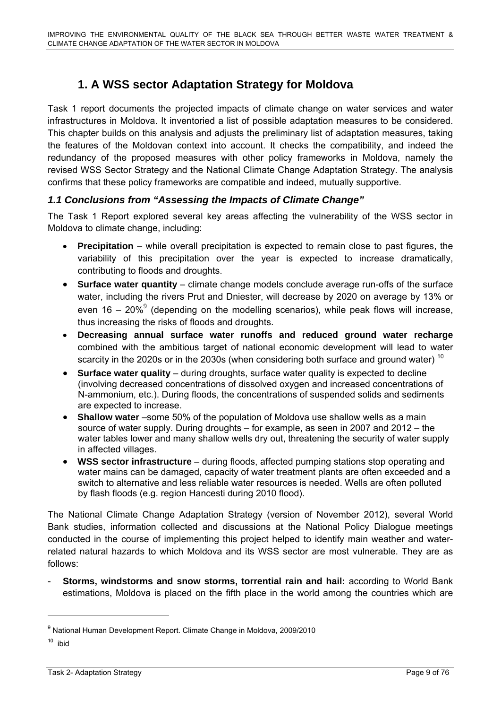# **1. A WSS sector Adaptation Strategy for Moldova**

<span id="page-9-0"></span>Task 1 report documents the projected impacts of climate change on water services and water infrastructures in Moldova. It inventoried a list of possible adaptation measures to be considered. This chapter builds on this analysis and adjusts the preliminary list of adaptation measures, taking the features of the Moldovan context into account. It checks the compatibility, and indeed the redundancy of the proposed measures with other policy frameworks in Moldova, namely the revised WSS Sector Strategy and the National Climate Change Adaptation Strategy. The analysis confirms that these policy frameworks are compatible and indeed, mutually supportive.

# <span id="page-9-1"></span>*1.1 Conclusions from "Assessing the Impacts of Climate Change"*

The Task 1 Report explored several key areas affecting the vulnerability of the WSS sector in Moldova to climate change, including:

- **Precipitation** while overall precipitation is expected to remain close to past figures, the variability of this precipitation over the year is expected to increase dramatically, contributing to floods and droughts.
- **Surface water quantity** climate change models conclude average run-offs of the surface water, including the rivers Prut and Dniester, will decrease by 2020 on average by 13% or even 16 – 20%<sup>9</sup> (depending on the modelling scenarios), while peak flows will increase, thus increasing the risks of floods and droughts.
- **Decreasing annual surface water runoffs and reduced ground water recharge** combined with the ambitious target of national economic development will lead to water scarcity in the 2020s or in the 2030s (when considering both surface and ground water)<sup>10</sup>
- **Surface water quality** during droughts, surface water quality is expected to decline (involving decreased concentrations of dissolved oxygen and increased concentrations of N-ammonium, etc.). During floods, the concentrations of suspended solids and sediments are expected to increase.
- **Shallow water** –some 50% of the population of Moldova use shallow wells as a main source of water supply. During droughts – for example, as seen in 2007 and 2012 – the water tables lower and many shallow wells dry out, threatening the security of water supply in affected villages.
- **WSS sector infrastructure** during floods, affected pumping stations stop operating and water mains can be damaged, capacity of water treatment plants are often exceeded and a switch to alternative and less reliable water resources is needed. Wells are often polluted by flash floods (e.g. region Hancesti during 2010 flood).

The National Climate Change Adaptation Strategy (version of November 2012), several World Bank studies, information collected and discussions at the National Policy Dialogue meetings conducted in the course of implementing this project helped to identify main weather and waterrelated natural hazards to which Moldova and its WSS sector are most vulnerable. They are as follows:

- **Storms, windstorms and snow storms, torrential rain and hail:** according to World Bank estimations, Moldova is placed on the fifth place in the world among the countries which are

<sup>&</sup>lt;sup>9</sup> National Human Development Report. Climate Change in Moldova, 2009/2010

 $10$  ibid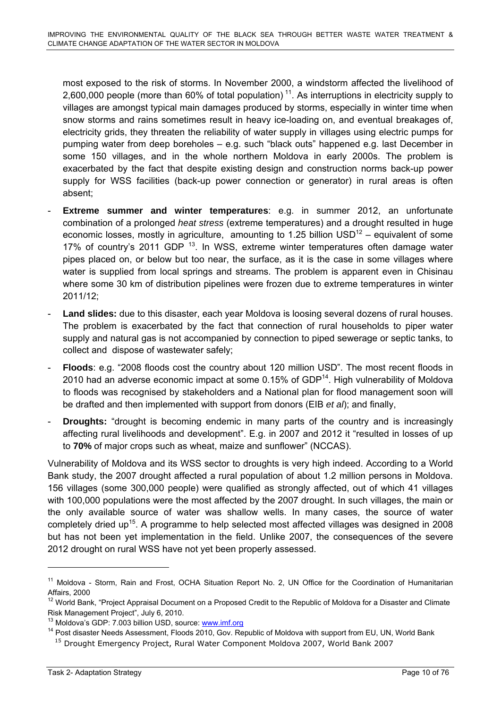most exposed to the risk of storms. In November 2000, a windstorm affected the livelihood of 2,600,000 people (more than 60% of total population)<sup>11</sup>. As interruptions in electricity supply to villages are amongst typical main damages produced by storms, especially in winter time when snow storms and rains sometimes result in heavy ice-loading on, and eventual breakages of, electricity grids, they threaten the reliability of water supply in villages using electric pumps for pumping water from deep boreholes – e.g. such "black outs" happened e.g. last December in some 150 villages, and in the whole northern Moldova in early 2000s. The problem is exacerbated by the fact that despite existing design and construction norms back-up power supply for WSS facilities (back-up power connection or generator) in rural areas is often absent;

- **Extreme summer and winter temperatures**: e.g. in summer 2012, an unfortunate combination of a prolonged *heat stress* (extreme temperatures) and a drought resulted in huge economic losses, mostly in agriculture, amounting to 1.25 billion  $\text{USD}^{\text{12}}$  – equivalent of some 17% of country's 2011 GDP  $<sup>13</sup>$ . In WSS, extreme winter temperatures often damage water</sup> pipes placed on, or below but too near, the surface, as it is the case in some villages where water is supplied from local springs and streams. The problem is apparent even in Chisinau where some 30 km of distribution pipelines were frozen due to extreme temperatures in winter 2011/12;
- **Land slides:** due to this disaster, each year Moldova is loosing several dozens of rural houses. The problem is exacerbated by the fact that connection of rural households to piper water supply and natural gas is not accompanied by connection to piped sewerage or septic tanks, to collect and dispose of wastewater safely;
- **Floods**: e.g. "2008 floods cost the country about 120 million USD". The most recent floods in 2010 had an adverse economic impact at some  $0.15\%$  of GDP<sup>14</sup>. High vulnerability of Moldova to floods was recognised by stakeholders and a National plan for flood management soon will be drafted and then implemented with support from donors (EIB *et al*); and finally,
- **Droughts:** "drought is becoming endemic in many parts of the country and is increasingly affecting rural livelihoods and development". E.g. in 2007 and 2012 it "resulted in losses of up to **70%** of major crops such as wheat, maize and sunflower" (NCCAS).

Vulnerability of Moldova and its WSS sector to droughts is very high indeed. According to a World Bank study, the 2007 drought affected a rural population of about 1.2 million persons in Moldova. 156 villages (some 300,000 people) were qualified as strongly affected, out of which 41 villages with 100,000 populations were the most affected by the 2007 drought. In such villages, the main or the only available source of water was shallow wells. In many cases, the source of water completely dried up<sup>15</sup>. A programme to help selected most affected villages was designed in 2008 but has not been yet implementation in the field. Unlike 2007, the consequences of the severe 2012 drought on rural WSS have not yet been properly assessed.

 $\overline{a}$ 

<sup>&</sup>lt;sup>11</sup> Moldova - Storm, Rain and Frost, OCHA Situation Report No. 2, UN Office for the Coordination of Humanitarian Affairs, 2000

<sup>&</sup>lt;sup>12</sup> World Bank, "Project Appraisal Document on a Proposed Credit to the Republic of Moldova for a Disaster and Climate Risk Management Project", July 6, 2010.

<sup>&</sup>lt;sup>13</sup> Moldova's GDP: 7.003 billion USD, sour[ce:](http://www.imf.org/) www.imf.org<br><sup>14</sup> Post disaster Needs Assessment, Flood[s 2](http://www.imf.org/)010, Gov. Republic of Moldova with support from EU, UN, World Bank

<sup>&</sup>lt;sup>15</sup> Drought Emergency Project, Rural Water Component Moldova 2007, World Bank 2007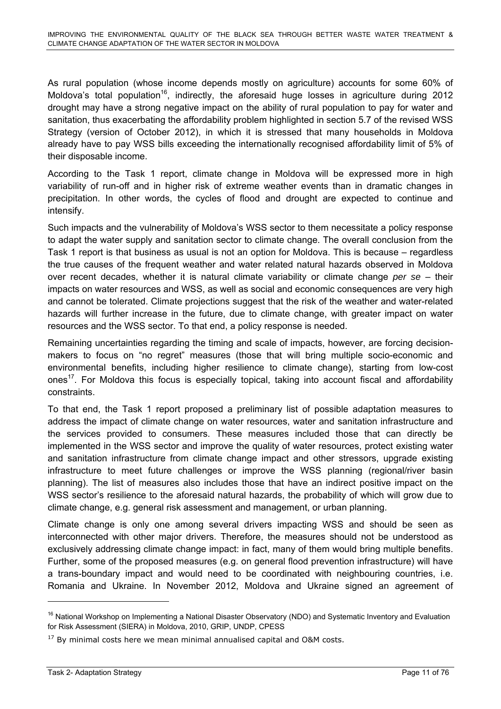As rural population (whose income depends mostly on agriculture) accounts for some 60% of Moldova's total population<sup>16</sup>, indirectly, the aforesaid huge losses in agriculture during 2012 drought may have a strong negative impact on the ability of rural population to pay for water and sanitation, thus exacerbating the affordability problem highlighted in section 5.7 of the revised WSS Strategy (version of October 2012), in which it is stressed that many households in Moldova already have to pay WSS bills exceeding the internationally recognised affordability limit of 5% of their disposable income.

According to the Task 1 report, climate change in Moldova will be expressed more in high variability of run-off and in higher risk of extreme weather events than in dramatic changes in precipitation. In other words, the cycles of flood and drought are expected to continue and intensify.

Such impacts and the vulnerability of Moldova's WSS sector to them necessitate a policy response to adapt the water supply and sanitation sector to climate change. The overall conclusion from the Task 1 report is that business as usual is not an option for Moldova. This is because – regardless the true causes of the frequent weather and water related natural hazards observed in Moldova over recent decades, whether it is natural climate variability or climate change *per se* – their impacts on water resources and WSS, as well as social and economic consequences are very high and cannot be tolerated. Climate projections suggest that the risk of the weather and water-related hazards will further increase in the future, due to climate change, with greater impact on water resources and the WSS sector. To that end, a policy response is needed.

Remaining uncertainties regarding the timing and scale of impacts, however, are forcing decisionmakers to focus on "no regret" measures (those that will bring multiple socio-economic and environmental benefits, including higher resilience to climate change), starting from low-cost ones<sup>17</sup>. For Moldova this focus is especially topical, taking into account fiscal and affordability constraints.

To that end, the Task 1 report proposed a preliminary list of possible adaptation measures to address the impact of climate change on water resources, water and sanitation infrastructure and the services provided to consumers. These measures included those that can directly be implemented in the WSS sector and improve the quality of water resources, protect existing water and sanitation infrastructure from climate change impact and other stressors, upgrade existing infrastructure to meet future challenges or improve the WSS planning (regional/river basin planning). The list of measures also includes those that have an indirect positive impact on the WSS sector's resilience to the aforesaid natural hazards, the probability of which will grow due to climate change, e.g. general risk assessment and management, or urban planning.

Climate change is only one among several drivers impacting WSS and should be seen as interconnected with other major drivers. Therefore, the measures should not be understood as exclusively addressing climate change impact: in fact, many of them would bring multiple benefits. Further, some of the proposed measures (e.g. on general flood prevention infrastructure) will have a trans-boundary impact and would need to be coordinated with neighbouring countries, i.e. Romania and Ukraine. In November 2012, Moldova and Ukraine signed an agreement of

 $\overline{a}$ 

<sup>&</sup>lt;sup>16</sup> National Workshop on Implementing a National Disaster Observatory (NDO) and Systematic Inventory and Evaluation for Risk Assessment (SIERA) in Moldova, 2010, GRIP, UNDP, CPESS

 $17$  By minimal costs here we mean minimal annualised capital and O&M costs.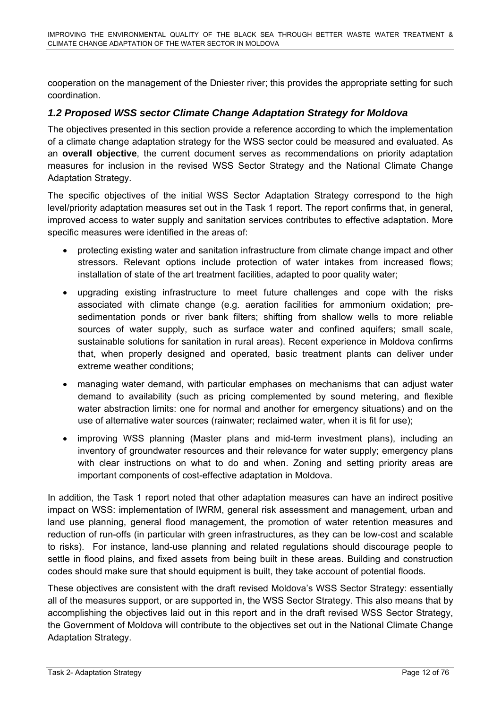cooperation on the management of the Dniester river; this provides the appropriate setting for such coordination.

# <span id="page-12-0"></span>*1.2 Proposed WSS sector Climate Change Adaptation Strategy for Moldova*

The objectives presented in this section provide a reference according to which the implementation of a climate change adaptation strategy for the WSS sector could be measured and evaluated. As an **overall objective**, the current document serves as recommendations on priority adaptation measures for inclusion in the revised WSS Sector Strategy and the National Climate Change Adaptation Strategy.

The specific objectives of the initial WSS Sector Adaptation Strategy correspond to the high level/priority adaptation measures set out in the Task 1 report. The report confirms that, in general, improved access to water supply and sanitation services contributes to effective adaptation. More specific measures were identified in the areas of:

- protecting existing water and sanitation infrastructure from climate change impact and other stressors. Relevant options include protection of water intakes from increased flows; installation of state of the art treatment facilities, adapted to poor quality water;
- upgrading existing infrastructure to meet future challenges and cope with the risks associated with climate change (e.g. aeration facilities for ammonium oxidation; presedimentation ponds or river bank filters; shifting from shallow wells to more reliable sources of water supply, such as surface water and confined aquifers; small scale, sustainable solutions for sanitation in rural areas). Recent experience in Moldova confirms that, when properly designed and operated, basic treatment plants can deliver under extreme weather conditions;
- managing water demand, with particular emphases on mechanisms that can adjust water demand to availability (such as pricing complemented by sound metering, and flexible water abstraction limits: one for normal and another for emergency situations) and on the use of alternative water sources (rainwater; reclaimed water, when it is fit for use);
- improving WSS planning (Master plans and mid-term investment plans), including an inventory of groundwater resources and their relevance for water supply; emergency plans with clear instructions on what to do and when. Zoning and setting priority areas are important components of cost-effective adaptation in Moldova.

In addition, the Task 1 report noted that other adaptation measures can have an indirect positive impact on WSS: implementation of IWRM, general risk assessment and management, urban and land use planning, general flood management, the promotion of water retention measures and reduction of run-offs (in particular with green infrastructures, as they can be low-cost and scalable to risks). For instance, land-use planning and related regulations should discourage people to settle in flood plains, and fixed assets from being built in these areas. Building and construction codes should make sure that should equipment is built, they take account of potential floods.

These objectives are consistent with the draft revised Moldova's WSS Sector Strategy: essentially all of the measures support, or are supported in, the WSS Sector Strategy. This also means that by accomplishing the objectives laid out in this report and in the draft revised WSS Sector Strategy, the Government of Moldova will contribute to the objectives set out in the National Climate Change Adaptation Strategy.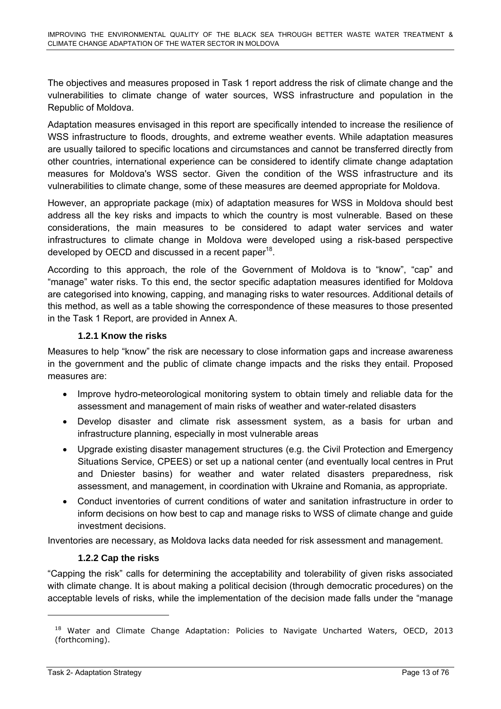The objectives and measures proposed in Task 1 report address the risk of climate change and the vulnerabilities to climate change of water sources, WSS infrastructure and population in the Republic of Moldova.

Adaptation measures envisaged in this report are specifically intended to increase the resilience of WSS infrastructure to floods, droughts, and extreme weather events. While adaptation measures are usually tailored to specific locations and circumstances and cannot be transferred directly from other countries, international experience can be considered to identify climate change adaptation measures for Moldova's WSS sector. Given the condition of the WSS infrastructure and its vulnerabilities to climate change, some of these measures are deemed appropriate for Moldova.

However, an appropriate package (mix) of adaptation measures for WSS in Moldova should best address all the key risks and impacts to which the country is most vulnerable. Based on these considerations, the main measures to be considered to adapt water services and water infrastructures to climate change in Moldova were developed using a risk-based perspective developed by OECD and discussed in a recent paper<sup>18</sup>.

According to this approach, the role of the Government of Moldova is to "know", "cap" and "manage" water risks. To this end, the sector specific adaptation measures identified for Moldova are categorised into knowing, capping, and managing risks to water resources. Additional details of this method, as well as a table showing the correspondence of these measures to those presented in the Task 1 Report, are provided in Annex A.

#### **1.2.1 Know the risks**

Measures to help "know" the risk are necessary to close information gaps and increase awareness in the government and the public of climate change impacts and the risks they entail. Proposed measures are:

- Improve hydro-meteorological monitoring system to obtain timely and reliable data for the assessment and management of main risks of weather and water-related disasters
- Develop disaster and climate risk assessment system, as a basis for urban and infrastructure planning, especially in most vulnerable areas
- Upgrade existing disaster management structures (e.g. the Civil Protection and Emergency Situations Service, CPEES) or set up a national center (and eventually local centres in Prut and Dniester basins) for weather and water related disasters preparedness, risk assessment, and management, in coordination with Ukraine and Romania, as appropriate.
- Conduct inventories of current conditions of water and sanitation infrastructure in order to inform decisions on how best to cap and manage risks to WSS of climate change and guide investment decisions.

Inventories are necessary, as Moldova lacks data needed for risk assessment and management.

# **1.2.2 Cap the risks**

"Capping the risk" calls for determining the acceptability and tolerability of given risks associated with climate change. It is about making a political decision (through democratic procedures) on the acceptable levels of risks, while the implementation of the decision made falls under the "manage

<sup>&</sup>lt;sup>18</sup> Water and Climate Change Adaptation: Policies to Navigate Uncharted Waters, OECD, 2013 (forthcoming).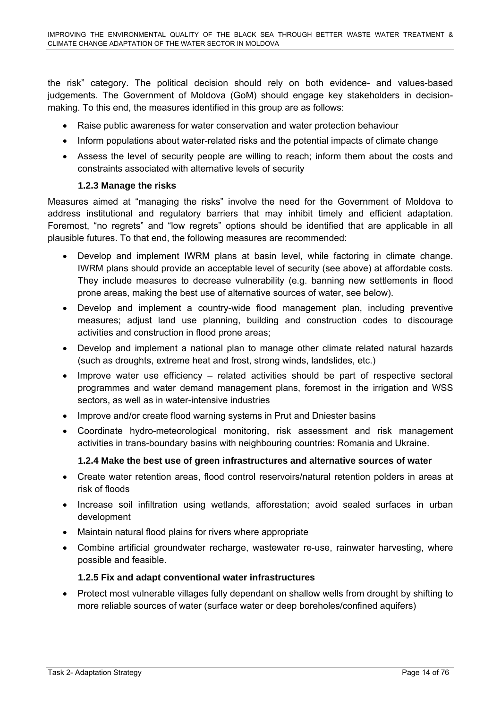the risk" category. The political decision should rely on both evidence- and values-based judgements. The Government of Moldova (GoM) should engage key stakeholders in decisionmaking. To this end, the measures identified in this group are as follows:

- Raise public awareness for water conservation and water protection behaviour
- Inform populations about water-related risks and the potential impacts of climate change
- Assess the level of security people are willing to reach; inform them about the costs and constraints associated with alternative levels of security

#### **1.2.3 Manage the risks**

Measures aimed at "managing the risks" involve the need for the Government of Moldova to address institutional and regulatory barriers that may inhibit timely and efficient adaptation. Foremost, "no regrets" and "low regrets" options should be identified that are applicable in all plausible futures. To that end, the following measures are recommended:

- Develop and implement IWRM plans at basin level, while factoring in climate change. IWRM plans should provide an acceptable level of security (see above) at affordable costs. They include measures to decrease vulnerability (e.g. banning new settlements in flood prone areas, making the best use of alternative sources of water, see below).
- Develop and implement a country-wide flood management plan, including preventive measures; adjust land use planning, building and construction codes to discourage activities and construction in flood prone areas;
- Develop and implement a national plan to manage other climate related natural hazards (such as droughts, extreme heat and frost, strong winds, landslides, etc.)
- Improve water use efficiency related activities should be part of respective sectoral programmes and water demand management plans, foremost in the irrigation and WSS sectors, as well as in water-intensive industries
- Improve and/or create flood warning systems in Prut and Dniester basins
- Coordinate hydro-meteorological monitoring, risk assessment and risk management activities in trans-boundary basins with neighbouring countries: Romania and Ukraine.

#### **1.2.4 Make the best use of green infrastructures and alternative sources of water**

- Create water retention areas, flood control reservoirs/natural retention polders in areas at risk of floods
- Increase soil infiltration using wetlands, afforestation; avoid sealed surfaces in urban development
- Maintain natural flood plains for rivers where appropriate
- Combine artificial groundwater recharge, wastewater re-use, rainwater harvesting, where possible and feasible.

#### **1.2.5 Fix and adapt conventional water infrastructures**

• Protect most vulnerable villages fully dependant on shallow wells from drought by shifting to more reliable sources of water (surface water or deep boreholes/confined aquifers)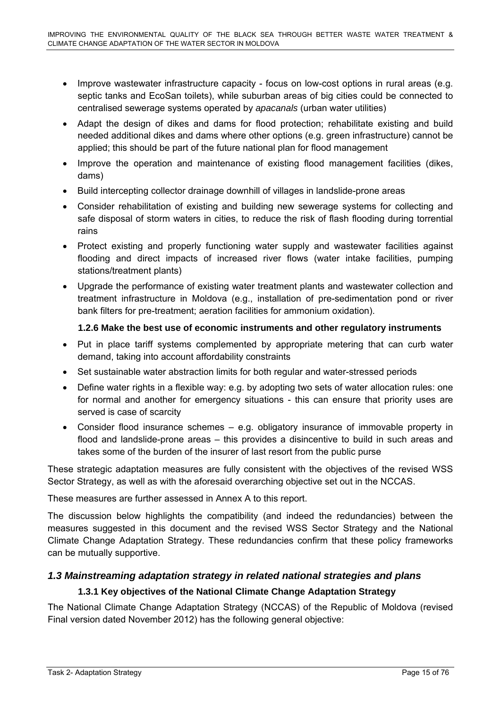- Improve wastewater infrastructure capacity focus on low-cost options in rural areas (e.g. septic tanks and EcoSan toilets), while suburban areas of big cities could be connected to centralised sewerage systems operated by *apacanals* (urban water utilities)
- Adapt the design of dikes and dams for flood protection; rehabilitate existing and build needed additional dikes and dams where other options (e.g. green infrastructure) cannot be applied; this should be part of the future national plan for flood management
- Improve the operation and maintenance of existing flood management facilities (dikes, dams)
- Build intercepting collector drainage downhill of villages in landslide-prone areas
- Consider rehabilitation of existing and building new sewerage systems for collecting and safe disposal of storm waters in cities, to reduce the risk of flash flooding during torrential rains
- Protect existing and properly functioning water supply and wastewater facilities against flooding and direct impacts of increased river flows (water intake facilities, pumping stations/treatment plants)
- Upgrade the performance of existing water treatment plants and wastewater collection and treatment infrastructure in Moldova (e.g., installation of pre-sedimentation pond or river bank filters for pre-treatment; aeration facilities for ammonium oxidation).

# **1.2.6 Make the best use of economic instruments and other regulatory instruments**

- Put in place tariff systems complemented by appropriate metering that can curb water demand, taking into account affordability constraints
- Set sustainable water abstraction limits for both regular and water-stressed periods
- Define water rights in a flexible way: e.g. by adopting two sets of water allocation rules: one for normal and another for emergency situations - this can ensure that priority uses are served is case of scarcity
- Consider flood insurance schemes e.g. obligatory insurance of immovable property in flood and landslide-prone areas – this provides a disincentive to build in such areas and takes some of the burden of the insurer of last resort from the public purse

These strategic adaptation measures are fully consistent with the objectives of the revised WSS Sector Strategy, as well as with the aforesaid overarching objective set out in the NCCAS.

These measures are further assessed in Annex A to this report.

The discussion below highlights the compatibility (and indeed the redundancies) between the measures suggested in this document and the revised WSS Sector Strategy and the National Climate Change Adaptation Strategy. These redundancies confirm that these policy frameworks can be mutually supportive.

# <span id="page-15-0"></span>*1.3 Mainstreaming adaptation strategy in related national strategies and plans*

# **1.3.1 Key objectives of the National Climate Change Adaptation Strategy**

The National Climate Change Adaptation Strategy (NCCAS) of the Republic of Moldova (revised Final version dated November 2012) has the following general objective: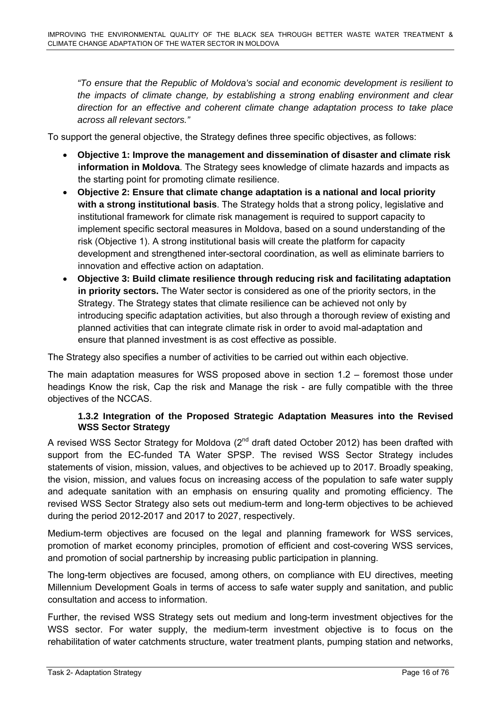*"To ensure that the Republic of Moldova's social and economic development is resilient to the impacts of climate change, by establishing a strong enabling environment and clear direction for an effective and coherent climate change adaptation process to take place across all relevant sectors."*

To support the general objective, the Strategy defines three specific objectives, as follows:

- **Objective 1: Improve the management and dissemination of disaster and climate risk information in Moldova**. The Strategy sees knowledge of climate hazards and impacts as the starting point for promoting climate resilience.
- **Objective 2: Ensure that climate change adaptation is a national and local priority with a strong institutional basis**. The Strategy holds that a strong policy, legislative and institutional framework for climate risk management is required to support capacity to implement specific sectoral measures in Moldova, based on a sound understanding of the risk (Objective 1). A strong institutional basis will create the platform for capacity development and strengthened inter-sectoral coordination, as well as eliminate barriers to innovation and effective action on adaptation.
- **Objective 3: Build climate resilience through reducing risk and facilitating adaptation in priority sectors.** The Water sector is considered as one of the priority sectors, in the Strategy. The Strategy states that climate resilience can be achieved not only by introducing specific adaptation activities, but also through a thorough review of existing and planned activities that can integrate climate risk in order to avoid mal-adaptation and ensure that planned investment is as cost effective as possible.

The Strategy also specifies a number of activities to be carried out within each objective.

The main adaptation measures for WSS proposed above in section 1.2 – foremost those under headings Know the risk, Cap the risk and Manage the risk - are fully compatible with the three objectives of the NCCAS.

#### **1.3.2 Integration of the Proposed Strategic Adaptation Measures into the Revised WSS Sector Strategy**

A revised WSS Sector Strategy for Moldova  $(2^{nd}$  draft dated October 2012) has been drafted with support from the EC-funded TA Water SPSP. The revised WSS Sector Strategy includes statements of vision, mission, values, and objectives to be achieved up to 2017. Broadly speaking, the vision, mission, and values focus on increasing access of the population to safe water supply and adequate sanitation with an emphasis on ensuring quality and promoting efficiency. The revised WSS Sector Strategy also sets out medium-term and long-term objectives to be achieved during the period 2012-2017 and 2017 to 2027, respectively.

Medium-term objectives are focused on the legal and planning framework for WSS services, promotion of market economy principles, promotion of efficient and cost-covering WSS services, and promotion of social partnership by increasing public participation in planning.

The long-term objectives are focused, among others, on compliance with EU directives, meeting Millennium Development Goals in terms of access to safe water supply and sanitation, and public consultation and access to information.

Further, the revised WSS Strategy sets out medium and long-term investment objectives for the WSS sector. For water supply, the medium-term investment objective is to focus on the rehabilitation of water catchments structure, water treatment plants, pumping station and networks,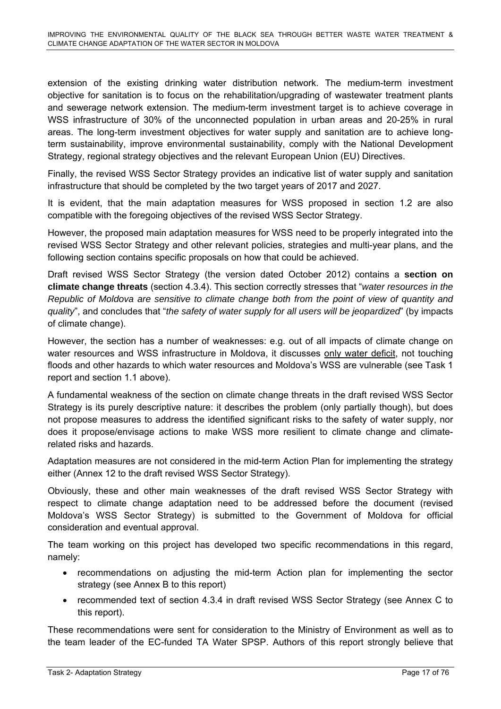extension of the existing drinking water distribution network. The medium-term investment objective for sanitation is to focus on the rehabilitation/upgrading of wastewater treatment plants and sewerage network extension. The medium-term investment target is to achieve coverage in WSS infrastructure of 30% of the unconnected population in urban areas and 20-25% in rural areas. The long-term investment objectives for water supply and sanitation are to achieve longterm sustainability, improve environmental sustainability, comply with the National Development Strategy, regional strategy objectives and the relevant European Union (EU) Directives.

Finally, the revised WSS Sector Strategy provides an indicative list of water supply and sanitation infrastructure that should be completed by the two target years of 2017 and 2027.

It is evident, that the main adaptation measures for WSS proposed in section 1.2 are also compatible with the foregoing objectives of the revised WSS Sector Strategy.

However, the proposed main adaptation measures for WSS need to be properly integrated into the revised WSS Sector Strategy and other relevant policies, strategies and multi-year plans, and the following section contains specific proposals on how that could be achieved.

Draft revised WSS Sector Strategy (the version dated October 2012) contains a **section on climate change threats** (section 4.3.4). This section correctly stresses that "*water resources in the Republic of Moldova are sensitive to climate change both from the point of view of quantity and quality*", and concludes that "*the safety of water supply for all users will be jeopardized*" (by impacts of climate change).

However, the section has a number of weaknesses: e.g. out of all impacts of climate change on water resources and WSS infrastructure in Moldova, it discusses only water deficit, not touching floods and other hazards to which water resources and Moldova's WSS are vulnerable (see Task 1 report and section 1.1 above).

A fundamental weakness of the section on climate change threats in the draft revised WSS Sector Strategy is its purely descriptive nature: it describes the problem (only partially though), but does not propose measures to address the identified significant risks to the safety of water supply, nor does it propose/envisage actions to make WSS more resilient to climate change and climaterelated risks and hazards.

Adaptation measures are not considered in the mid-term Action Plan for implementing the strategy either (Annex 12 to the draft revised WSS Sector Strategy).

Obviously, these and other main weaknesses of the draft revised WSS Sector Strategy with respect to climate change adaptation need to be addressed before the document (revised Moldova's WSS Sector Strategy) is submitted to the Government of Moldova for official consideration and eventual approval.

The team working on this project has developed two specific recommendations in this regard, namely:

- recommendations on adjusting the mid-term Action plan for implementing the sector strategy (see Annex B to this report)
- recommended text of section 4.3.4 in draft revised WSS Sector Strategy (see Annex C to this report).

These recommendations were sent for consideration to the Ministry of Environment as well as to the team leader of the EC-funded TA Water SPSP. Authors of this report strongly believe that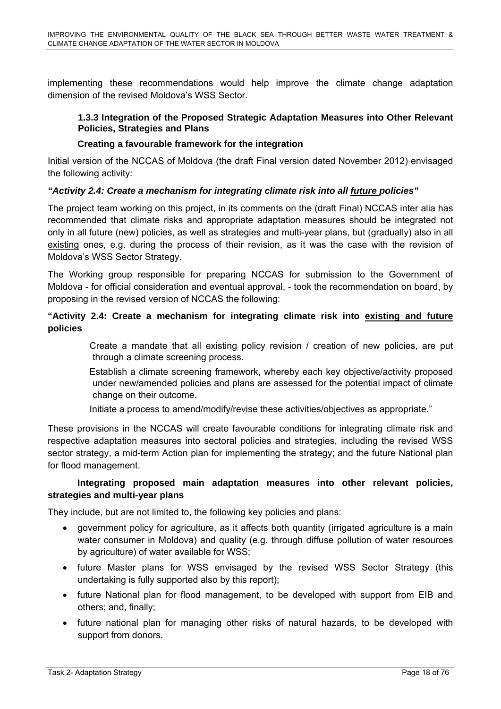implementing these recommendations would help improve the climate change adaptation dimension of the revised Moldova's WSS Sector.

#### **1.3.3 Integration of the Proposed Strategic Adaptation Measures into Other Relevant Policies, Strategies and Plans**

#### **Creating a favourable framework for the integration**

Initial version of the NCCAS of Moldova (the draft Final version dated November 2012) envisaged the following activity:

#### *"Activity 2.4: Create a mechanism for integrating climate risk into all future policies"*

The project team working on this project, in its comments on the (draft Final) NCCAS inter alia has recommended that climate risks and appropriate adaptation measures should be integrated not only in all future (new) policies, as well as strategies and multi-year plans, but (gradually) also in all existing ones, e.g. during the process of their revision, as it was the case with the revision of Moldova's WSS Sector Strategy.

The Working group responsible for preparing NCCAS for submission to the Government of Moldova - for official consideration and eventual approval, - took the recommendation on board, by proposing in the revised version of NCCAS the following:

#### **"Activity 2.4: Create a mechanism for integrating climate risk into existing and future policies**

 Create a mandate that all existing policy revision / creation of new policies, are put through a climate screening process.

 Establish a climate screening framework, whereby each key objective/activity proposed under new/amended policies and plans are assessed for the potential impact of climate change on their outcome.

Initiate a process to amend/modify/revise these activities/objectives as appropriate."

These provisions in the NCCAS will create favourable conditions for integrating climate risk and respective adaptation measures into sectoral policies and strategies, including the revised WSS sector strategy, a mid-term Action plan for implementing the strategy; and the future National plan for flood management.

#### **Integrating proposed main adaptation measures into other relevant policies, strategies and multi-year plans**

They include, but are not limited to, the following key policies and plans:

- government policy for agriculture, as it affects both quantity (irrigated agriculture is a main water consumer in Moldova) and quality (e.g. through diffuse pollution of water resources by agriculture) of water available for WSS;
- future Master plans for WSS envisaged by the revised WSS Sector Strategy (this undertaking is fully supported also by this report);
- future National plan for flood management, to be developed with support from EIB and others; and, finally;
- future national plan for managing other risks of natural hazards, to be developed with support from donors.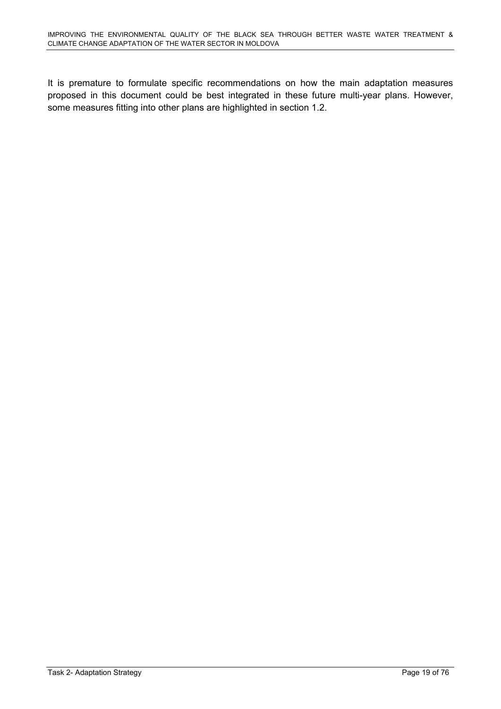It is premature to formulate specific recommendations on how the main adaptation measures proposed in this document could be best integrated in these future multi-year plans. However, some measures fitting into other plans are highlighted in section 1.2.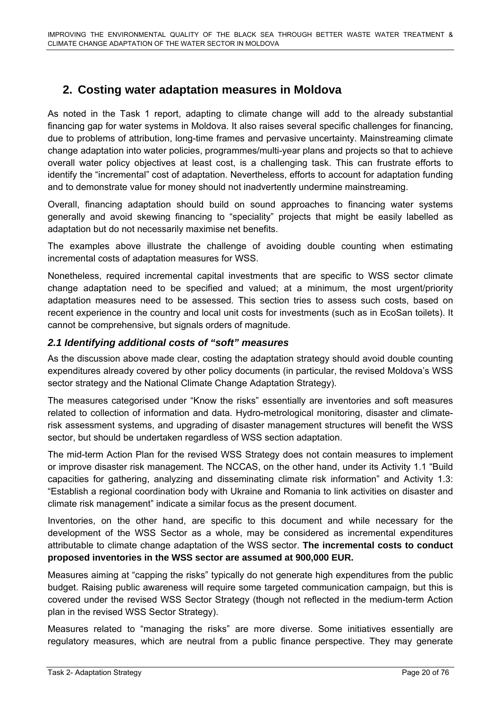# **2. Costing water adaptation measures in Moldova**

<span id="page-20-0"></span>As noted in the Task 1 report, adapting to climate change will add to the already substantial financing gap for water systems in Moldova. It also raises several specific challenges for financing, due to problems of attribution, long-time frames and pervasive uncertainty. Mainstreaming climate change adaptation into water policies, programmes/multi-year plans and projects so that to achieve overall water policy objectives at least cost, is a challenging task. This can frustrate efforts to identify the "incremental" cost of adaptation. Nevertheless, efforts to account for adaptation funding and to demonstrate value for money should not inadvertently undermine mainstreaming.

Overall, financing adaptation should build on sound approaches to financing water systems generally and avoid skewing financing to "speciality" projects that might be easily labelled as adaptation but do not necessarily maximise net benefits.

The examples above illustrate the challenge of avoiding double counting when estimating incremental costs of adaptation measures for WSS.

Nonetheless, required incremental capital investments that are specific to WSS sector climate change adaptation need to be specified and valued; at a minimum, the most urgent/priority adaptation measures need to be assessed. This section tries to assess such costs, based on recent experience in the country and local unit costs for investments (such as in EcoSan toilets). It cannot be comprehensive, but signals orders of magnitude.

# <span id="page-20-1"></span>*2.1 Identifying additional costs of "soft" measures*

As the discussion above made clear, costing the adaptation strategy should avoid double counting expenditures already covered by other policy documents (in particular, the revised Moldova's WSS sector strategy and the National Climate Change Adaptation Strategy).

The measures categorised under "Know the risks" essentially are inventories and soft measures related to collection of information and data. Hydro-metrological monitoring, disaster and climaterisk assessment systems, and upgrading of disaster management structures will benefit the WSS sector, but should be undertaken regardless of WSS section adaptation.

The mid-term Action Plan for the revised WSS Strategy does not contain measures to implement or improve disaster risk management. The NCCAS, on the other hand, under its Activity 1.1 "Build capacities for gathering, analyzing and disseminating climate risk information" and Activity 1.3: "Establish a regional coordination body with Ukraine and Romania to link activities on disaster and climate risk management" indicate a similar focus as the present document.

Inventories, on the other hand, are specific to this document and while necessary for the development of the WSS Sector as a whole, may be considered as incremental expenditures attributable to climate change adaptation of the WSS sector. **The incremental costs to conduct proposed inventories in the WSS sector are assumed at 900,000 EUR.**

Measures aiming at "capping the risks" typically do not generate high expenditures from the public budget. Raising public awareness will require some targeted communication campaign, but this is covered under the revised WSS Sector Strategy (though not reflected in the medium-term Action plan in the revised WSS Sector Strategy).

Measures related to "managing the risks" are more diverse. Some initiatives essentially are regulatory measures, which are neutral from a public finance perspective. They may generate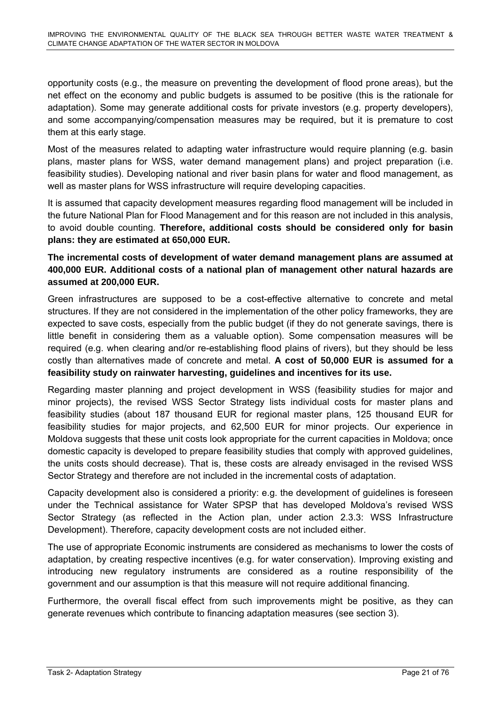opportunity costs (e.g., the measure on preventing the development of flood prone areas), but the net effect on the economy and public budgets is assumed to be positive (this is the rationale for adaptation). Some may generate additional costs for private investors (e.g. property developers), and some accompanying/compensation measures may be required, but it is premature to cost them at this early stage.

Most of the measures related to adapting water infrastructure would require planning (e.g. basin plans, master plans for WSS, water demand management plans) and project preparation (i.e. feasibility studies). Developing national and river basin plans for water and flood management, as well as master plans for WSS infrastructure will require developing capacities.

It is assumed that capacity development measures regarding flood management will be included in the future National Plan for Flood Management and for this reason are not included in this analysis, to avoid double counting. **Therefore, additional costs should be considered only for basin plans: they are estimated at 650,000 EUR.**

# **The incremental costs of development of water demand management plans are assumed at 400,000 EUR. Additional costs of a national plan of management other natural hazards are assumed at 200,000 EUR.**

Green infrastructures are supposed to be a cost-effective alternative to concrete and metal structures. If they are not considered in the implementation of the other policy frameworks, they are expected to save costs, especially from the public budget (if they do not generate savings, there is little benefit in considering them as a valuable option). Some compensation measures will be required (e.g. when clearing and/or re-establishing flood plains of rivers), but they should be less costly than alternatives made of concrete and metal. **A cost of 50,000 EUR is assumed for a feasibility study on rainwater harvesting, guidelines and incentives for its use.** 

Regarding master planning and project development in WSS (feasibility studies for major and minor projects), the revised WSS Sector Strategy lists individual costs for master plans and feasibility studies (about 187 thousand EUR for regional master plans, 125 thousand EUR for feasibility studies for major projects, and 62,500 EUR for minor projects. Our experience in Moldova suggests that these unit costs look appropriate for the current capacities in Moldova; once domestic capacity is developed to prepare feasibility studies that comply with approved guidelines, the units costs should decrease). That is, these costs are already envisaged in the revised WSS Sector Strategy and therefore are not included in the incremental costs of adaptation.

Capacity development also is considered a priority: e.g. the development of guidelines is foreseen under the Technical assistance for Water SPSP that has developed Moldova's revised WSS Sector Strategy (as reflected in the Action plan, under action 2.3.3: WSS Infrastructure Development). Therefore, capacity development costs are not included either.

The use of appropriate Economic instruments are considered as mechanisms to lower the costs of adaptation, by creating respective incentives (e.g. for water conservation). Improving existing and introducing new regulatory instruments are considered as a routine responsibility of the government and our assumption is that this measure will not require additional financing.

Furthermore, the overall fiscal effect from such improvements might be positive, as they can generate revenues which contribute to financing adaptation measures (see section 3).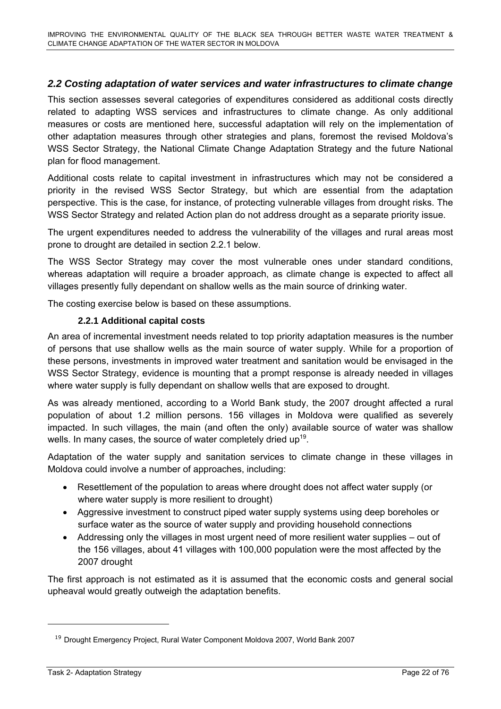# <span id="page-22-0"></span>*2.2 Costing adaptation of water services and water infrastructures to climate change*

This section assesses several categories of expenditures considered as additional costs directly related to adapting WSS services and infrastructures to climate change. As only additional measures or costs are mentioned here, successful adaptation will rely on the implementation of other adaptation measures through other strategies and plans, foremost the revised Moldova's WSS Sector Strategy, the National Climate Change Adaptation Strategy and the future National plan for flood management.

Additional costs relate to capital investment in infrastructures which may not be considered a priority in the revised WSS Sector Strategy, but which are essential from the adaptation perspective. This is the case, for instance, of protecting vulnerable villages from drought risks. The WSS Sector Strategy and related Action plan do not address drought as a separate priority issue.

The urgent expenditures needed to address the vulnerability of the villages and rural areas most prone to drought are detailed in section 2.2.1 below.

The WSS Sector Strategy may cover the most vulnerable ones under standard conditions, whereas adaptation will require a broader approach, as climate change is expected to affect all villages presently fully dependant on shallow wells as the main source of drinking water.

The costing exercise below is based on these assumptions.

#### **2.2.1 Additional capital costs**

An area of incremental investment needs related to top priority adaptation measures is the number of persons that use shallow wells as the main source of water supply. While for a proportion of these persons, investments in improved water treatment and sanitation would be envisaged in the WSS Sector Strategy, evidence is mounting that a prompt response is already needed in villages where water supply is fully dependant on shallow wells that are exposed to drought.

As was already mentioned, according to a World Bank study, the 2007 drought affected a rural population of about 1.2 million persons. 156 villages in Moldova were qualified as severely impacted. In such villages, the main (and often the only) available source of water was shallow wells. In many cases, the source of water completely dried up<sup>19</sup>.

Adaptation of the water supply and sanitation services to climate change in these villages in Moldova could involve a number of approaches, including:

- Resettlement of the population to areas where drought does not affect water supply (or where water supply is more resilient to drought)
- Aggressive investment to construct piped water supply systems using deep boreholes or surface water as the source of water supply and providing household connections
- Addressing only the villages in most urgent need of more resilient water supplies out of the 156 villages, about 41 villages with 100,000 population were the most affected by the 2007 drought

The first approach is not estimated as it is assumed that the economic costs and general social upheaval would greatly outweigh the adaptation benefits.

<sup>&</sup>lt;sup>19</sup> Drought Emergency Project, Rural Water Component Moldova 2007, World Bank 2007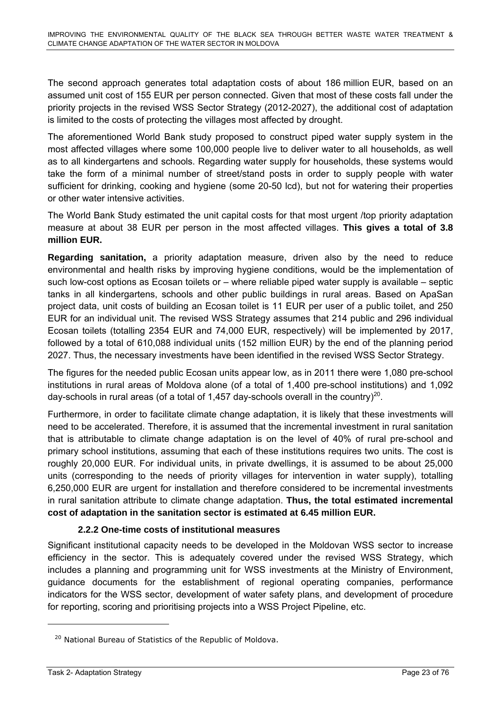The second approach generates total adaptation costs of about 186 million EUR, based on an assumed unit cost of 155 EUR per person connected. Given that most of these costs fall under the priority projects in the revised WSS Sector Strategy (2012-2027), the additional cost of adaptation is limited to the costs of protecting the villages most affected by drought.

The aforementioned World Bank study proposed to construct piped water supply system in the most affected villages where some 100,000 people live to deliver water to all households, as well as to all kindergartens and schools. Regarding water supply for households, these systems would take the form of a minimal number of street/stand posts in order to supply people with water sufficient for drinking, cooking and hygiene (some 20-50 lcd), but not for watering their properties or other water intensive activities.

The World Bank Study estimated the unit capital costs for that most urgent /top priority adaptation measure at about 38 EUR per person in the most affected villages. **This gives a total of 3.8 million EUR.** 

**Regarding sanitation,** a priority adaptation measure, driven also by the need to reduce environmental and health risks by improving hygiene conditions, would be the implementation of such low-cost options as Ecosan toilets or – where reliable piped water supply is available – septic tanks in all kindergartens, schools and other public buildings in rural areas. Based on ApaSan project data, unit costs of building an Ecosan toilet is 11 EUR per user of a public toilet, and 250 EUR for an individual unit. The revised WSS Strategy assumes that 214 public and 296 individual Ecosan toilets (totalling 2354 EUR and 74,000 EUR, respectively) will be implemented by 2017, followed by a total of 610,088 individual units (152 million EUR) by the end of the planning period 2027. Thus, the necessary investments have been identified in the revised WSS Sector Strategy.

The figures for the needed public Ecosan units appear low, as in 2011 there were 1,080 pre-school institutions in rural areas of Moldova alone (of a total of 1,400 pre-school institutions) and 1,092 day-schools in rural areas (of a total of 1,457 day-schools overall in the country)<sup>20</sup>.

Furthermore, in order to facilitate climate change adaptation, it is likely that these investments will need to be accelerated. Therefore, it is assumed that the incremental investment in rural sanitation that is attributable to climate change adaptation is on the level of 40% of rural pre-school and primary school institutions, assuming that each of these institutions requires two units. The cost is roughly 20,000 EUR. For individual units, in private dwellings, it is assumed to be about 25,000 units (corresponding to the needs of priority villages for intervention in water supply), totalling 6,250,000 EUR are urgent for installation and therefore considered to be incremental investments in rural sanitation attribute to climate change adaptation. **Thus, the total estimated incremental cost of adaptation in the sanitation sector is estimated at 6.45 million EUR.** 

# **2.2.2 One-time costs of institutional measures**

Significant institutional capacity needs to be developed in the Moldovan WSS sector to increase efficiency in the sector. This is adequately covered under the revised WSS Strategy, which includes a planning and programming unit for WSS investments at the Ministry of Environment, guidance documents for the establishment of regional operating companies, performance indicators for the WSS sector, development of water safety plans, and development of procedure for reporting, scoring and prioritising projects into a WSS Project Pipeline, etc.

<sup>&</sup>lt;sup>20</sup> National Bureau of Statistics of the Republic of Moldova.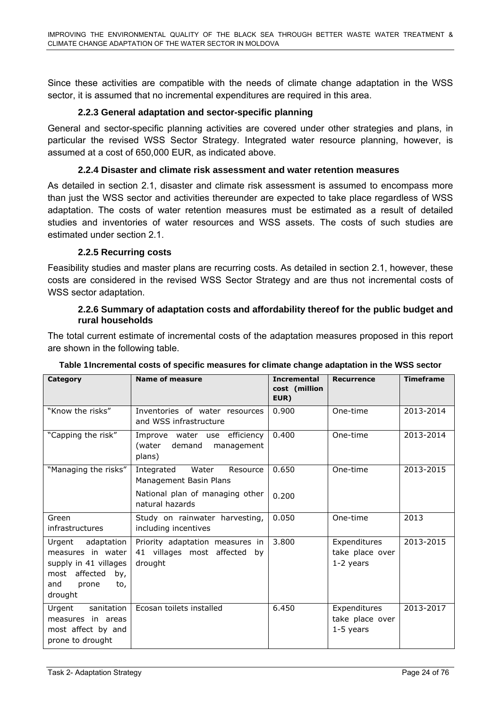Since these activities are compatible with the needs of climate change adaptation in the WSS sector, it is assumed that no incremental expenditures are required in this area.

#### **2.2.3 General adaptation and sector-specific planning**

General and sector-specific planning activities are covered under other strategies and plans, in particular the revised WSS Sector Strategy. Integrated water resource planning, however, is assumed at a cost of 650,000 EUR, as indicated above.

#### **2.2.4 Disaster and climate risk assessment and water retention measures**

As detailed in section 2.1, disaster and climate risk assessment is assumed to encompass more than just the WSS sector and activities thereunder are expected to take place regardless of WSS adaptation. The costs of water retention measures must be estimated as a result of detailed studies and inventories of water resources and WSS assets. The costs of such studies are estimated under section 2.1

#### **2.2.5 Recurring costs**

Feasibility studies and master plans are recurring costs. As detailed in section 2.1, however, these costs are considered in the revised WSS Sector Strategy and are thus not incremental costs of WSS sector adaptation.

#### **2.2.6 Summary of adaptation costs and affordability thereof for the public budget and rural households**

The total current estimate of incremental costs of the adaptation measures proposed in this report are shown in the following table.

| Category                                                                                                                     | Name of measure                                                                              | <b>Incremental</b><br>cost (million<br>EUR) | <b>Recurrence</b>                              | <b>Timeframe</b> |
|------------------------------------------------------------------------------------------------------------------------------|----------------------------------------------------------------------------------------------|---------------------------------------------|------------------------------------------------|------------------|
| "Know the risks"                                                                                                             | Inventories of water resources<br>and WSS infrastructure                                     | 0.900                                       | One-time                                       | 2013-2014        |
| "Capping the risk"                                                                                                           | Improve water use efficiency<br>(water<br>demand<br>management<br>plans)                     | 0.400                                       | One-time                                       | 2013-2014        |
| "Managing the risks"                                                                                                         | Water<br>Integrated<br>Resource<br>Management Basin Plans<br>National plan of managing other | 0.650<br>0.200                              | One-time                                       | 2013-2015        |
|                                                                                                                              | natural hazards                                                                              |                                             |                                                |                  |
| Green<br>infrastructures                                                                                                     | Study on rainwater harvesting,<br>including incentives                                       | 0.050                                       | One-time                                       | 2013             |
| Urgent adaptation<br>measures in water<br>supply in 41 villages<br>affected<br>most<br>by,<br>and<br>prone<br>to,<br>drought | Priority adaptation measures in<br>41 villages most affected by<br>drought                   | 3.800                                       | Expenditures<br>take place over<br>$1-2$ years | 2013-2015        |
| sanitation<br>Urgent<br>measures in areas<br>most affect by and<br>prone to drought                                          | Ecosan toilets installed                                                                     | 6.450                                       | Expenditures<br>take place over<br>$1-5$ years | 2013-2017        |

#### **Table 1 Incremental costs of specific measures for climate change adaptation in the WSS sector**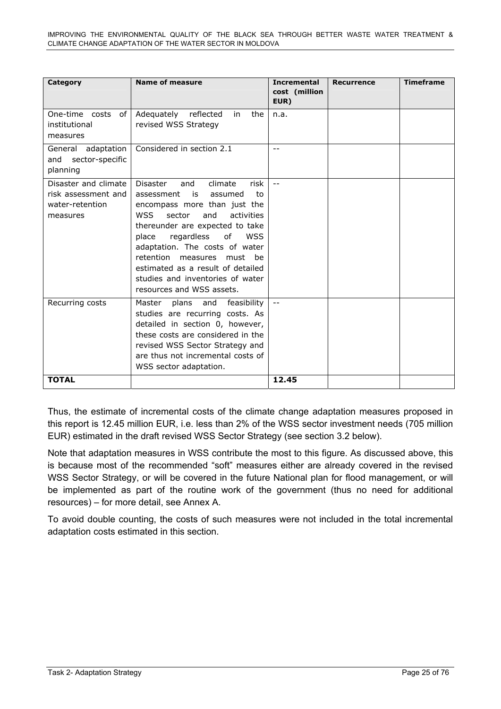| Category                                                                   | <b>Name of measure</b>                                                                                                                                                                                                                                                                                                                                                                                             | <b>Incremental</b><br>cost (million<br>EUR) | <b>Recurrence</b> | <b>Timeframe</b> |
|----------------------------------------------------------------------------|--------------------------------------------------------------------------------------------------------------------------------------------------------------------------------------------------------------------------------------------------------------------------------------------------------------------------------------------------------------------------------------------------------------------|---------------------------------------------|-------------------|------------------|
| One-time costs<br>of<br>institutional<br>measures                          | Adequately reflected<br>the<br>in.<br>revised WSS Strategy                                                                                                                                                                                                                                                                                                                                                         | n.a.                                        |                   |                  |
| General adaptation<br>sector-specific<br>and<br>planning                   | Considered in section 2.1                                                                                                                                                                                                                                                                                                                                                                                          | $- -$                                       |                   |                  |
| Disaster and climate<br>risk assessment and<br>water-retention<br>measures | <b>Disaster</b><br>climate<br>and<br>risk<br>assessment<br>is<br>assumed<br>to<br>encompass more than just the<br>sector<br>and<br>activities<br><b>WSS</b><br>thereunder are expected to take<br>regardless<br>of<br><b>WSS</b><br>place<br>adaptation. The costs of water<br>retention measures<br>must be<br>estimated as a result of detailed<br>studies and inventories of water<br>resources and WSS assets. | $- -$                                       |                   |                  |
| Recurring costs                                                            | Master<br>plans<br>and<br>feasibility<br>studies are recurring costs. As<br>detailed in section 0, however,<br>these costs are considered in the<br>revised WSS Sector Strategy and<br>are thus not incremental costs of<br>WSS sector adaptation.                                                                                                                                                                 | $\overline{\phantom{m}}$                    |                   |                  |
| <b>TOTAL</b>                                                               |                                                                                                                                                                                                                                                                                                                                                                                                                    | 12.45                                       |                   |                  |

Thus, the estimate of incremental costs of the climate change adaptation measures proposed in this report is 12.45 million EUR, i.e. less than 2% of the WSS sector investment needs (705 million EUR) estimated in the draft revised WSS Sector Strategy (see section 3.2 below).

Note that adaptation measures in WSS contribute the most to this figure. As discussed above, this is because most of the recommended "soft" measures either are already covered in the revised WSS Sector Strategy, or will be covered in the future National plan for flood management, or will be implemented as part of the routine work of the government (thus no need for additional resources) – for more detail, see Annex A.

To avoid double counting, the costs of such measures were not included in the total incremental adaptation costs estimated in this section.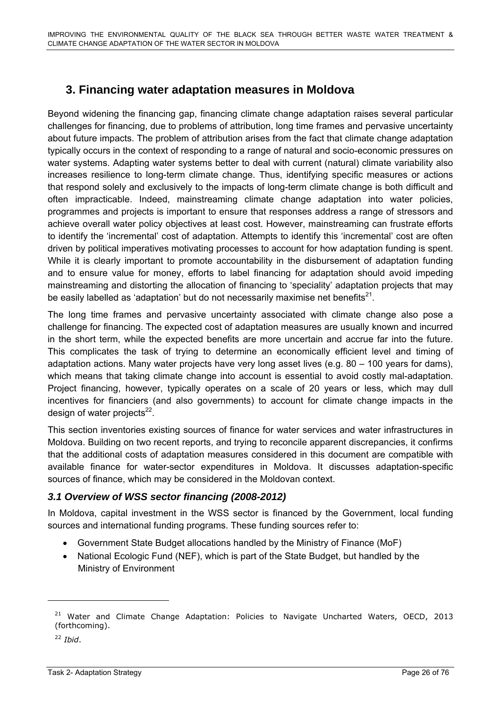# **3. Financing water adaptation measures in Moldova**

<span id="page-26-0"></span>Beyond widening the financing gap, financing climate change adaptation raises several particular challenges for financing, due to problems of attribution, long time frames and pervasive uncertainty about future impacts. The problem of attribution arises from the fact that climate change adaptation typically occurs in the context of responding to a range of natural and socio-economic pressures on water systems. Adapting water systems better to deal with current (natural) climate variability also increases resilience to long-term climate change. Thus, identifying specific measures or actions that respond solely and exclusively to the impacts of long-term climate change is both difficult and often impracticable. Indeed, mainstreaming climate change adaptation into water policies, programmes and projects is important to ensure that responses address a range of stressors and achieve overall water policy objectives at least cost. However, mainstreaming can frustrate efforts to identify the 'incremental' cost of adaptation. Attempts to identify this 'incremental' cost are often driven by political imperatives motivating processes to account for how adaptation funding is spent. While it is clearly important to promote accountability in the disbursement of adaptation funding and to ensure value for money, efforts to label financing for adaptation should avoid impeding mainstreaming and distorting the allocation of financing to 'speciality' adaptation projects that may be easily labelled as 'adaptation' but do not necessarily maximise net benefits $21$ .

The long time frames and pervasive uncertainty associated with climate change also pose a challenge for financing. The expected cost of adaptation measures are usually known and incurred in the short term, while the expected benefits are more uncertain and accrue far into the future. This complicates the task of trying to determine an economically efficient level and timing of adaptation actions. Many water projects have very long asset lives (e.g. 80 – 100 years for dams), which means that taking climate change into account is essential to avoid costly mal-adaptation. Project financing, however, typically operates on a scale of 20 years or less, which may dull incentives for financiers (and also governments) to account for climate change impacts in the design of water projects $^{22}$ .

This section inventories existing sources of finance for water services and water infrastructures in Moldova. Building on two recent reports, and trying to reconcile apparent discrepancies, it confirms that the additional costs of adaptation measures considered in this document are compatible with available finance for water-sector expenditures in Moldova. It discusses adaptation-specific sources of finance, which may be considered in the Moldovan context.

# <span id="page-26-1"></span>*3.1 Overview of WSS sector financing (2008-2012)*

In Moldova, capital investment in the WSS sector is financed by the Government, local funding sources and international funding programs. These funding sources refer to:

- Government State Budget allocations handled by the Ministry of Finance (MoF)
- National Ecologic Fund (NEF), which is part of the State Budget, but handled by the Ministry of Environment

<sup>22</sup> *Ibid*.

 $\overline{a}$ 

<sup>&</sup>lt;sup>21</sup> Water and Climate Change Adaptation: Policies to Navigate Uncharted Waters, OECD, 2013 (forthcoming).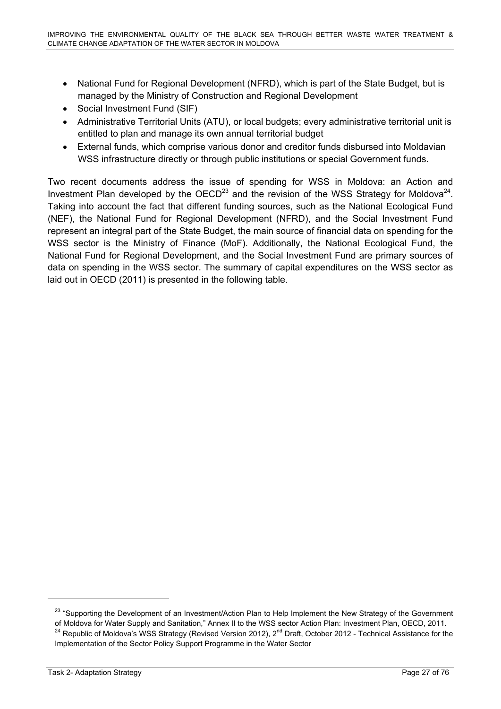- National Fund for Regional Development (NFRD), which is part of the State Budget, but is managed by the Ministry of Construction and Regional Development
- Social Investment Fund (SIF)
- Administrative Territorial Units (ATU), or local budgets; every administrative territorial unit is entitled to plan and manage its own annual territorial budget
- External funds, which comprise various donor and creditor funds disbursed into Moldavian WSS infrastructure directly or through public institutions or special Government funds.

Two recent documents address the issue of spending for WSS in Moldova: an Action and Investment Plan developed by the OECD<sup>23</sup> and the revision of the WSS Strategy for Moldova<sup>24</sup>. Taking into account the fact that different funding sources, such as the National Ecological Fund (NEF), the National Fund for Regional Development (NFRD), and the Social Investment Fund represent an integral part of the State Budget, the main source of financial data on spending for the WSS sector is the Ministry of Finance (MoF). Additionally, the National Ecological Fund, the National Fund for Regional Development, and the Social Investment Fund are primary sources of data on spending in the WSS sector. The summary of capital expenditures on the WSS sector as laid out in OECD (2011) is presented in the following table.

<sup>&</sup>lt;sup>23</sup> "Supporting the Development of an Investment/Action Plan to Help Implement the New Strategy of the Government of Moldova for Water Supply and Sanitation," Annex II to the WSS sector Action Plan: Investment Plan, OECD, 2011.<br><sup>24</sup> Republic of Moldova's WSS Strategy (Revised Version 2012), 2<sup>nd</sup> Draft, October 2012 - Technical Assist Implementation of the Sector Policy Support Programme in the Water Sector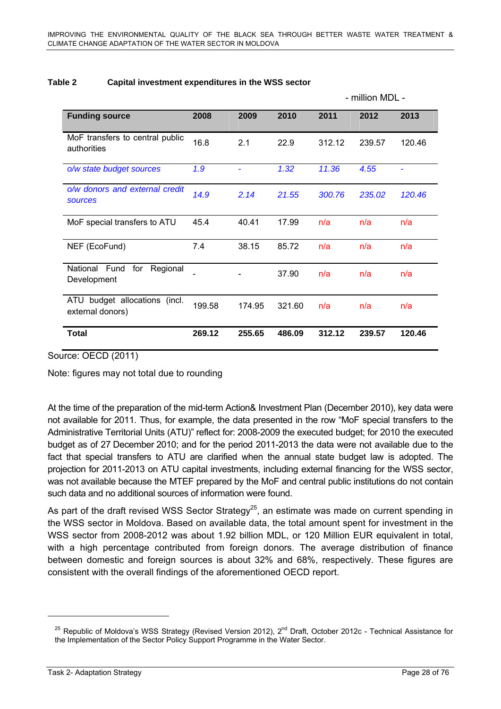million MDL

|                                                         |        |        |        | - IIIIIIIUII IVIDL - |        |        |
|---------------------------------------------------------|--------|--------|--------|----------------------|--------|--------|
| <b>Funding source</b>                                   | 2008   | 2009   | 2010   | 2011                 | 2012   | 2013   |
| MoF transfers to central public<br>authorities          | 16.8   | 2.1    | 22.9   | 312.12               | 239.57 | 120.46 |
| o/w state budget sources                                | 1.9    |        | 1.32   | 11.36                | 4.55   |        |
| o/w donors and external credit<br><b>sources</b>        | 14.9   | 2.14   | 21.55  | 300.76               | 235.02 | 120.46 |
| MoF special transfers to ATU                            | 45.4   | 40.41  | 17.99  | n/a                  | n/a    | n/a    |
| NEF (EcoFund)                                           | 7.4    | 38.15  | 85.72  | n/a                  | n/a    | n/a    |
| National Fund<br>for<br>Regional<br>Development         |        |        | 37.90  | n/a                  | n/a    | n/a    |
| budget allocations<br>(incl.<br>ATU<br>external donors) | 199.58 | 174.95 | 321.60 | n/a                  | n/a    | n/a    |
| <b>Total</b>                                            | 269.12 | 255.65 | 486.09 | 312.12               | 239.57 | 120.46 |

#### **Table 2 Capital investment expenditures in the WSS sector**

Source: OECD (2011)

Note: figures may not total due to rounding

At the time of the preparation of the mid-term Action& Investment Plan (December 2010), key data were not available for 2011. Thus, for example, the data presented in the row "MoF special transfers to the Administrative Territorial Units (ATU)" reflect for: 2008-2009 the executed budget; for 2010 the executed budget as of 27 December 2010; and for the period 2011-2013 the data were not available due to the fact that special transfers to ATU are clarified when the annual state budget law is adopted. The projection for 2011-2013 on ATU capital investments, including external financing for the WSS sector, was not available because the MTEF prepared by the MoF and central public institutions do not contain such data and no additional sources of information were found.

As part of the draft revised WSS Sector Strategy<sup>25</sup>, an estimate was made on current spending in the WSS sector in Moldova. Based on available data, the total amount spent for investment in the WSS sector from 2008-2012 was about 1.92 billion MDL, or 120 Million EUR equivalent in total, with a high percentage contributed from foreign donors. The average distribution of finance between domestic and foreign sources is about 32% and 68%, respectively. These figures are consistent with the overall findings of the aforementioned OECD report.

<sup>&</sup>lt;sup>25</sup> Republic of Moldova's WSS Strategy (Revised Version 2012), 2<sup>nd</sup> Draft, October 2012c - Technical Assistance for the Implementation of the Sector Policy Support Programme in the Water Sector.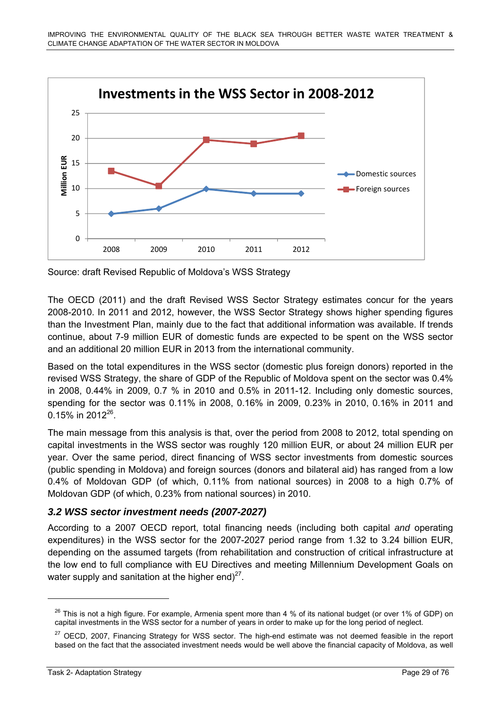

Source: draft Revised Republic of Moldova's WSS Strategy

The OECD (2011) and the draft Revised WSS Sector Strategy estimates concur for the years 2008-2010. In 2011 and 2012, however, the WSS Sector Strategy shows higher spending figures than the Investment Plan, mainly due to the fact that additional information was available. If trends continue, about 7-9 million EUR of domestic funds are expected to be spent on the WSS sector and an additional 20 million EUR in 2013 from the international community.

Based on the total expenditures in the WSS sector (domestic plus foreign donors) reported in the revised WSS Strategy, the share of GDP of the Republic of Moldova spent on the sector was 0.4% in 2008, 0.44% in 2009, 0.7 % in 2010 and 0.5% in 2011-12. Including only domestic sources, spending for the sector was 0.11% in 2008, 0.16% in 2009, 0.23% in 2010, 0.16% in 2011 and 0.15% in  $2012^{26}$ .

The main message from this analysis is that, over the period from 2008 to 2012, total spending on capital investments in the WSS sector was roughly 120 million EUR, or about 24 million EUR per year. Over the same period, direct financing of WSS sector investments from domestic sources (public spending in Moldova) and foreign sources (donors and bilateral aid) has ranged from a low 0.4% of Moldovan GDP (of which, 0.11% from national sources) in 2008 to a high 0.7% of Moldovan GDP (of which, 0.23% from national sources) in 2010.

# <span id="page-29-0"></span>*3.2 WSS sector investment needs (2007-2027)*

According to a 2007 OECD report, total financing needs (including both capital *and* operating expenditures) in the WSS sector for the 2007-2027 period range from 1.32 to 3.24 billion EUR, depending on the assumed targets (from rehabilitation and construction of critical infrastructure at the low end to full compliance with EU Directives and meeting Millennium Development Goals on water supply and sanitation at the higher end) $27$ .

 $^{26}$  This is not a high figure. For example, Armenia spent more than 4 % of its national budget (or over 1% of GDP) on capital investments in the WSS sector for a number of years in order to make up for the long period of neglect.

<sup>&</sup>lt;sup>27</sup> OECD, 2007, Financing Strategy for WSS sector. The high-end estimate was not deemed feasible in the report based on the fact that the associated investment needs would be well above the financial capacity of Moldova, as well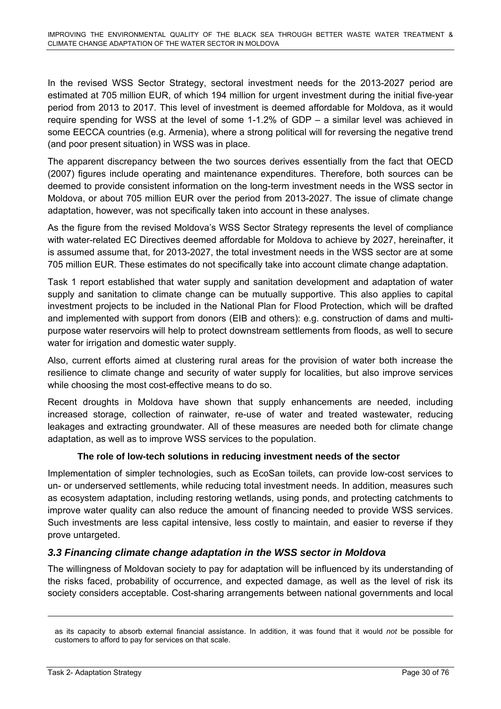In the revised WSS Sector Strategy, sectoral investment needs for the 2013-2027 period are estimated at 705 million EUR, of which 194 million for urgent investment during the initial five-year period from 2013 to 2017. This level of investment is deemed affordable for Moldova, as it would require spending for WSS at the level of some 1-1.2% of GDP – a similar level was achieved in some EECCA countries (e.g. Armenia), where a strong political will for reversing the negative trend (and poor present situation) in WSS was in place.

The apparent discrepancy between the two sources derives essentially from the fact that OECD (2007) figures include operating and maintenance expenditures. Therefore, both sources can be deemed to provide consistent information on the long-term investment needs in the WSS sector in Moldova, or about 705 million EUR over the period from 2013-2027. The issue of climate change adaptation, however, was not specifically taken into account in these analyses.

As the figure from the revised Moldova's WSS Sector Strategy represents the level of compliance with water-related EC Directives deemed affordable for Moldova to achieve by 2027, hereinafter, it is assumed assume that, for 2013-2027, the total investment needs in the WSS sector are at some 705 million EUR. These estimates do not specifically take into account climate change adaptation.

Task 1 report established that water supply and sanitation development and adaptation of water supply and sanitation to climate change can be mutually supportive. This also applies to capital investment projects to be included in the National Plan for Flood Protection, which will be drafted and implemented with support from donors (EIB and others): e.g. construction of dams and multipurpose water reservoirs will help to protect downstream settlements from floods, as well to secure water for irrigation and domestic water supply.

Also, current efforts aimed at clustering rural areas for the provision of water both increase the resilience to climate change and security of water supply for localities, but also improve services while choosing the most cost-effective means to do so.

Recent droughts in Moldova have shown that supply enhancements are needed, including increased storage, collection of rainwater, re-use of water and treated wastewater, reducing leakages and extracting groundwater. All of these measures are needed both for climate change adaptation, as well as to improve WSS services to the population.

# **The role of low-tech solutions in reducing investment needs of the sector**

Implementation of simpler technologies, such as EcoSan toilets, can provide low-cost services to un- or underserved settlements, while reducing total investment needs. In addition, measures such as ecosystem adaptation, including restoring wetlands, using ponds, and protecting catchments to improve water quality can also reduce the amount of financing needed to provide WSS services. Such investments are less capital intensive, less costly to maintain, and easier to reverse if they prove untargeted.

# <span id="page-30-0"></span>*3.3 Financing climate change adaptation in the WSS sector in Moldova*

The willingness of Moldovan society to pay for adaptation will be influenced by its understanding of the risks faced, probability of occurrence, and expected damage, as well as the level of risk its society considers acceptable. Cost-sharing arrangements between national governments and local

as its capacity to absorb external financial assistance. In addition, it was found that it would *not* be possible for customers to afford to pay for services on that scale.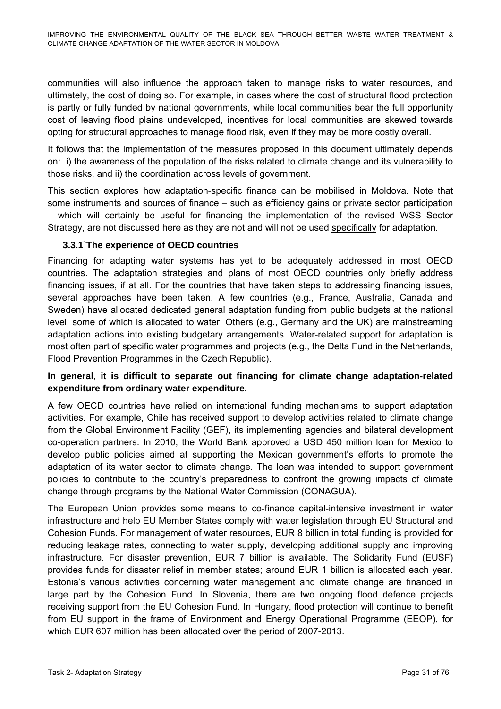communities will also influence the approach taken to manage risks to water resources, and ultimately, the cost of doing so. For example, in cases where the cost of structural flood protection is partly or fully funded by national governments, while local communities bear the full opportunity cost of leaving flood plains undeveloped, incentives for local communities are skewed towards opting for structural approaches to manage flood risk, even if they may be more costly overall.

It follows that the implementation of the measures proposed in this document ultimately depends on: i) the awareness of the population of the risks related to climate change and its vulnerability to those risks, and ii) the coordination across levels of government.

This section explores how adaptation-specific finance can be mobilised in Moldova. Note that some instruments and sources of finance – such as efficiency gains or private sector participation – which will certainly be useful for financing the implementation of the revised WSS Sector Strategy, are not discussed here as they are not and will not be used specifically for adaptation.

# **3.3.1`The experience of OECD countries**

Financing for adapting water systems has yet to be adequately addressed in most OECD countries. The adaptation strategies and plans of most OECD countries only briefly address financing issues, if at all. For the countries that have taken steps to addressing financing issues, several approaches have been taken. A few countries (e.g., France, Australia, Canada and Sweden) have allocated dedicated general adaptation funding from public budgets at the national level, some of which is allocated to water. Others (e.g., Germany and the UK) are mainstreaming adaptation actions into existing budgetary arrangements. Water-related support for adaptation is most often part of specific water programmes and projects (e.g., the Delta Fund in the Netherlands, Flood Prevention Programmes in the Czech Republic).

# **In general, it is difficult to separate out financing for climate change adaptation-related expenditure from ordinary water expenditure.**

A few OECD countries have relied on international funding mechanisms to support adaptation activities. For example, Chile has received support to develop activities related to climate change from the Global Environment Facility (GEF), its implementing agencies and bilateral development co-operation partners. In 2010, the World Bank approved a USD 450 million loan for Mexico to develop public policies aimed at supporting the Mexican government's efforts to promote the adaptation of its water sector to climate change. The loan was intended to support government policies to contribute to the country's preparedness to confront the growing impacts of climate change through programs by the National Water Commission (CONAGUA).

The European Union provides some means to co-finance capital-intensive investment in water infrastructure and help EU Member States comply with water legislation through EU Structural and Cohesion Funds. For management of water resources, EUR 8 billion in total funding is provided for reducing leakage rates, connecting to water supply, developing additional supply and improving infrastructure. For disaster prevention, EUR 7 billion is available. The Solidarity Fund (EUSF) provides funds for disaster relief in member states; around EUR 1 billion is allocated each year. Estonia's various activities concerning water management and climate change are financed in large part by the Cohesion Fund. In Slovenia, there are two ongoing flood defence projects receiving support from the EU Cohesion Fund. In Hungary, flood protection will continue to benefit from EU support in the frame of Environment and Energy Operational Programme (EEOP), for which EUR 607 million has been allocated over the period of 2007-2013.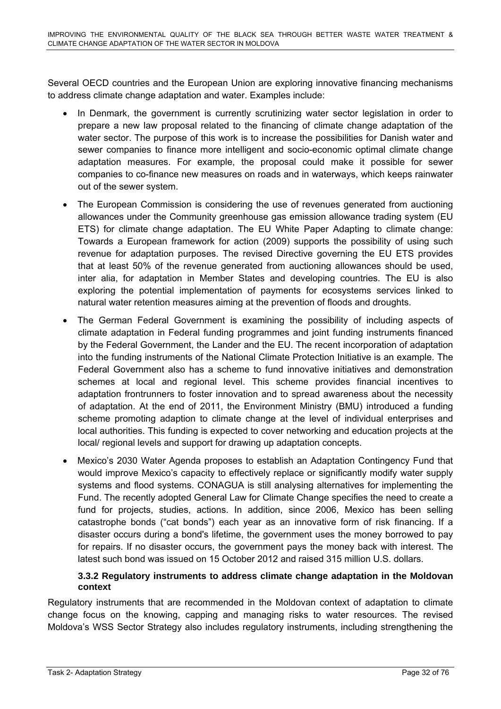Several OECD countries and the European Union are exploring innovative financing mechanisms to address climate change adaptation and water. Examples include:

- In Denmark, the government is currently scrutinizing water sector legislation in order to prepare a new law proposal related to the financing of climate change adaptation of the water sector. The purpose of this work is to increase the possibilities for Danish water and sewer companies to finance more intelligent and socio-economic optimal climate change adaptation measures. For example, the proposal could make it possible for sewer companies to co-finance new measures on roads and in waterways, which keeps rainwater out of the sewer system.
- The European Commission is considering the use of revenues generated from auctioning allowances under the Community greenhouse gas emission allowance trading system (EU ETS) for climate change adaptation. The EU White Paper Adapting to climate change: Towards a European framework for action (2009) supports the possibility of using such revenue for adaptation purposes. The revised Directive governing the EU ETS provides that at least 50% of the revenue generated from auctioning allowances should be used, inter alia, for adaptation in Member States and developing countries. The EU is also exploring the potential implementation of payments for ecosystems services linked to natural water retention measures aiming at the prevention of floods and droughts.
- The German Federal Government is examining the possibility of including aspects of climate adaptation in Federal funding programmes and joint funding instruments financed by the Federal Government, the Lander and the EU. The recent incorporation of adaptation into the funding instruments of the National Climate Protection Initiative is an example. The Federal Government also has a scheme to fund innovative initiatives and demonstration schemes at local and regional level. This scheme provides financial incentives to adaptation frontrunners to foster innovation and to spread awareness about the necessity of adaptation. At the end of 2011, the Environment Ministry (BMU) introduced a funding scheme promoting adaption to climate change at the level of individual enterprises and local authorities. This funding is expected to cover networking and education projects at the local/ regional levels and support for drawing up adaptation concepts.
- Mexico's 2030 Water Agenda proposes to establish an Adaptation Contingency Fund that would improve Mexico's capacity to effectively replace or significantly modify water supply systems and flood systems. CONAGUA is still analysing alternatives for implementing the Fund. The recently adopted General Law for Climate Change specifies the need to create a fund for projects, studies, actions. In addition, since 2006, Mexico has been selling catastrophe bonds ("cat bonds") each year as an innovative form of risk financing. If a disaster occurs during a bond's lifetime, the government uses the money borrowed to pay for repairs. If no disaster occurs, the government pays the money back with interest. The latest such bond was issued on 15 October 2012 and raised 315 million U.S. dollars.

#### **3.3.2 Regulatory instruments to address climate change adaptation in the Moldovan context**

Regulatory instruments that are recommended in the Moldovan context of adaptation to climate change focus on the knowing, capping and managing risks to water resources. The revised Moldova's WSS Sector Strategy also includes regulatory instruments, including strengthening the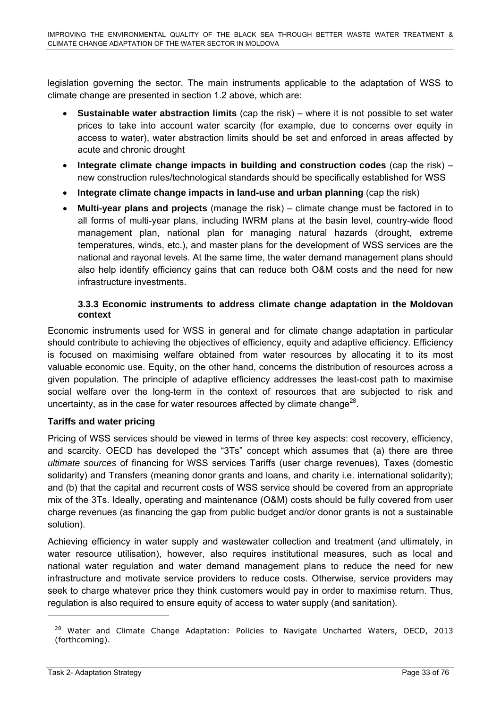legislation governing the sector. The main instruments applicable to the adaptation of WSS to climate change are presented in section 1.2 above, which are:

- **Sustainable water abstraction limits** (cap the risk) where it is not possible to set water prices to take into account water scarcity (for example, due to concerns over equity in access to water), water abstraction limits should be set and enforced in areas affected by acute and chronic drought
- **Integrate climate change impacts in building and construction codes** (cap the risk) new construction rules/technological standards should be specifically established for WSS
- **Integrate climate change impacts in land-use and urban planning** (cap the risk)
- **Multi-year plans and projects** (manage the risk) climate change must be factored in to all forms of multi-year plans, including IWRM plans at the basin level, country-wide flood management plan, national plan for managing natural hazards (drought, extreme temperatures, winds, etc.), and master plans for the development of WSS services are the national and rayonal levels. At the same time, the water demand management plans should also help identify efficiency gains that can reduce both O&M costs and the need for new infrastructure investments.

#### **3.3.3 Economic instruments to address climate change adaptation in the Moldovan context**

Economic instruments used for WSS in general and for climate change adaptation in particular should contribute to achieving the objectives of efficiency, equity and adaptive efficiency. Efficiency is focused on maximising welfare obtained from water resources by allocating it to its most valuable economic use. Equity, on the other hand, concerns the distribution of resources across a given population. The principle of adaptive efficiency addresses the least-cost path to maximise social welfare over the long-term in the context of resources that are subjected to risk and uncertainty, as in the case for water resources affected by climate change<sup>28</sup>.

# **Tariffs and water pricing**

Pricing of WSS services should be viewed in terms of three key aspects: cost recovery, efficiency, and scarcity. OECD has developed the "3Ts" concept which assumes that (a) there are three *ultimate sources* of financing for WSS services Tariffs (user charge revenues), Taxes (domestic solidarity) and Transfers (meaning donor grants and loans, and charity i.e. international solidarity); and (b) that the capital and recurrent costs of WSS service should be covered from an appropriate mix of the 3Ts. Ideally, operating and maintenance (O&M) costs should be fully covered from user charge revenues (as financing the gap from public budget and/or donor grants is not a sustainable solution).

Achieving efficiency in water supply and wastewater collection and treatment (and ultimately, in water resource utilisation), however, also requires institutional measures, such as local and national water regulation and water demand management plans to reduce the need for new infrastructure and motivate service providers to reduce costs. Otherwise, service providers may seek to charge whatever price they think customers would pay in order to maximise return. Thus, regulation is also required to ensure equity of access to water supply (and sanitation).

<sup>&</sup>lt;sup>28</sup> Water and Climate Change Adaptation: Policies to Navigate Uncharted Waters, OECD, 2013 (forthcoming).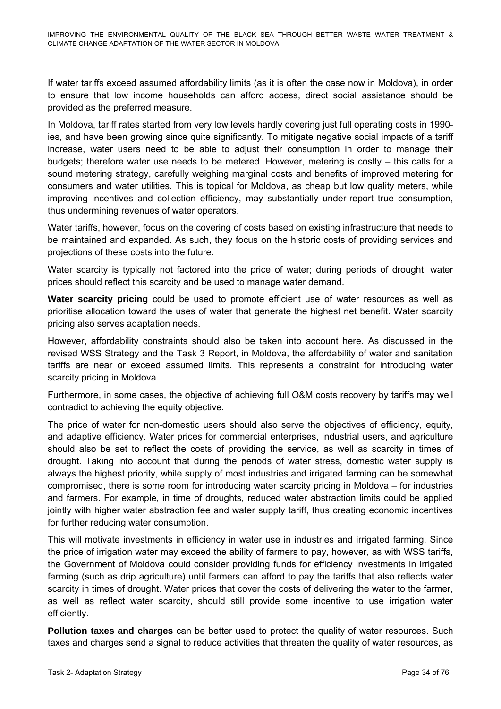If water tariffs exceed assumed affordability limits (as it is often the case now in Moldova), in order to ensure that low income households can afford access, direct social assistance should be provided as the preferred measure.

In Moldova, tariff rates started from very low levels hardly covering just full operating costs in 1990 ies, and have been growing since quite significantly. To mitigate negative social impacts of a tariff increase, water users need to be able to adjust their consumption in order to manage their budgets; therefore water use needs to be metered. However, metering is costly – this calls for a sound metering strategy, carefully weighing marginal costs and benefits of improved metering for consumers and water utilities. This is topical for Moldova, as cheap but low quality meters, while improving incentives and collection efficiency, may substantially under-report true consumption, thus undermining revenues of water operators.

Water tariffs, however, focus on the covering of costs based on existing infrastructure that needs to be maintained and expanded. As such, they focus on the historic costs of providing services and projections of these costs into the future.

Water scarcity is typically not factored into the price of water; during periods of drought, water prices should reflect this scarcity and be used to manage water demand.

**Water scarcity pricing** could be used to promote efficient use of water resources as well as prioritise allocation toward the uses of water that generate the highest net benefit. Water scarcity pricing also serves adaptation needs.

However, affordability constraints should also be taken into account here. As discussed in the revised WSS Strategy and the Task 3 Report, in Moldova, the affordability of water and sanitation tariffs are near or exceed assumed limits. This represents a constraint for introducing water scarcity pricing in Moldova.

Furthermore, in some cases, the objective of achieving full O&M costs recovery by tariffs may well contradict to achieving the equity objective.

The price of water for non-domestic users should also serve the objectives of efficiency, equity, and adaptive efficiency. Water prices for commercial enterprises, industrial users, and agriculture should also be set to reflect the costs of providing the service, as well as scarcity in times of drought. Taking into account that during the periods of water stress, domestic water supply is always the highest priority, while supply of most industries and irrigated farming can be somewhat compromised, there is some room for introducing water scarcity pricing in Moldova – for industries and farmers. For example, in time of droughts, reduced water abstraction limits could be applied jointly with higher water abstraction fee and water supply tariff, thus creating economic incentives for further reducing water consumption.

This will motivate investments in efficiency in water use in industries and irrigated farming. Since the price of irrigation water may exceed the ability of farmers to pay, however, as with WSS tariffs, the Government of Moldova could consider providing funds for efficiency investments in irrigated farming (such as drip agriculture) until farmers can afford to pay the tariffs that also reflects water scarcity in times of drought. Water prices that cover the costs of delivering the water to the farmer, as well as reflect water scarcity, should still provide some incentive to use irrigation water efficiently.

**Pollution taxes and charges** can be better used to protect the quality of water resources. Such taxes and charges send a signal to reduce activities that threaten the quality of water resources, as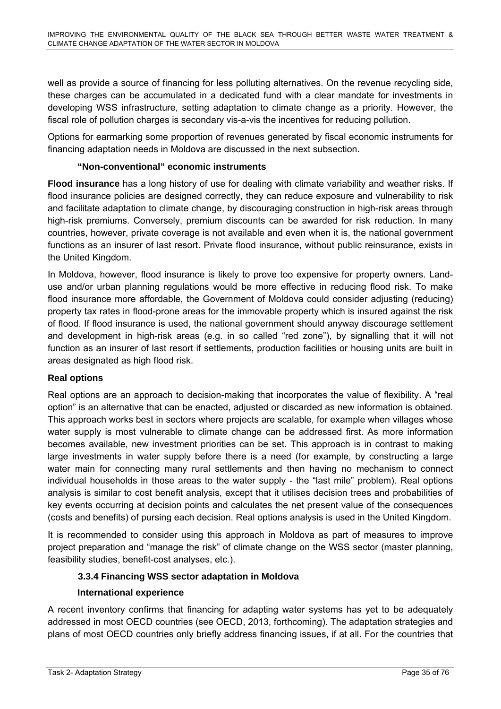well as provide a source of financing for less polluting alternatives. On the revenue recycling side, these charges can be accumulated in a dedicated fund with a clear mandate for investments in developing WSS infrastructure, setting adaptation to climate change as a priority. However, the fiscal role of pollution charges is secondary vis-a-vis the incentives for reducing pollution.

Options for earmarking some proportion of revenues generated by fiscal economic instruments for financing adaptation needs in Moldova are discussed in the next subsection.

# **"Non-conventional" economic instruments**

**Flood insurance** has a long history of use for dealing with climate variability and weather risks. If flood insurance policies are designed correctly, they can reduce exposure and vulnerability to risk and facilitate adaptation to climate change, by discouraging construction in high-risk areas through high-risk premiums. Conversely, premium discounts can be awarded for risk reduction. In many countries, however, private coverage is not available and even when it is, the national government functions as an insurer of last resort. Private flood insurance, without public reinsurance, exists in the United Kingdom.

In Moldova, however, flood insurance is likely to prove too expensive for property owners. Landuse and/or urban planning regulations would be more effective in reducing flood risk. To make flood insurance more affordable, the Government of Moldova could consider adjusting (reducing) property tax rates in flood-prone areas for the immovable property which is insured against the risk of flood. If flood insurance is used, the national government should anyway discourage settlement and development in high-risk areas (e.g. in so called "red zone"), by signalling that it will not function as an insurer of last resort if settlements, production facilities or housing units are built in areas designated as high flood risk.

# **Real options**

Real options are an approach to decision-making that incorporates the value of flexibility. A "real option" is an alternative that can be enacted, adjusted or discarded as new information is obtained. This approach works best in sectors where projects are scalable, for example when villages whose water supply is most vulnerable to climate change can be addressed first. As more information becomes available, new investment priorities can be set. This approach is in contrast to making large investments in water supply before there is a need (for example, by constructing a large water main for connecting many rural settlements and then having no mechanism to connect individual households in those areas to the water supply - the "last mile" problem). Real options analysis is similar to cost benefit analysis, except that it utilises decision trees and probabilities of key events occurring at decision points and calculates the net present value of the consequences (costs and benefits) of pursing each decision. Real options analysis is used in the United Kingdom.

It is recommended to consider using this approach in Moldova as part of measures to improve project preparation and "manage the risk" of climate change on the WSS sector (master planning, feasibility studies, benefit-cost analyses, etc.).

# **3.3.4 Financing WSS sector adaptation in Moldova**

#### **International experience**

A recent inventory confirms that financing for adapting water systems has yet to be adequately addressed in most OECD countries (see OECD, 2013, forthcoming). The adaptation strategies and plans of most OECD countries only briefly address financing issues, if at all. For the countries that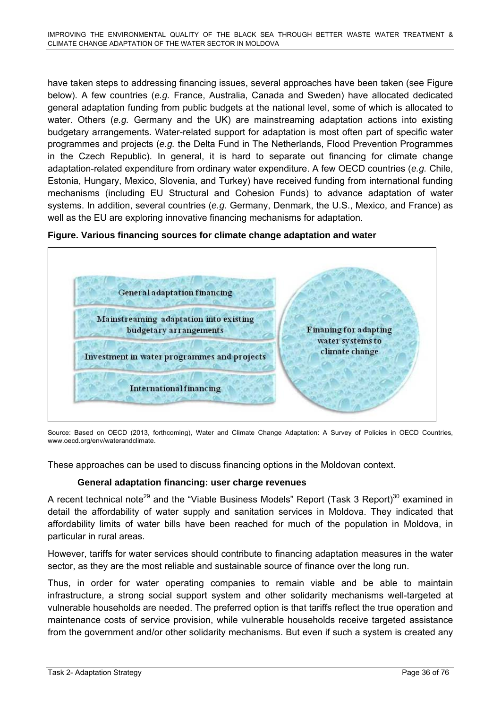have taken steps to addressing financing issues, several approaches have been taken (see Figure below). A few countries (*e.g.* France, Australia, Canada and Sweden) have allocated dedicated general adaptation funding from public budgets at the national level, some of which is allocated to water. Others (*e.g.* Germany and the UK) are mainstreaming adaptation actions into existing budgetary arrangements. Water-related support for adaptation is most often part of specific water programmes and projects (*e.g.* the Delta Fund in The Netherlands, Flood Prevention Programmes in the Czech Republic). In general, it is hard to separate out financing for climate change adaptation-related expenditure from ordinary water expenditure. A few OECD countries (*e.g.* Chile, Estonia, Hungary, Mexico, Slovenia, and Turkey) have received funding from international funding mechanisms (including EU Structural and Cohesion Funds) to advance adaptation of water systems. In addition, several countries (*e.g.* Germany, Denmark, the U.S., Mexico, and France) as well as the EU are exploring innovative financing mechanisms for adaptation.





Source: Based on OECD (2013, forthcoming), Water and Climate Change Adaptation: A Survey of Policies in OECD Countries, www.oecd.org/env/waterandclimate.

These approaches can be used to discuss financing options in the Moldovan context.

### **General adaptation financing: user charge revenues**

A recent technical note<sup>29</sup> and the "Viable Business Models" Report (Task 3 Report)<sup>30</sup> examined in detail the affordability of water supply and sanitation services in Moldova. They indicated that affordability limits of water bills have been reached for much of the population in Moldova, in particular in rural areas.

However, tariffs for water services should contribute to financing adaptation measures in the water sector, as they are the most reliable and sustainable source of finance over the long run.

Thus, in order for water operating companies to remain viable and be able to maintain infrastructure, a strong social support system and other solidarity mechanisms well-targeted at vulnerable households are needed. The preferred option is that tariffs reflect the true operation and maintenance costs of service provision, while vulnerable households receive targeted assistance from the government and/or other solidarity mechanisms. But even if such a system is created any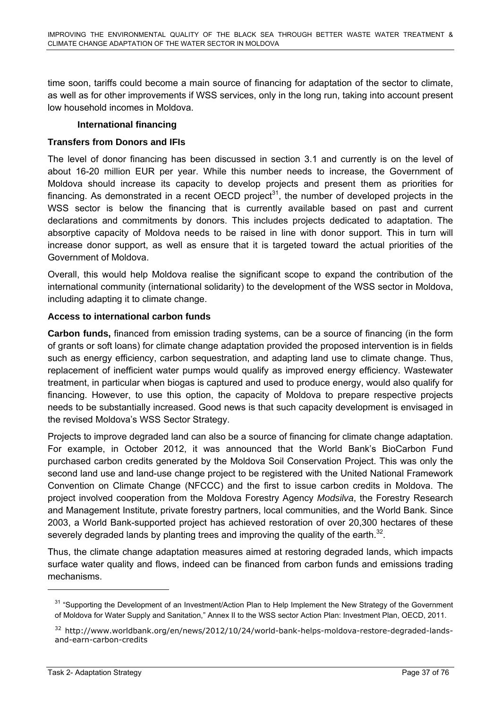time soon, tariffs could become a main source of financing for adaptation of the sector to climate, as well as for other improvements if WSS services, only in the long run, taking into account present low household incomes in Moldova.

### **International financing**

### **Transfers from Donors and IFIs**

The level of donor financing has been discussed in section 3.1 and currently is on the level of about 16-20 million EUR per year. While this number needs to increase, the Government of Moldova should increase its capacity to develop projects and present them as priorities for financing. As demonstrated in a recent OECD project<sup>31</sup>, the number of developed projects in the WSS sector is below the financing that is currently available based on past and current declarations and commitments by donors. This includes projects dedicated to adaptation. The absorptive capacity of Moldova needs to be raised in line with donor support. This in turn will increase donor support, as well as ensure that it is targeted toward the actual priorities of the Government of Moldova.

Overall, this would help Moldova realise the significant scope to expand the contribution of the international community (international solidarity) to the development of the WSS sector in Moldova, including adapting it to climate change.

### **Access to international carbon funds**

**Carbon funds,** financed from emission trading systems, can be a source of financing (in the form of grants or soft loans) for climate change adaptation provided the proposed intervention is in fields such as energy efficiency, carbon sequestration, and adapting land use to climate change. Thus, replacement of inefficient water pumps would qualify as improved energy efficiency. Wastewater treatment, in particular when biogas is captured and used to produce energy, would also qualify for financing. However, to use this option, the capacity of Moldova to prepare respective projects needs to be substantially increased. Good news is that such capacity development is envisaged in the revised Moldova's WSS Sector Strategy.

Projects to improve degraded land can also be a source of financing for climate change adaptation. For example, in October 2012, it was announced that the World Bank's BioCarbon Fund purchased carbon credits generated by the Moldova Soil Conservation Project. This was only the second land use and land-use change project to be registered with the United National Framework Convention on Climate Change (NFCCC) and the first to issue carbon credits in Moldova. The project involved cooperation from the Moldova Forestry Agency *Modsilva*, the Forestry Research and Management Institute, private forestry partners, local communities, and the World Bank. Since 2003, a World Bank-supported project has achieved restoration of over 20,300 hectares of these severely degraded lands by planting trees and improving the quality of the earth.<sup>32</sup>.

Thus, the climate change adaptation measures aimed at restoring degraded lands, which impacts surface water quality and flows, indeed can be financed from carbon funds and emissions trading mechanisms.

<sup>&</sup>lt;sup>31</sup> "Supporting the Development of an Investment/Action Plan to Help Implement the New Strategy of the Government of Moldova for Water Supply and Sanitation," Annex II to the WSS sector Action Plan: Investment Plan, OECD, 2011.

<sup>&</sup>lt;sup>32</sup> http://www.worldbank.org/en/news/2012/10/24/world-bank-helps-moldova-restore-degraded-landsand-earn-carbon-credits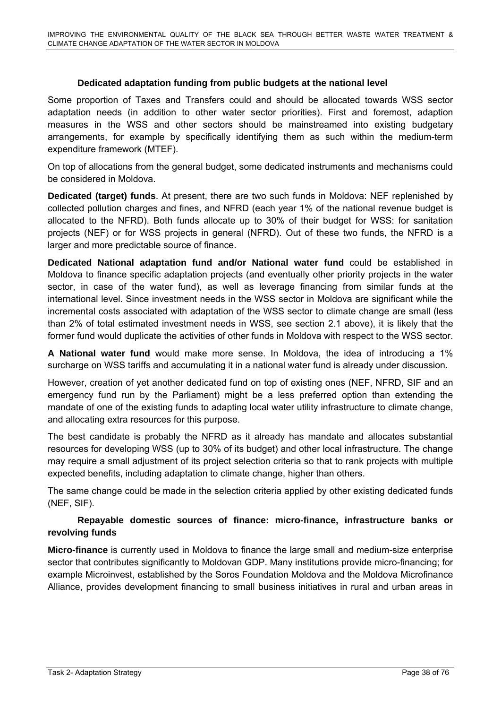### **Dedicated adaptation funding from public budgets at the national level**

Some proportion of Taxes and Transfers could and should be allocated towards WSS sector adaptation needs (in addition to other water sector priorities). First and foremost, adaption measures in the WSS and other sectors should be mainstreamed into existing budgetary arrangements, for example by specifically identifying them as such within the medium-term expenditure framework (MTEF).

On top of allocations from the general budget, some dedicated instruments and mechanisms could be considered in Moldova.

**Dedicated (target) funds**. At present, there are two such funds in Moldova: NEF replenished by collected pollution charges and fines, and NFRD (each year 1% of the national revenue budget is allocated to the NFRD). Both funds allocate up to 30% of their budget for WSS: for sanitation projects (NEF) or for WSS projects in general (NFRD). Out of these two funds, the NFRD is a larger and more predictable source of finance.

**Dedicated National adaptation fund and/or National water fund** could be established in Moldova to finance specific adaptation projects (and eventually other priority projects in the water sector, in case of the water fund), as well as leverage financing from similar funds at the international level. Since investment needs in the WSS sector in Moldova are significant while the incremental costs associated with adaptation of the WSS sector to climate change are small (less than 2% of total estimated investment needs in WSS, see section 2.1 above), it is likely that the former fund would duplicate the activities of other funds in Moldova with respect to the WSS sector.

**A National water fund** would make more sense. In Moldova, the idea of introducing a 1% surcharge on WSS tariffs and accumulating it in a national water fund is already under discussion.

However, creation of yet another dedicated fund on top of existing ones (NEF, NFRD, SIF and an emergency fund run by the Parliament) might be a less preferred option than extending the mandate of one of the existing funds to adapting local water utility infrastructure to climate change, and allocating extra resources for this purpose.

The best candidate is probably the NFRD as it already has mandate and allocates substantial resources for developing WSS (up to 30% of its budget) and other local infrastructure. The change may require a small adjustment of its project selection criteria so that to rank projects with multiple expected benefits, including adaptation to climate change, higher than others.

The same change could be made in the selection criteria applied by other existing dedicated funds (NEF, SIF).

### **Repayable domestic sources of finance: micro-finance, infrastructure banks or revolving funds**

**Micro-finance** is currently used in Moldova to finance the large small and medium-size enterprise sector that contributes significantly to Moldovan GDP. Many institutions provide micro-financing; for example Microinvest, established by the Soros Foundation Moldova and the Moldova Microfinance Alliance, provides development financing to small business initiatives in rural and urban areas in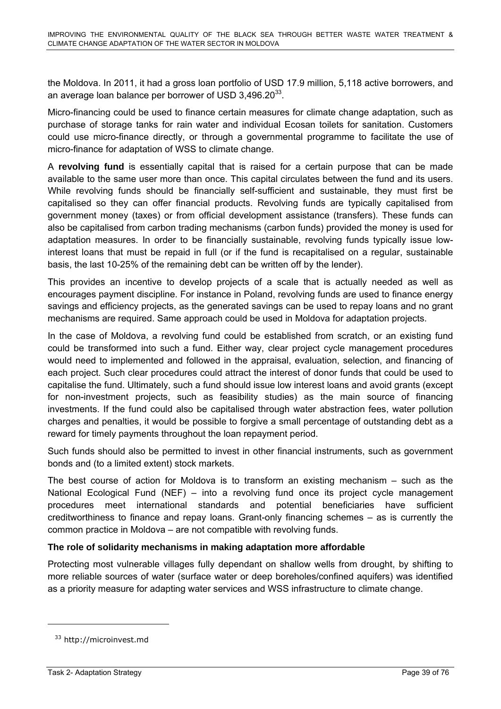the Moldova. In 2011, it had a gross loan portfolio of USD 17.9 million, 5,118 active borrowers, and an average loan balance per borrower of USD  $3,496.20^{33}$ .

Micro-financing could be used to finance certain measures for climate change adaptation, such as purchase of storage tanks for rain water and individual Ecosan toilets for sanitation. Customers could use micro-finance directly, or through a governmental programme to facilitate the use of micro-finance for adaptation of WSS to climate change.

A **revolving fund** is essentially capital that is raised for a certain purpose that can be made available to the same user more than once. This capital circulates between the fund and its users. While revolving funds should be financially self-sufficient and sustainable, they must first be capitalised so they can offer financial products. Revolving funds are typically capitalised from government money (taxes) or from official development assistance (transfers). These funds can also be capitalised from carbon trading mechanisms (carbon funds) provided the money is used for adaptation measures. In order to be financially sustainable, revolving funds typically issue lowinterest loans that must be repaid in full (or if the fund is recapitalised on a regular, sustainable basis, the last 10-25% of the remaining debt can be written off by the lender).

This provides an incentive to develop projects of a scale that is actually needed as well as encourages payment discipline. For instance in Poland, revolving funds are used to finance energy savings and efficiency projects, as the generated savings can be used to repay loans and no grant mechanisms are required. Same approach could be used in Moldova for adaptation projects.

In the case of Moldova, a revolving fund could be established from scratch, or an existing fund could be transformed into such a fund. Either way, clear project cycle management procedures would need to implemented and followed in the appraisal, evaluation, selection, and financing of each project. Such clear procedures could attract the interest of donor funds that could be used to capitalise the fund. Ultimately, such a fund should issue low interest loans and avoid grants (except for non-investment projects, such as feasibility studies) as the main source of financing investments. If the fund could also be capitalised through water abstraction fees, water pollution charges and penalties, it would be possible to forgive a small percentage of outstanding debt as a reward for timely payments throughout the loan repayment period.

Such funds should also be permitted to invest in other financial instruments, such as government bonds and (to a limited extent) stock markets.

The best course of action for Moldova is to transform an existing mechanism – such as the National Ecological Fund (NEF) – into a revolving fund once its project cycle management procedures meet international standards and potential beneficiaries have sufficient creditworthiness to finance and repay loans. Grant-only financing schemes – as is currently the common practice in Moldova – are not compatible with revolving funds.

### **The role of solidarity mechanisms in making adaptation more affordable**

Protecting most vulnerable villages fully dependant on shallow wells from drought, by shifting to more reliable sources of water (surface water or deep boreholes/confined aquifers) was identified as a priority measure for adapting water services and WSS infrastructure to climate change.

<sup>&</sup>lt;sup>33</sup> http://microinvest.md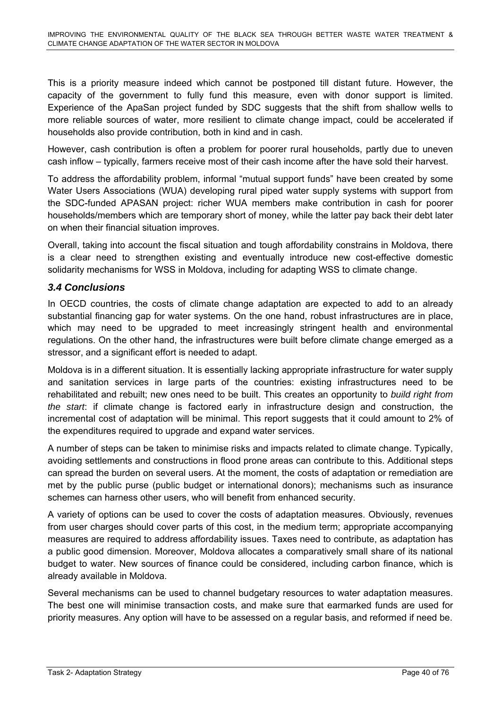This is a priority measure indeed which cannot be postponed till distant future. However, the capacity of the government to fully fund this measure, even with donor support is limited. Experience of the ApaSan project funded by SDC suggests that the shift from shallow wells to more reliable sources of water, more resilient to climate change impact, could be accelerated if households also provide contribution, both in kind and in cash.

However, cash contribution is often a problem for poorer rural households, partly due to uneven cash inflow – typically, farmers receive most of their cash income after the have sold their harvest.

To address the affordability problem, informal "mutual support funds" have been created by some Water Users Associations (WUA) developing rural piped water supply systems with support from the SDC-funded APASAN project: richer WUA members make contribution in cash for poorer households/members which are temporary short of money, while the latter pay back their debt later on when their financial situation improves.

Overall, taking into account the fiscal situation and tough affordability constrains in Moldova, there is a clear need to strengthen existing and eventually introduce new cost-effective domestic solidarity mechanisms for WSS in Moldova, including for adapting WSS to climate change.

### *3.4 Conclusions*

In OECD countries, the costs of climate change adaptation are expected to add to an already substantial financing gap for water systems. On the one hand, robust infrastructures are in place, which may need to be upgraded to meet increasingly stringent health and environmental regulations. On the other hand, the infrastructures were built before climate change emerged as a stressor, and a significant effort is needed to adapt.

Moldova is in a different situation. It is essentially lacking appropriate infrastructure for water supply and sanitation services in large parts of the countries: existing infrastructures need to be rehabilitated and rebuilt; new ones need to be built. This creates an opportunity to *build right from the start*: if climate change is factored early in infrastructure design and construction, the incremental cost of adaptation will be minimal. This report suggests that it could amount to 2% of the expenditures required to upgrade and expand water services.

A number of steps can be taken to minimise risks and impacts related to climate change. Typically, avoiding settlements and constructions in flood prone areas can contribute to this. Additional steps can spread the burden on several users. At the moment, the costs of adaptation or remediation are met by the public purse (public budget or international donors); mechanisms such as insurance schemes can harness other users, who will benefit from enhanced security.

A variety of options can be used to cover the costs of adaptation measures. Obviously, revenues from user charges should cover parts of this cost, in the medium term; appropriate accompanying measures are required to address affordability issues. Taxes need to contribute, as adaptation has a public good dimension. Moreover, Moldova allocates a comparatively small share of its national budget to water. New sources of finance could be considered, including carbon finance, which is already available in Moldova.

Several mechanisms can be used to channel budgetary resources to water adaptation measures. The best one will minimise transaction costs, and make sure that earmarked funds are used for priority measures. Any option will have to be assessed on a regular basis, and reformed if need be.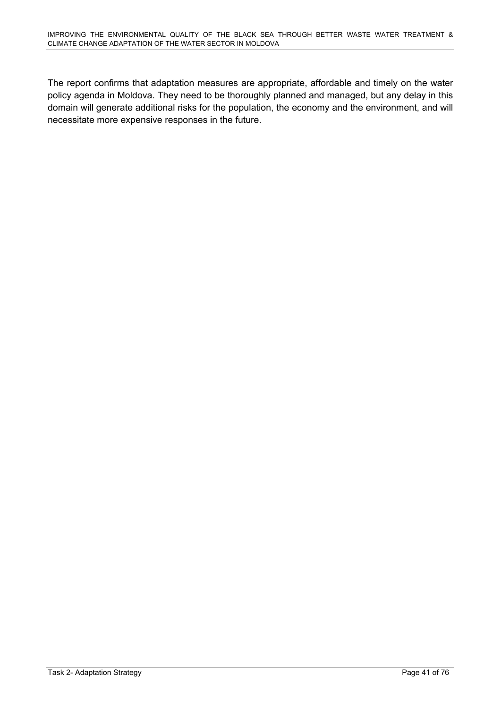The report confirms that adaptation measures are appropriate, affordable and timely on the water policy agenda in Moldova. They need to be thoroughly planned and managed, but any delay in this domain will generate additional risks for the population, the economy and the environment, and will necessitate more expensive responses in the future.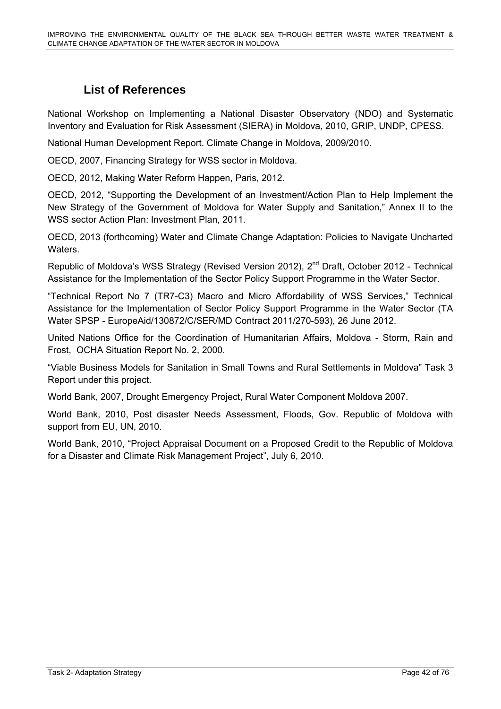# **List of References**

National Workshop on Implementing a National Disaster Observatory (NDO) and Systematic Inventory and Evaluation for Risk Assessment (SIERA) in Moldova, 2010, GRIP, UNDP, CPESS.

National Human Development Report. Climate Change in Moldova, 2009/2010.

OECD, 2007, Financing Strategy for WSS sector in Moldova.

OECD, 2012, Making Water Reform Happen, Paris, 2012.

OECD, 2012, "Supporting the Development of an Investment/Action Plan to Help Implement the New Strategy of the Government of Moldova for Water Supply and Sanitation," Annex II to the WSS sector Action Plan: Investment Plan, 2011.

OECD, 2013 (forthcoming) Water and Climate Change Adaptation: Policies to Navigate Uncharted Waters.

Republic of Moldova's WSS Strategy (Revised Version 2012), 2<sup>nd</sup> Draft, October 2012 - Technical Assistance for the Implementation of the Sector Policy Support Programme in the Water Sector.

"Technical Report No 7 (TR7-C3) Macro and Micro Affordability of WSS Services," Technical Assistance for the Implementation of Sector Policy Support Programme in the Water Sector (TA Water SPSP - EuropeAid/130872/C/SER/MD Contract 2011/270-593), 26 June 2012.

United Nations Office for the Coordination of Humanitarian Affairs, Moldova - Storm, Rain and Frost, OCHA Situation Report No. 2, 2000.

"Viable Business Models for Sanitation in Small Towns and Rural Settlements in Moldova" Task 3 Report under this project.

World Bank, 2007, Drought Emergency Project, Rural Water Component Moldova 2007.

World Bank, 2010, Post disaster Needs Assessment, Floods, Gov. Republic of Moldova with support from EU, UN, 2010.

World Bank, 2010, "Project Appraisal Document on a Proposed Credit to the Republic of Moldova for a Disaster and Climate Risk Management Project", July 6, 2010.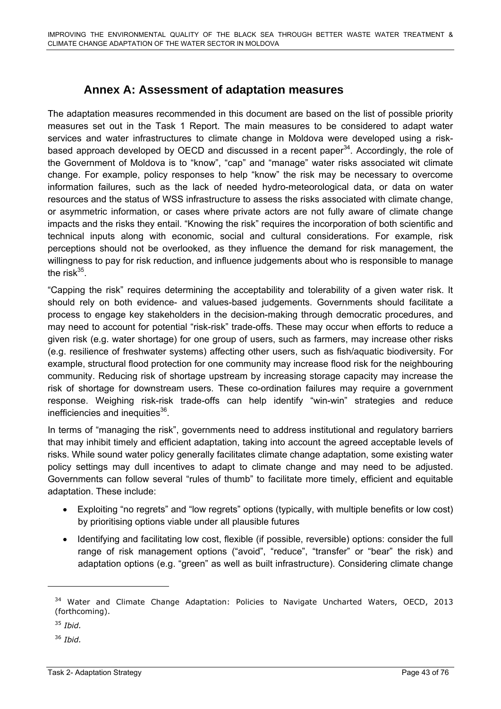# **Annex A: Assessment of adaptation measures**

The adaptation measures recommended in this document are based on the list of possible priority measures set out in the Task 1 Report. The main measures to be considered to adapt water services and water infrastructures to climate change in Moldova were developed using a riskbased approach developed by OECD and discussed in a recent paper<sup>34</sup>. Accordingly, the role of the Government of Moldova is to "know", "cap" and "manage" water risks associated wit climate change. For example, policy responses to help "know" the risk may be necessary to overcome information failures, such as the lack of needed hydro-meteorological data, or data on water resources and the status of WSS infrastructure to assess the risks associated with climate change, or asymmetric information, or cases where private actors are not fully aware of climate change impacts and the risks they entail. "Knowing the risk" requires the incorporation of both scientific and technical inputs along with economic, social and cultural considerations. For example, risk perceptions should not be overlooked, as they influence the demand for risk management, the willingness to pay for risk reduction, and influence judgements about who is responsible to manage the risk $35$ .

"Capping the risk" requires determining the acceptability and tolerability of a given water risk. It should rely on both evidence- and values-based judgements. Governments should facilitate a process to engage key stakeholders in the decision-making through democratic procedures, and may need to account for potential "risk-risk" trade-offs. These may occur when efforts to reduce a given risk (e.g. water shortage) for one group of users, such as farmers, may increase other risks (e.g. resilience of freshwater systems) affecting other users, such as fish/aquatic biodiversity. For example, structural flood protection for one community may increase flood risk for the neighbouring community. Reducing risk of shortage upstream by increasing storage capacity may increase the risk of shortage for downstream users. These co-ordination failures may require a government response. Weighing risk-risk trade-offs can help identify "win-win" strategies and reduce inefficiencies and inequities $36$ .

In terms of "managing the risk", governments need to address institutional and regulatory barriers that may inhibit timely and efficient adaptation, taking into account the agreed acceptable levels of risks. While sound water policy generally facilitates climate change adaptation, some existing water policy settings may dull incentives to adapt to climate change and may need to be adjusted. Governments can follow several "rules of thumb" to facilitate more timely, efficient and equitable adaptation. These include:

- Exploiting "no regrets" and "low regrets" options (typically, with multiple benefits or low cost) by prioritising options viable under all plausible futures
- Identifying and facilitating low cost, flexible (if possible, reversible) options: consider the full range of risk management options ("avoid", "reduce", "transfer" or "bear" the risk) and adaptation options (e.g. "green" as well as built infrastructure). Considering climate change

 $\overline{a}$ 

<sup>&</sup>lt;sup>34</sup> Water and Climate Change Adaptation: Policies to Navigate Uncharted Waters, OECD, 2013 (forthcoming).

<sup>35</sup> *Ibid.*

<sup>36</sup> *Ibid.*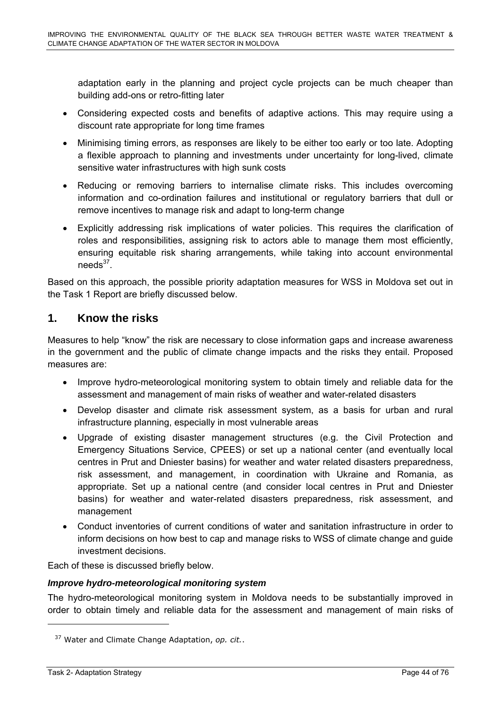adaptation early in the planning and project cycle projects can be much cheaper than building add-ons or retro-fitting later

- Considering expected costs and benefits of adaptive actions. This may require using a discount rate appropriate for long time frames
- Minimising timing errors, as responses are likely to be either too early or too late. Adopting a flexible approach to planning and investments under uncertainty for long-lived, climate sensitive water infrastructures with high sunk costs
- Reducing or removing barriers to internalise climate risks. This includes overcoming information and co-ordination failures and institutional or regulatory barriers that dull or remove incentives to manage risk and adapt to long-term change
- Explicitly addressing risk implications of water policies. This requires the clarification of roles and responsibilities, assigning risk to actors able to manage them most efficiently, ensuring equitable risk sharing arrangements, while taking into account environmental  $needs<sup>37</sup>$ .

Based on this approach, the possible priority adaptation measures for WSS in Moldova set out in the Task 1 Report are briefly discussed below.

### **1. Know the risks**

Measures to help "know" the risk are necessary to close information gaps and increase awareness in the government and the public of climate change impacts and the risks they entail. Proposed measures are:

- Improve hydro-meteorological monitoring system to obtain timely and reliable data for the assessment and management of main risks of weather and water-related disasters
- Develop disaster and climate risk assessment system, as a basis for urban and rural infrastructure planning, especially in most vulnerable areas
- Upgrade of existing disaster management structures (e.g. the Civil Protection and Emergency Situations Service, CPEES) or set up a national center (and eventually local centres in Prut and Dniester basins) for weather and water related disasters preparedness, risk assessment, and management, in coordination with Ukraine and Romania, as appropriate. Set up a national centre (and consider local centres in Prut and Dniester basins) for weather and water-related disasters preparedness, risk assessment, and management
- Conduct inventories of current conditions of water and sanitation infrastructure in order to inform decisions on how best to cap and manage risks to WSS of climate change and guide investment decisions.

Each of these is discussed briefly below.

### *Improve hydro-meteorological monitoring system*

The hydro-meteorological monitoring system in Moldova needs to be substantially improved in order to obtain timely and reliable data for the assessment and management of main risks of

<sup>37</sup> Water and Climate Change Adaptation, *op. cit.*.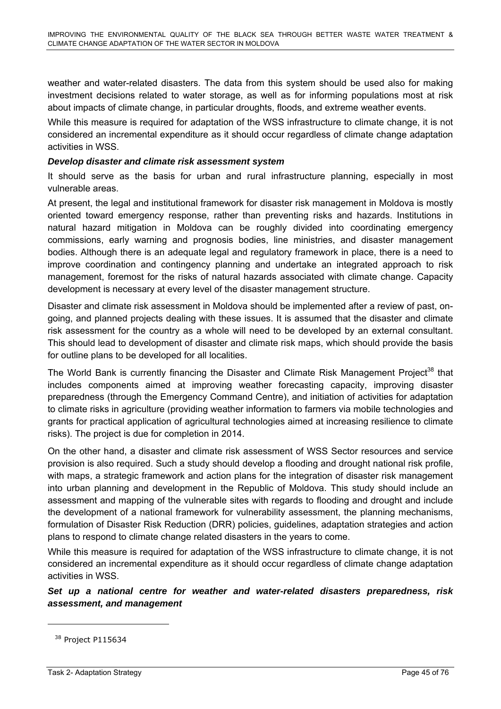weather and water-related disasters. The data from this system should be used also for making investment decisions related to water storage, as well as for informing populations most at risk about impacts of climate change, in particular droughts, floods, and extreme weather events.

While this measure is required for adaptation of the WSS infrastructure to climate change, it is not considered an incremental expenditure as it should occur regardless of climate change adaptation activities in WSS.

#### *Develop disaster and climate risk assessment system*

It should serve as the basis for urban and rural infrastructure planning, especially in most vulnerable areas.

At present, the legal and institutional framework for disaster risk management in Moldova is mostly oriented toward emergency response, rather than preventing risks and hazards. Institutions in natural hazard mitigation in Moldova can be roughly divided into coordinating emergency commissions, early warning and prognosis bodies, line ministries, and disaster management bodies. Although there is an adequate legal and regulatory framework in place, there is a need to improve coordination and contingency planning and undertake an integrated approach to risk management, foremost for the risks of natural hazards associated with climate change. Capacity development is necessary at every level of the disaster management structure.

Disaster and climate risk assessment in Moldova should be implemented after a review of past, ongoing, and planned projects dealing with these issues. It is assumed that the disaster and climate risk assessment for the country as a whole will need to be developed by an external consultant. This should lead to development of disaster and climate risk maps, which should provide the basis for outline plans to be developed for all localities.

The World Bank is currently financing the Disaster and Climate Risk Management Project<sup>38</sup> that includes components aimed at improving weather forecasting capacity, improving disaster preparedness (through the Emergency Command Centre), and initiation of activities for adaptation to climate risks in agriculture (providing weather information to farmers via mobile technologies and grants for practical application of agricultural technologies aimed at increasing resilience to climate risks). The project is due for completion in 2014.

On the other hand, a disaster and climate risk assessment of WSS Sector resources and service provision is also required. Such a study should develop a flooding and drought national risk profile, with maps, a strategic framework and action plans for the integration of disaster risk management into urban planning and development in the Republic of Moldova. This study should include an assessment and mapping of the vulnerable sites with regards to flooding and drought and include the development of a national framework for vulnerability assessment, the planning mechanisms, formulation of Disaster Risk Reduction (DRR) policies, guidelines, adaptation strategies and action plans to respond to climate change related disasters in the years to come.

While this measure is required for adaptation of the WSS infrastructure to climate change, it is not considered an incremental expenditure as it should occur regardless of climate change adaptation activities in WSS.

*Set up a national centre for weather and water-related disasters preparedness, risk assessment, and management* 

<sup>&</sup>lt;sup>38</sup> Project P115634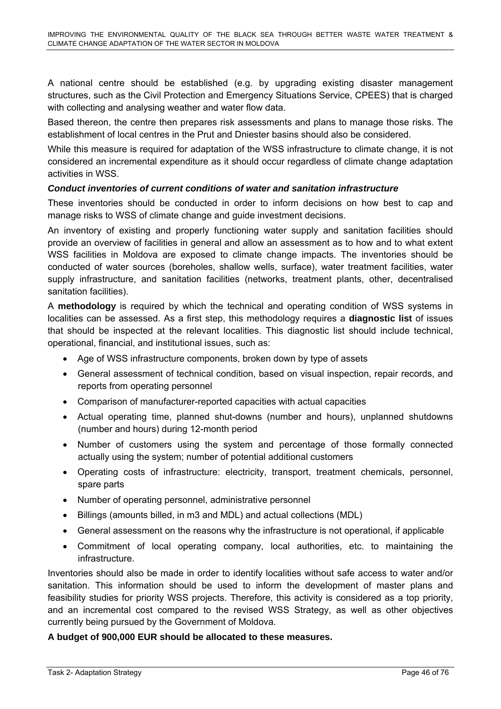A national centre should be established (e.g. by upgrading existing disaster management structures, such as the Civil Protection and Emergency Situations Service, CPEES) that is charged with collecting and analysing weather and water flow data.

Based thereon, the centre then prepares risk assessments and plans to manage those risks. The establishment of local centres in the Prut and Dniester basins should also be considered.

While this measure is required for adaptation of the WSS infrastructure to climate change, it is not considered an incremental expenditure as it should occur regardless of climate change adaptation activities in WSS.

### *Conduct inventories of current conditions of water and sanitation infrastructure*

These inventories should be conducted in order to inform decisions on how best to cap and manage risks to WSS of climate change and guide investment decisions.

An inventory of existing and properly functioning water supply and sanitation facilities should provide an overview of facilities in general and allow an assessment as to how and to what extent WSS facilities in Moldova are exposed to climate change impacts. The inventories should be conducted of water sources (boreholes, shallow wells, surface), water treatment facilities, water supply infrastructure, and sanitation facilities (networks, treatment plants, other, decentralised sanitation facilities).

A **methodology** is required by which the technical and operating condition of WSS systems in localities can be assessed. As a first step, this methodology requires a **diagnostic list** of issues that should be inspected at the relevant localities. This diagnostic list should include technical, operational, financial, and institutional issues, such as:

- Age of WSS infrastructure components, broken down by type of assets
- General assessment of technical condition, based on visual inspection, repair records, and reports from operating personnel
- Comparison of manufacturer-reported capacities with actual capacities
- Actual operating time, planned shut-downs (number and hours), unplanned shutdowns (number and hours) during 12-month period
- Number of customers using the system and percentage of those formally connected actually using the system; number of potential additional customers
- Operating costs of infrastructure: electricity, transport, treatment chemicals, personnel, spare parts
- Number of operating personnel, administrative personnel
- Billings (amounts billed, in m3 and MDL) and actual collections (MDL)
- General assessment on the reasons why the infrastructure is not operational, if applicable
- Commitment of local operating company, local authorities, etc. to maintaining the infrastructure.

Inventories should also be made in order to identify localities without safe access to water and/or sanitation. This information should be used to inform the development of master plans and feasibility studies for priority WSS projects. Therefore, this activity is considered as a top priority, and an incremental cost compared to the revised WSS Strategy, as well as other objectives currently being pursued by the Government of Moldova.

#### **A budget of 900,000 EUR should be allocated to these measures.**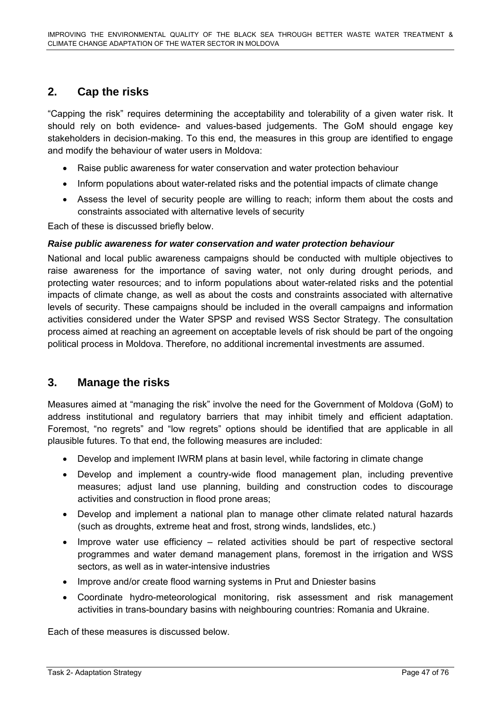# **2. Cap the risks**

"Capping the risk" requires determining the acceptability and tolerability of a given water risk. It should rely on both evidence- and values-based judgements. The GoM should engage key stakeholders in decision-making. To this end, the measures in this group are identified to engage and modify the behaviour of water users in Moldova:

- Raise public awareness for water conservation and water protection behaviour
- Inform populations about water-related risks and the potential impacts of climate change
- Assess the level of security people are willing to reach; inform them about the costs and constraints associated with alternative levels of security

Each of these is discussed briefly below.

#### *Raise public awareness for water conservation and water protection behaviour*

National and local public awareness campaigns should be conducted with multiple objectives to raise awareness for the importance of saving water, not only during drought periods, and protecting water resources; and to inform populations about water-related risks and the potential impacts of climate change, as well as about the costs and constraints associated with alternative levels of security. These campaigns should be included in the overall campaigns and information activities considered under the Water SPSP and revised WSS Sector Strategy. The consultation process aimed at reaching an agreement on acceptable levels of risk should be part of the ongoing political process in Moldova. Therefore, no additional incremental investments are assumed.

### **3. Manage the risks**

Measures aimed at "managing the risk" involve the need for the Government of Moldova (GoM) to address institutional and regulatory barriers that may inhibit timely and efficient adaptation. Foremost, "no regrets" and "low regrets" options should be identified that are applicable in all plausible futures. To that end, the following measures are included:

- Develop and implement IWRM plans at basin level, while factoring in climate change
- Develop and implement a country-wide flood management plan, including preventive measures; adjust land use planning, building and construction codes to discourage activities and construction in flood prone areas;
- Develop and implement a national plan to manage other climate related natural hazards (such as droughts, extreme heat and frost, strong winds, landslides, etc.)
- Improve water use efficiency related activities should be part of respective sectoral programmes and water demand management plans, foremost in the irrigation and WSS sectors, as well as in water-intensive industries
- Improve and/or create flood warning systems in Prut and Dniester basins
- Coordinate hydro-meteorological monitoring, risk assessment and risk management activities in trans-boundary basins with neighbouring countries: Romania and Ukraine.

Each of these measures is discussed below.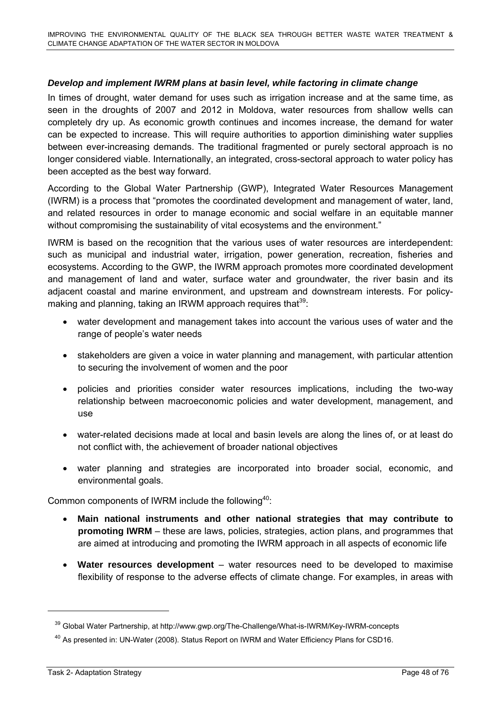### *Develop and implement IWRM plans at basin level, while factoring in climate change*

In times of drought, water demand for uses such as irrigation increase and at the same time, as seen in the droughts of 2007 and 2012 in Moldova, water resources from shallow wells can completely dry up. As economic growth continues and incomes increase, the demand for water can be expected to increase. This will require authorities to apportion diminishing water supplies between ever-increasing demands. The traditional fragmented or purely sectoral approach is no longer considered viable. Internationally, an integrated, cross-sectoral approach to water policy has been accepted as the best way forward.

According to the Global Water Partnership (GWP), Integrated Water Resources Management (IWRM) is a process that "promotes the coordinated development and management of water, land, and related resources in order to manage economic and social welfare in an equitable manner without compromising the sustainability of vital ecosystems and the environment."

IWRM is based on the recognition that the various uses of water resources are interdependent: such as municipal and industrial water, irrigation, power generation, recreation, fisheries and ecosystems. According to the GWP, the IWRM approach promotes more coordinated development and management of land and water, surface water and groundwater, the river basin and its adjacent coastal and marine environment, and upstream and downstream interests. For policymaking and planning, taking an IRWM approach requires that  $39$ :

- water development and management takes into account the various uses of water and the range of people's water needs
- stakeholders are given a voice in water planning and management, with particular attention to securing the involvement of women and the poor
- policies and priorities consider water resources implications, including the two-way relationship between macroeconomic policies and water development, management, and use
- water-related decisions made at local and basin levels are along the lines of, or at least do not conflict with, the achievement of broader national objectives
- water planning and strategies are incorporated into broader social, economic, and environmental goals.

Common components of IWRM include the following $40$ :

- **Main national instruments and other national strategies that may contribute to promoting IWRM** – these are laws, policies, strategies, action plans, and programmes that are aimed at introducing and promoting the IWRM approach in all aspects of economic life
- **Water resources development** water resources need to be developed to maximise flexibility of response to the adverse effects of climate change. For examples, in areas with

<sup>&</sup>lt;sup>39</sup> Global Water Partnership, at http://www.gwp.org/The-Challenge/What-is-IWRM/Key-IWRM-concepts

<sup>&</sup>lt;sup>40</sup> As presented in: UN-Water (2008). Status Report on IWRM and Water Efficiency Plans for CSD16.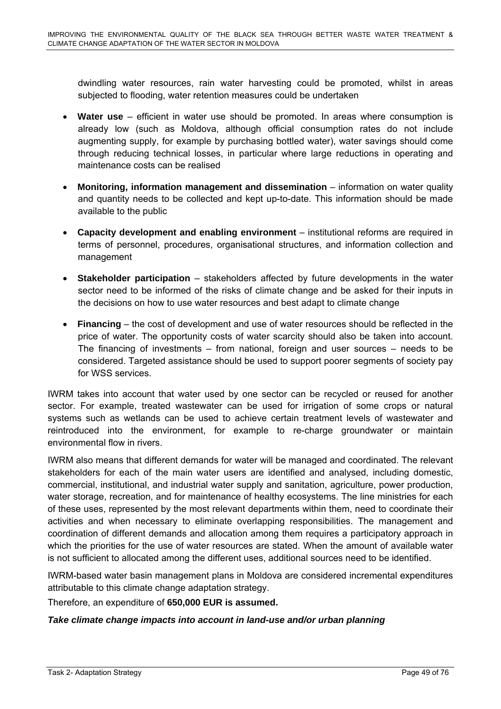dwindling water resources, rain water harvesting could be promoted, whilst in areas subjected to flooding, water retention measures could be undertaken

- **Water use** efficient in water use should be promoted. In areas where consumption is already low (such as Moldova, although official consumption rates do not include augmenting supply, for example by purchasing bottled water), water savings should come through reducing technical losses, in particular where large reductions in operating and maintenance costs can be realised
- **Monitoring, information management and dissemination** information on water quality and quantity needs to be collected and kept up-to-date. This information should be made available to the public
- **Capacity development and enabling environment** institutional reforms are required in terms of personnel, procedures, organisational structures, and information collection and management
- **Stakeholder participation** stakeholders affected by future developments in the water sector need to be informed of the risks of climate change and be asked for their inputs in the decisions on how to use water resources and best adapt to climate change
- **Financing** the cost of development and use of water resources should be reflected in the price of water. The opportunity costs of water scarcity should also be taken into account. The financing of investments – from national, foreign and user sources – needs to be considered. Targeted assistance should be used to support poorer segments of society pay for WSS services.

IWRM takes into account that water used by one sector can be recycled or reused for another sector. For example, treated wastewater can be used for irrigation of some crops or natural systems such as wetlands can be used to achieve certain treatment levels of wastewater and reintroduced into the environment, for example to re-charge groundwater or maintain environmental flow in rivers.

IWRM also means that different demands for water will be managed and coordinated. The relevant stakeholders for each of the main water users are identified and analysed, including domestic, commercial, institutional, and industrial water supply and sanitation, agriculture, power production, water storage, recreation, and for maintenance of healthy ecosystems. The line ministries for each of these uses, represented by the most relevant departments within them, need to coordinate their activities and when necessary to eliminate overlapping responsibilities. The management and coordination of different demands and allocation among them requires a participatory approach in which the priorities for the use of water resources are stated. When the amount of available water is not sufficient to allocated among the different uses, additional sources need to be identified.

IWRM-based water basin management plans in Moldova are considered incremental expenditures attributable to this climate change adaptation strategy.

Therefore, an expenditure of **650,000 EUR is assumed.** 

### *Take climate change impacts into account in land-use and/or urban planning*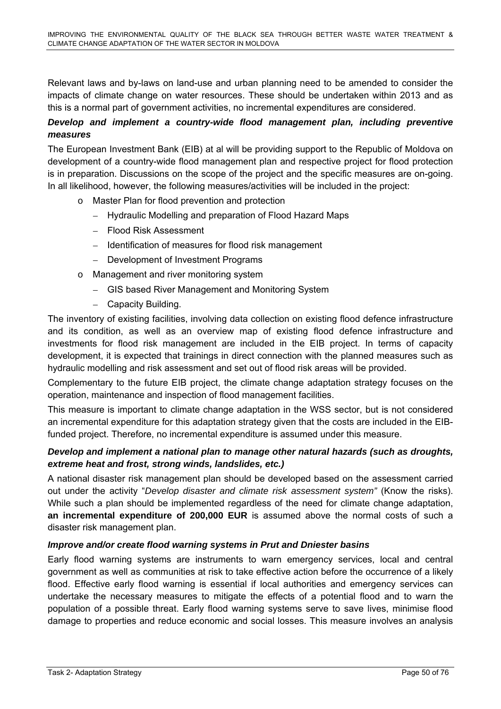Relevant laws and by-laws on land-use and urban planning need to be amended to consider the impacts of climate change on water resources. These should be undertaken within 2013 and as this is a normal part of government activities, no incremental expenditures are considered.

### *Develop and implement a country-wide flood management plan, including preventive measures*

The European Investment Bank (EIB) at al will be providing support to the Republic of Moldova on development of a country-wide flood management plan and respective project for flood protection is in preparation. Discussions on the scope of the project and the specific measures are on-going. In all likelihood, however, the following measures/activities will be included in the project:

- o Master Plan for flood prevention and protection
	- Hydraulic Modelling and preparation of Flood Hazard Maps
	- Flood Risk Assessment
	- Identification of measures for flood risk management
	- Development of Investment Programs
- o Management and river monitoring system
	- GIS based River Management and Monitoring System
	- Capacity Building.

The inventory of existing facilities, involving data collection on existing flood defence infrastructure and its condition, as well as an overview map of existing flood defence infrastructure and investments for flood risk management are included in the EIB project. In terms of capacity development, it is expected that trainings in direct connection with the planned measures such as hydraulic modelling and risk assessment and set out of flood risk areas will be provided.

Complementary to the future EIB project, the climate change adaptation strategy focuses on the operation, maintenance and inspection of flood management facilities.

This measure is important to climate change adaptation in the WSS sector, but is not considered an incremental expenditure for this adaptation strategy given that the costs are included in the EIBfunded project. Therefore, no incremental expenditure is assumed under this measure.

### *Develop and implement a national plan to manage other natural hazards (such as droughts, extreme heat and frost, strong winds, landslides, etc.)*

A national disaster risk management plan should be developed based on the assessment carried out under the activity "*Develop disaster and climate risk assessment system"* (Know the risks). While such a plan should be implemented regardless of the need for climate change adaptation, **an incremental expenditure of 200,000 EUR** is assumed above the normal costs of such a disaster risk management plan.

### *Improve and/or create flood warning systems in Prut and Dniester basins*

Early flood warning systems are instruments to warn emergency services, local and central government as well as communities at risk to take effective action before the occurrence of a likely flood. Effective early flood warning is essential if local authorities and emergency services can undertake the necessary measures to mitigate the effects of a potential flood and to warn the population of a possible threat. Early flood warning systems serve to save lives, minimise flood damage to properties and reduce economic and social losses. This measure involves an analysis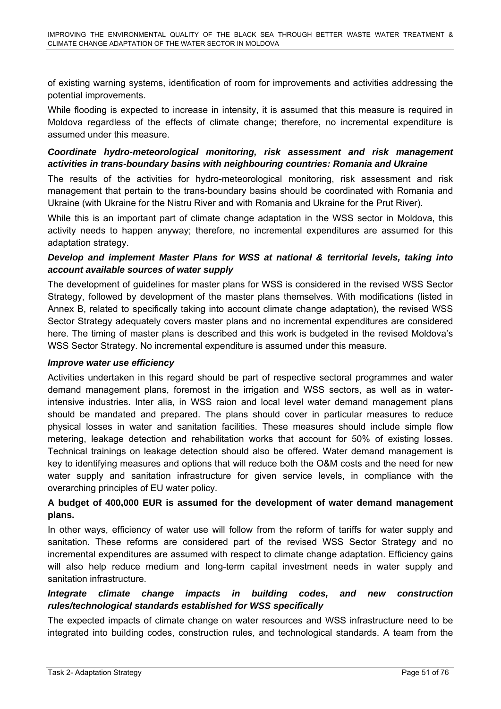of existing warning systems, identification of room for improvements and activities addressing the potential improvements.

While flooding is expected to increase in intensity, it is assumed that this measure is required in Moldova regardless of the effects of climate change; therefore, no incremental expenditure is assumed under this measure.

### *Coordinate hydro-meteorological monitoring, risk assessment and risk management activities in trans-boundary basins with neighbouring countries: Romania and Ukraine*

The results of the activities for hydro-meteorological monitoring, risk assessment and risk management that pertain to the trans-boundary basins should be coordinated with Romania and Ukraine (with Ukraine for the Nistru River and with Romania and Ukraine for the Prut River).

While this is an important part of climate change adaptation in the WSS sector in Moldova, this activity needs to happen anyway; therefore, no incremental expenditures are assumed for this adaptation strategy.

### *Develop and implement Master Plans for WSS at national & territorial levels, taking into account available sources of water supply*

The development of guidelines for master plans for WSS is considered in the revised WSS Sector Strategy, followed by development of the master plans themselves. With modifications (listed in Annex B, related to specifically taking into account climate change adaptation), the revised WSS Sector Strategy adequately covers master plans and no incremental expenditures are considered here. The timing of master plans is described and this work is budgeted in the revised Moldova's WSS Sector Strategy. No incremental expenditure is assumed under this measure.

#### *Improve water use efficiency*

Activities undertaken in this regard should be part of respective sectoral programmes and water demand management plans, foremost in the irrigation and WSS sectors, as well as in waterintensive industries. Inter alia, in WSS raion and local level water demand management plans should be mandated and prepared. The plans should cover in particular measures to reduce physical losses in water and sanitation facilities. These measures should include simple flow metering, leakage detection and rehabilitation works that account for 50% of existing losses. Technical trainings on leakage detection should also be offered. Water demand management is key to identifying measures and options that will reduce both the O&M costs and the need for new water supply and sanitation infrastructure for given service levels, in compliance with the overarching principles of EU water policy.

### **A budget of 400,000 EUR is assumed for the development of water demand management plans.**

In other ways, efficiency of water use will follow from the reform of tariffs for water supply and sanitation. These reforms are considered part of the revised WSS Sector Strategy and no incremental expenditures are assumed with respect to climate change adaptation. Efficiency gains will also help reduce medium and long-term capital investment needs in water supply and sanitation infrastructure.

### *Integrate climate change impacts in building codes, and new construction rules/technological standards established for WSS specifically*

The expected impacts of climate change on water resources and WSS infrastructure need to be integrated into building codes, construction rules, and technological standards. A team from the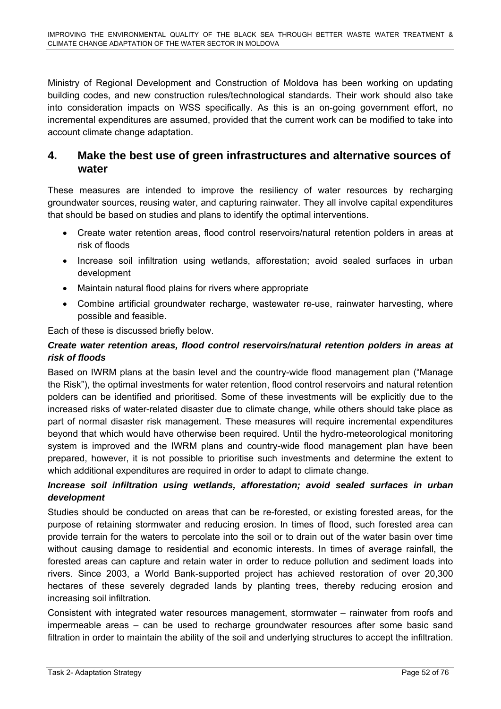Ministry of Regional Development and Construction of Moldova has been working on updating building codes, and new construction rules/technological standards. Their work should also take into consideration impacts on WSS specifically. As this is an on-going government effort, no incremental expenditures are assumed, provided that the current work can be modified to take into account climate change adaptation.

### **4. Make the best use of green infrastructures and alternative sources of water**

These measures are intended to improve the resiliency of water resources by recharging groundwater sources, reusing water, and capturing rainwater. They all involve capital expenditures that should be based on studies and plans to identify the optimal interventions.

- Create water retention areas, flood control reservoirs/natural retention polders in areas at risk of floods
- Increase soil infiltration using wetlands, afforestation; avoid sealed surfaces in urban development
- Maintain natural flood plains for rivers where appropriate
- Combine artificial groundwater recharge, wastewater re-use, rainwater harvesting, where possible and feasible.

Each of these is discussed briefly below.

### *Create water retention areas, flood control reservoirs/natural retention polders in areas at risk of floods*

Based on IWRM plans at the basin level and the country-wide flood management plan ("Manage the Risk"), the optimal investments for water retention, flood control reservoirs and natural retention polders can be identified and prioritised. Some of these investments will be explicitly due to the increased risks of water-related disaster due to climate change, while others should take place as part of normal disaster risk management. These measures will require incremental expenditures beyond that which would have otherwise been required. Until the hydro-meteorological monitoring system is improved and the IWRM plans and country-wide flood management plan have been prepared, however, it is not possible to prioritise such investments and determine the extent to which additional expenditures are required in order to adapt to climate change.

### *Increase soil infiltration using wetlands, afforestation; avoid sealed surfaces in urban development*

Studies should be conducted on areas that can be re-forested, or existing forested areas, for the purpose of retaining stormwater and reducing erosion. In times of flood, such forested area can provide terrain for the waters to percolate into the soil or to drain out of the water basin over time without causing damage to residential and economic interests. In times of average rainfall, the forested areas can capture and retain water in order to reduce pollution and sediment loads into rivers. Since 2003, a World Bank-supported project has achieved restoration of over 20,300 hectares of these severely degraded lands by planting trees, thereby reducing erosion and increasing soil infiltration.

Consistent with integrated water resources management, stormwater – rainwater from roofs and impermeable areas – can be used to recharge groundwater resources after some basic sand filtration in order to maintain the ability of the soil and underlying structures to accept the infiltration.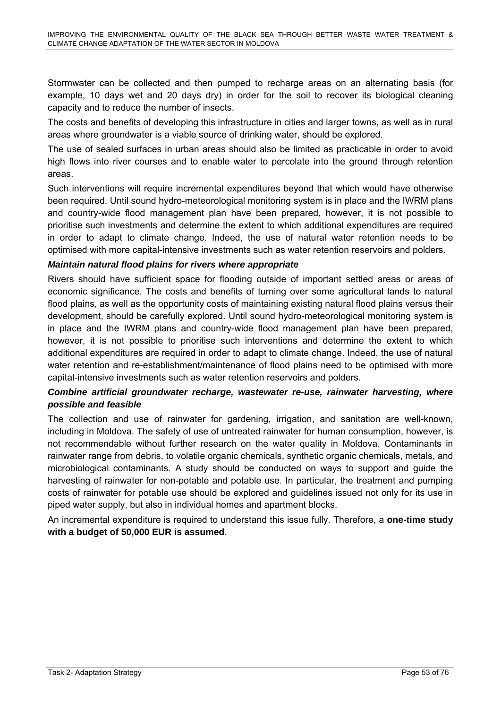Stormwater can be collected and then pumped to recharge areas on an alternating basis (for example, 10 days wet and 20 days dry) in order for the soil to recover its biological cleaning capacity and to reduce the number of insects.

The costs and benefits of developing this infrastructure in cities and larger towns, as well as in rural areas where groundwater is a viable source of drinking water, should be explored.

The use of sealed surfaces in urban areas should also be limited as practicable in order to avoid high flows into river courses and to enable water to percolate into the ground through retention areas.

Such interventions will require incremental expenditures beyond that which would have otherwise been required. Until sound hydro-meteorological monitoring system is in place and the IWRM plans and country-wide flood management plan have been prepared, however, it is not possible to prioritise such investments and determine the extent to which additional expenditures are required in order to adapt to climate change. Indeed, the use of natural water retention needs to be optimised with more capital-intensive investments such as water retention reservoirs and polders.

### *Maintain natural flood plains for rivers where appropriate*

Rivers should have sufficient space for flooding outside of important settled areas or areas of economic significance. The costs and benefits of turning over some agricultural lands to natural flood plains, as well as the opportunity costs of maintaining existing natural flood plains versus their development, should be carefully explored. Until sound hydro-meteorological monitoring system is in place and the IWRM plans and country-wide flood management plan have been prepared, however, it is not possible to prioritise such interventions and determine the extent to which additional expenditures are required in order to adapt to climate change. Indeed, the use of natural water retention and re-establishment/maintenance of flood plains need to be optimised with more capital-intensive investments such as water retention reservoirs and polders.

### *Combine artificial groundwater recharge, wastewater re-use, rainwater harvesting, where possible and feasible*

The collection and use of rainwater for gardening, irrigation, and sanitation are well-known, including in Moldova. The safety of use of untreated rainwater for human consumption, however, is not recommendable without further research on the water quality in Moldova. Contaminants in rainwater range from debris, to volatile organic chemicals, synthetic organic chemicals, metals, and microbiological contaminants. A study should be conducted on ways to support and guide the harvesting of rainwater for non-potable and potable use. In particular, the treatment and pumping costs of rainwater for potable use should be explored and guidelines issued not only for its use in piped water supply, but also in individual homes and apartment blocks.

An incremental expenditure is required to understand this issue fully. Therefore, a **one-time study with a budget of 50,000 EUR is assumed**.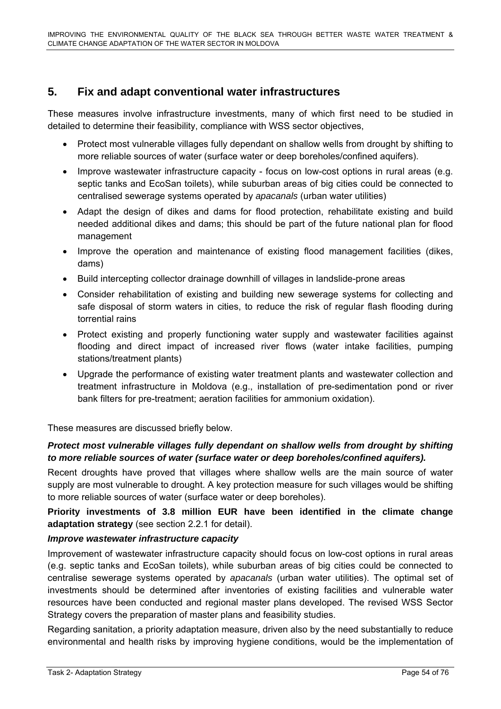# **5. Fix and adapt conventional water infrastructures**

These measures involve infrastructure investments, many of which first need to be studied in detailed to determine their feasibility, compliance with WSS sector objectives,

- Protect most vulnerable villages fully dependant on shallow wells from drought by shifting to more reliable sources of water (surface water or deep boreholes/confined aquifers).
- Improve wastewater infrastructure capacity focus on low-cost options in rural areas (e.g. septic tanks and EcoSan toilets), while suburban areas of big cities could be connected to centralised sewerage systems operated by *apacanals* (urban water utilities)
- Adapt the design of dikes and dams for flood protection, rehabilitate existing and build needed additional dikes and dams; this should be part of the future national plan for flood management
- Improve the operation and maintenance of existing flood management facilities (dikes, dams)
- Build intercepting collector drainage downhill of villages in landslide-prone areas
- Consider rehabilitation of existing and building new sewerage systems for collecting and safe disposal of storm waters in cities, to reduce the risk of regular flash flooding during torrential rains
- Protect existing and properly functioning water supply and wastewater facilities against flooding and direct impact of increased river flows (water intake facilities, pumping stations/treatment plants)
- Upgrade the performance of existing water treatment plants and wastewater collection and treatment infrastructure in Moldova (e.g., installation of pre-sedimentation pond or river bank filters for pre-treatment; aeration facilities for ammonium oxidation).

These measures are discussed briefly below.

### *Protect most vulnerable villages fully dependant on shallow wells from drought by shifting to more reliable sources of water (surface water or deep boreholes/confined aquifers).*

Recent droughts have proved that villages where shallow wells are the main source of water supply are most vulnerable to drought. A key protection measure for such villages would be shifting to more reliable sources of water (surface water or deep boreholes).

**Priority investments of 3.8 million EUR have been identified in the climate change adaptation strategy** (see section 2.2.1 for detail).

### *Improve wastewater infrastructure capacity*

Improvement of wastewater infrastructure capacity should focus on low-cost options in rural areas (e.g. septic tanks and EcoSan toilets), while suburban areas of big cities could be connected to centralise sewerage systems operated by *apacanals* (urban water utilities). The optimal set of investments should be determined after inventories of existing facilities and vulnerable water resources have been conducted and regional master plans developed. The revised WSS Sector Strategy covers the preparation of master plans and feasibility studies.

Regarding sanitation, a priority adaptation measure, driven also by the need substantially to reduce environmental and health risks by improving hygiene conditions, would be the implementation of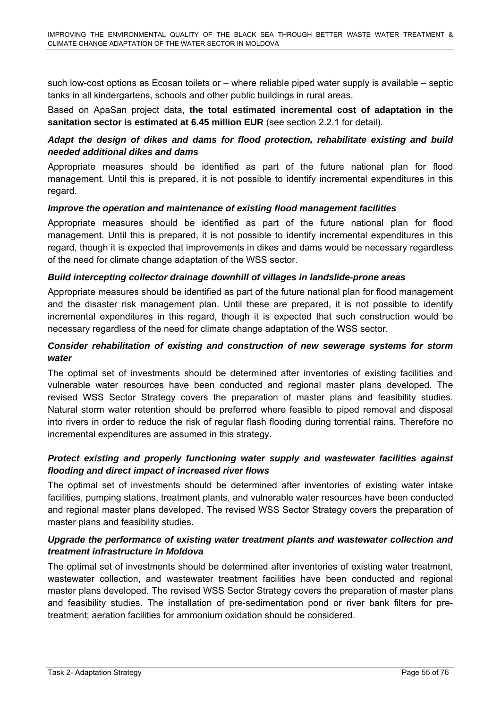such low-cost options as Ecosan toilets or – where reliable piped water supply is available – septic tanks in all kindergartens, schools and other public buildings in rural areas.

Based on ApaSan project data, **the total estimated incremental cost of adaptation in the sanitation sector is estimated at 6.45 million EUR** (see section 2.2.1 for detail).

### *Adapt the design of dikes and dams for flood protection, rehabilitate existing and build needed additional dikes and dams*

Appropriate measures should be identified as part of the future national plan for flood management. Until this is prepared, it is not possible to identify incremental expenditures in this regard.

### *Improve the operation and maintenance of existing flood management facilities*

Appropriate measures should be identified as part of the future national plan for flood management. Until this is prepared, it is not possible to identify incremental expenditures in this regard, though it is expected that improvements in dikes and dams would be necessary regardless of the need for climate change adaptation of the WSS sector.

### *Build intercepting collector drainage downhill of villages in landslide-prone areas*

Appropriate measures should be identified as part of the future national plan for flood management and the disaster risk management plan. Until these are prepared, it is not possible to identify incremental expenditures in this regard, though it is expected that such construction would be necessary regardless of the need for climate change adaptation of the WSS sector.

### *Consider rehabilitation of existing and construction of new sewerage systems for storm water*

The optimal set of investments should be determined after inventories of existing facilities and vulnerable water resources have been conducted and regional master plans developed. The revised WSS Sector Strategy covers the preparation of master plans and feasibility studies. Natural storm water retention should be preferred where feasible to piped removal and disposal into rivers in order to reduce the risk of regular flash flooding during torrential rains. Therefore no incremental expenditures are assumed in this strategy.

### *Protect existing and properly functioning water supply and wastewater facilities against flooding and direct impact of increased river flows*

The optimal set of investments should be determined after inventories of existing water intake facilities, pumping stations, treatment plants, and vulnerable water resources have been conducted and regional master plans developed. The revised WSS Sector Strategy covers the preparation of master plans and feasibility studies.

### *Upgrade the performance of existing water treatment plants and wastewater collection and treatment infrastructure in Moldova*

The optimal set of investments should be determined after inventories of existing water treatment, wastewater collection, and wastewater treatment facilities have been conducted and regional master plans developed. The revised WSS Sector Strategy covers the preparation of master plans and feasibility studies. The installation of pre-sedimentation pond or river bank filters for pretreatment; aeration facilities for ammonium oxidation should be considered.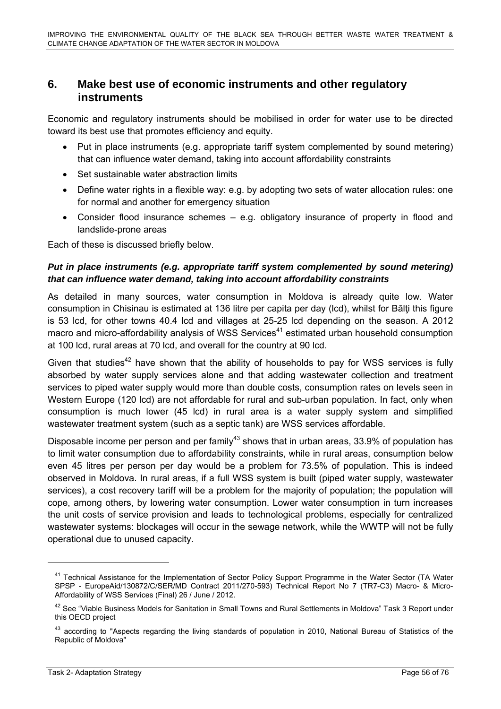### **6. Make best use of economic instruments and other regulatory instruments**

Economic and regulatory instruments should be mobilised in order for water use to be directed toward its best use that promotes efficiency and equity.

- Put in place instruments (e.g. appropriate tariff system complemented by sound metering) that can influence water demand, taking into account affordability constraints
- Set sustainable water abstraction limits
- Define water rights in a flexible way: e.g. by adopting two sets of water allocation rules: one for normal and another for emergency situation
- Consider flood insurance schemes e.g. obligatory insurance of property in flood and landslide-prone areas

Each of these is discussed briefly below.

### *Put in place instruments (e.g. appropriate tariff system complemented by sound metering) that can influence water demand, taking into account affordability constraints*

As detailed in many sources, water consumption in Moldova is already quite low. Water consumption in Chisinau is estimated at 136 litre per capita per day (lcd), whilst for Bălti this figure is 53 lcd, for other towns 40.4 lcd and villages at 25-25 lcd depending on the season. A 2012 macro and micro-affordability analysis of WSS Services<sup>41</sup> estimated urban household consumption at 100 lcd, rural areas at 70 lcd, and overall for the country at 90 lcd.

Given that studies<sup>42</sup> have shown that the ability of households to pay for WSS services is fully absorbed by water supply services alone and that adding wastewater collection and treatment services to piped water supply would more than double costs, consumption rates on levels seen in Western Europe (120 lcd) are not affordable for rural and sub-urban population. In fact, only when consumption is much lower (45 lcd) in rural area is a water supply system and simplified wastewater treatment system (such as a septic tank) are WSS services affordable.

Disposable income per person and per family<sup>43</sup> shows that in urban areas, 33.9% of population has to limit water consumption due to affordability constraints, while in rural areas, consumption below even 45 litres per person per day would be a problem for 73.5% of population. This is indeed observed in Moldova. In rural areas, if a full WSS system is built (piped water supply, wastewater services), a cost recovery tariff will be a problem for the majority of population; the population will cope, among others, by lowering water consumption. Lower water consumption in turn increases the unit costs of service provision and leads to technological problems, especially for centralized wastewater systems: blockages will occur in the sewage network, while the WWTP will not be fully operational due to unused capacity.

<sup>&</sup>lt;sup>41</sup> Technical Assistance for the Implementation of Sector Policy Support Programme in the Water Sector (TA Water SPSP - EuropeAid/130872/C/SER/MD Contract 2011/270-593) Technical Report No 7 (TR7-C3) Macro- & Micro-Affordability of WSS Services (Final) 26 / June / 2012.

<sup>&</sup>lt;sup>42</sup> See "Viable Business Models for Sanitation in Small Towns and Rural Settlements in Moldova" Task 3 Report under this OECD project

<sup>&</sup>lt;sup>43</sup> according to "Aspects regarding the living standards of population in 2010, National Bureau of Statistics of the Republic of Moldova"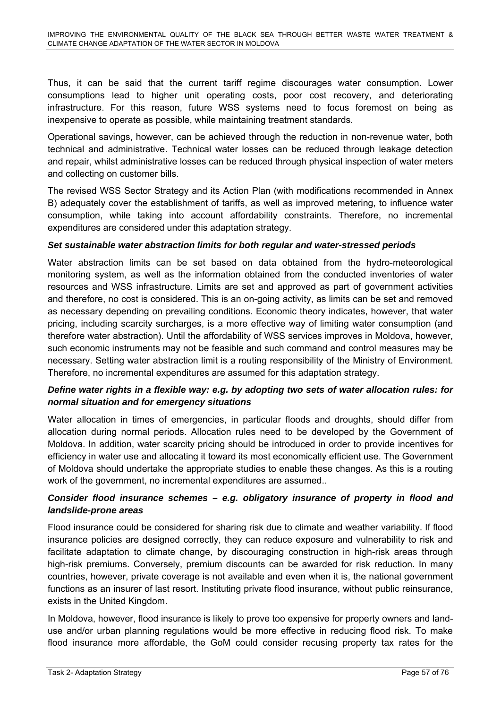Thus, it can be said that the current tariff regime discourages water consumption. Lower consumptions lead to higher unit operating costs, poor cost recovery, and deteriorating infrastructure. For this reason, future WSS systems need to focus foremost on being as inexpensive to operate as possible, while maintaining treatment standards.

Operational savings, however, can be achieved through the reduction in non-revenue water, both technical and administrative. Technical water losses can be reduced through leakage detection and repair, whilst administrative losses can be reduced through physical inspection of water meters and collecting on customer bills.

The revised WSS Sector Strategy and its Action Plan (with modifications recommended in Annex B) adequately cover the establishment of tariffs, as well as improved metering, to influence water consumption, while taking into account affordability constraints. Therefore, no incremental expenditures are considered under this adaptation strategy.

### *Set sustainable water abstraction limits for both regular and water-stressed periods*

Water abstraction limits can be set based on data obtained from the hydro-meteorological monitoring system, as well as the information obtained from the conducted inventories of water resources and WSS infrastructure. Limits are set and approved as part of government activities and therefore, no cost is considered. This is an on-going activity, as limits can be set and removed as necessary depending on prevailing conditions. Economic theory indicates, however, that water pricing, including scarcity surcharges, is a more effective way of limiting water consumption (and therefore water abstraction). Until the affordability of WSS services improves in Moldova, however, such economic instruments may not be feasible and such command and control measures may be necessary. Setting water abstraction limit is a routing responsibility of the Ministry of Environment. Therefore, no incremental expenditures are assumed for this adaptation strategy.

### *Define water rights in a flexible way: e.g. by adopting two sets of water allocation rules: for normal situation and for emergency situations*

Water allocation in times of emergencies, in particular floods and droughts, should differ from allocation during normal periods. Allocation rules need to be developed by the Government of Moldova. In addition, water scarcity pricing should be introduced in order to provide incentives for efficiency in water use and allocating it toward its most economically efficient use. The Government of Moldova should undertake the appropriate studies to enable these changes. As this is a routing work of the government, no incremental expenditures are assumed..

### *Consider flood insurance schemes – e.g. obligatory insurance of property in flood and landslide-prone areas*

Flood insurance could be considered for sharing risk due to climate and weather variability. If flood insurance policies are designed correctly, they can reduce exposure and vulnerability to risk and facilitate adaptation to climate change, by discouraging construction in high-risk areas through high-risk premiums. Conversely, premium discounts can be awarded for risk reduction. In many countries, however, private coverage is not available and even when it is, the national government functions as an insurer of last resort. Instituting private flood insurance, without public reinsurance, exists in the United Kingdom.

In Moldova, however, flood insurance is likely to prove too expensive for property owners and landuse and/or urban planning regulations would be more effective in reducing flood risk. To make flood insurance more affordable, the GoM could consider recusing property tax rates for the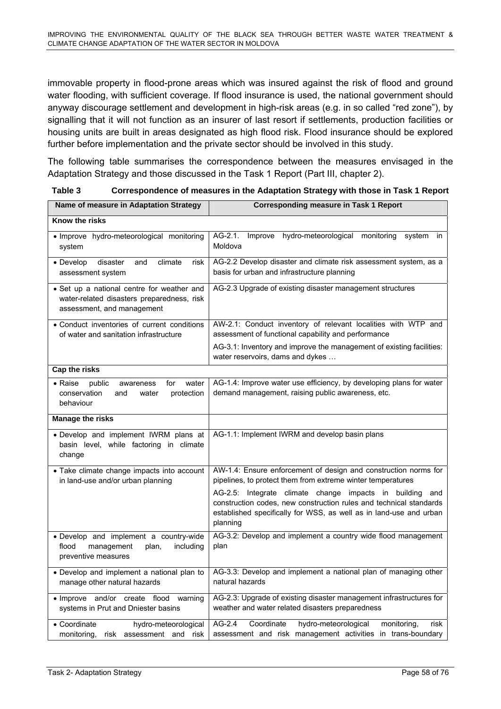immovable property in flood-prone areas which was insured against the risk of flood and ground water flooding, with sufficient coverage. If flood insurance is used, the national government should anyway discourage settlement and development in high-risk areas (e.g. in so called "red zone"), by signalling that it will not function as an insurer of last resort if settlements, production facilities or housing units are built in areas designated as high flood risk. Flood insurance should be explored further before implementation and the private sector should be involved in this study.

The following table summarises the correspondence between the measures envisaged in the Adaptation Strategy and those discussed in the Task 1 Report (Part III, chapter 2).

| Table 3 | Correspondence of measures in the Adaptation Strategy with those in Task 1 Report |
|---------|-----------------------------------------------------------------------------------|
|         |                                                                                   |

| Name of measure in Adaptation Strategy                                                                                 | <b>Corresponding measure in Task 1 Report</b>                                                                                                                                                                                                                                                                                                      |  |  |  |
|------------------------------------------------------------------------------------------------------------------------|----------------------------------------------------------------------------------------------------------------------------------------------------------------------------------------------------------------------------------------------------------------------------------------------------------------------------------------------------|--|--|--|
| Know the risks                                                                                                         |                                                                                                                                                                                                                                                                                                                                                    |  |  |  |
| · Improve hydro-meteorological monitoring<br>system                                                                    | AG-2.1.<br>Improve<br>hydro-meteorological monitoring<br>system<br>in.<br>Moldova                                                                                                                                                                                                                                                                  |  |  |  |
| • Develop<br>disaster<br>climate<br>and<br>risk<br>assessment system                                                   | AG-2.2 Develop disaster and climate risk assessment system, as a<br>basis for urban and infrastructure planning                                                                                                                                                                                                                                    |  |  |  |
| • Set up a national centre for weather and<br>water-related disasters preparedness, risk<br>assessment, and management | AG-2.3 Upgrade of existing disaster management structures                                                                                                                                                                                                                                                                                          |  |  |  |
| • Conduct inventories of current conditions<br>of water and sanitation infrastructure                                  | AW-2.1: Conduct inventory of relevant localities with WTP and<br>assessment of functional capability and performance                                                                                                                                                                                                                               |  |  |  |
|                                                                                                                        | AG-3.1: Inventory and improve the management of existing facilities:<br>water reservoirs, dams and dykes                                                                                                                                                                                                                                           |  |  |  |
| <b>Cap the risks</b>                                                                                                   |                                                                                                                                                                                                                                                                                                                                                    |  |  |  |
| public<br>water<br>• Raise<br>awareness<br>for<br>conservation<br>protection<br>and<br>water<br>behaviour              | AG-1.4: Improve water use efficiency, by developing plans for water<br>demand management, raising public awareness, etc.                                                                                                                                                                                                                           |  |  |  |
| <b>Manage the risks</b>                                                                                                |                                                                                                                                                                                                                                                                                                                                                    |  |  |  |
| · Develop and implement IWRM plans at<br>basin level, while factoring in climate<br>change                             | AG-1.1: Implement IWRM and develop basin plans                                                                                                                                                                                                                                                                                                     |  |  |  |
| • Take climate change impacts into account<br>in land-use and/or urban planning                                        | AW-1.4: Ensure enforcement of design and construction norms for<br>pipelines, to protect them from extreme winter temperatures<br>AG-2.5: Integrate climate change impacts in building and<br>construction codes, new construction rules and technical standards<br>established specifically for WSS, as well as in land-use and urban<br>planning |  |  |  |
| · Develop and implement a country-wide<br>flood<br>management<br>including<br>plan,<br>preventive measures             | AG-3.2: Develop and implement a country wide flood management<br>plan                                                                                                                                                                                                                                                                              |  |  |  |
| • Develop and implement a national plan to<br>manage other natural hazards                                             | AG-3.3: Develop and implement a national plan of managing other<br>natural hazards                                                                                                                                                                                                                                                                 |  |  |  |
| · Improve and/or create flood warning<br>systems in Prut and Dniester basins                                           | AG-2.3: Upgrade of existing disaster management infrastructures for<br>weather and water related disasters preparedness                                                                                                                                                                                                                            |  |  |  |
| • Coordinate<br>hydro-meteorological<br>monitoring,<br>risk assessment and risk                                        | $AG-2.4$<br>Coordinate<br>hydro-meteorological<br>monitoring,<br>risk<br>assessment and risk management activities in trans-boundary                                                                                                                                                                                                               |  |  |  |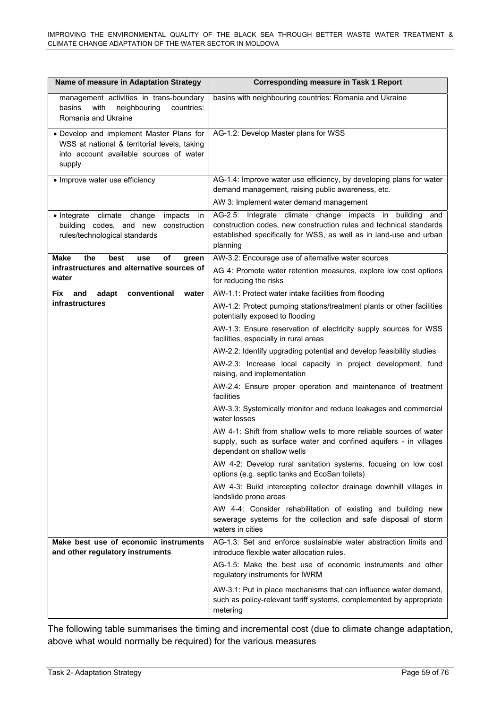| Name of measure in Adaptation Strategy                                                                                                        | <b>Corresponding measure in Task 1 Report</b>                                                                                                                                                                       |  |  |
|-----------------------------------------------------------------------------------------------------------------------------------------------|---------------------------------------------------------------------------------------------------------------------------------------------------------------------------------------------------------------------|--|--|
| management activities in trans-boundary<br>basins<br>with<br>neighbouring<br>countries:<br>Romania and Ukraine                                | basins with neighbouring countries: Romania and Ukraine                                                                                                                                                             |  |  |
| • Develop and implement Master Plans for<br>WSS at national & territorial levels, taking<br>into account available sources of water<br>supply | AG-1.2: Develop Master plans for WSS                                                                                                                                                                                |  |  |
| • Improve water use efficiency                                                                                                                | AG-1.4: Improve water use efficiency, by developing plans for water<br>demand management, raising public awareness, etc.                                                                                            |  |  |
|                                                                                                                                               | AW 3: Implement water demand management                                                                                                                                                                             |  |  |
| · Integrate climate change<br>impacts<br>in<br>building codes, and new<br>construction<br>rules/technological standards                       | AG-2.5: Integrate climate change impacts in building<br>and<br>construction codes, new construction rules and technical standards<br>established specifically for WSS, as well as in land-use and urban<br>planning |  |  |
| <b>Make</b><br>the<br>best<br>of<br>use<br>green                                                                                              | AW-3.2: Encourage use of alternative water sources                                                                                                                                                                  |  |  |
| infrastructures and alternative sources of<br>water                                                                                           | AG 4: Promote water retention measures, explore low cost options<br>for reducing the risks                                                                                                                          |  |  |
| conventional<br><b>Fix</b><br>and<br>adapt<br>water                                                                                           | AW-1.1: Protect water intake facilities from flooding                                                                                                                                                               |  |  |
| infrastructures                                                                                                                               | AW-1.2: Protect pumping stations/treatment plants or other facilities<br>potentially exposed to flooding                                                                                                            |  |  |
|                                                                                                                                               | AW-1.3: Ensure reservation of electricity supply sources for WSS<br>facilities, especially in rural areas                                                                                                           |  |  |
|                                                                                                                                               | AW-2.2: Identify upgrading potential and develop feasibility studies                                                                                                                                                |  |  |
|                                                                                                                                               | AW-2.3: Increase local capacity in project development, fund<br>raising, and implementation                                                                                                                         |  |  |
|                                                                                                                                               | AW-2.4: Ensure proper operation and maintenance of treatment<br>facilities                                                                                                                                          |  |  |
|                                                                                                                                               | AW-3.3: Systemically monitor and reduce leakages and commercial<br>water losses                                                                                                                                     |  |  |
|                                                                                                                                               | AW 4-1: Shift from shallow wells to more reliable sources of water<br>supply, such as surface water and confined aquifers - in villages<br>dependant on shallow wells                                               |  |  |
|                                                                                                                                               | AW 4-2: Develop rural sanitation systems, focusing on low cost<br>options (e.g. septic tanks and EcoSan toilets)                                                                                                    |  |  |
|                                                                                                                                               | AW 4-3: Build intercepting collector drainage downhill villages in<br>landslide prone areas                                                                                                                         |  |  |
|                                                                                                                                               | AW 4-4: Consider rehabilitation of existing and building new<br>sewerage systems for the collection and safe disposal of storm<br>waters in cities                                                                  |  |  |
| Make best use of economic instruments<br>and other regulatory instruments                                                                     | AG-1.3: Set and enforce sustainable water abstraction limits and<br>introduce flexible water allocation rules.                                                                                                      |  |  |
|                                                                                                                                               | AG-1.5: Make the best use of economic instruments and other<br>regulatory instruments for IWRM                                                                                                                      |  |  |
|                                                                                                                                               | AW-3.1: Put in place mechanisms that can influence water demand,<br>such as policy-relevant tariff systems, complemented by appropriate<br>metering                                                                 |  |  |

The following table summarises the timing and incremental cost (due to climate change adaptation, above what would normally be required) for the various measures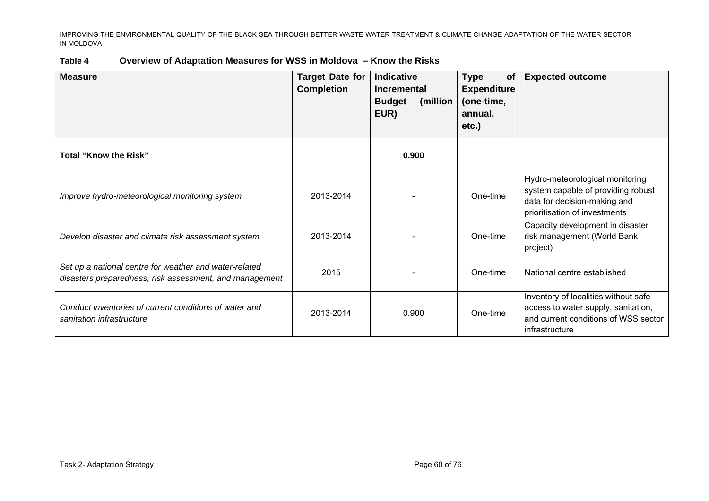| Table 4 | Overview of Adaptation Measures for WSS in Moldova – Know the Risks |
|---------|---------------------------------------------------------------------|
|---------|---------------------------------------------------------------------|

| <b>Measure</b>                                                                                                    | <b>Target Date for</b><br><b>Completion</b> | Indicative<br>Incremental<br><b>Budget</b><br>(million<br>EUR) | <b>Type</b><br><b>of</b><br><b>Expenditure</b><br>(one-time,<br>annual,<br>$etc.$ ) | <b>Expected outcome</b>                                                                                                                |
|-------------------------------------------------------------------------------------------------------------------|---------------------------------------------|----------------------------------------------------------------|-------------------------------------------------------------------------------------|----------------------------------------------------------------------------------------------------------------------------------------|
| <b>Total "Know the Risk"</b>                                                                                      |                                             | 0.900                                                          |                                                                                     |                                                                                                                                        |
| Improve hydro-meteorological monitoring system                                                                    | 2013-2014                                   |                                                                | One-time                                                                            | Hydro-meteorological monitoring<br>system capable of providing robust<br>data for decision-making and<br>prioritisation of investments |
| Develop disaster and climate risk assessment system                                                               | 2013-2014                                   |                                                                | One-time                                                                            | Capacity development in disaster<br>risk management (World Bank<br>project)                                                            |
| Set up a national centre for weather and water-related<br>disasters preparedness, risk assessment, and management | 2015                                        |                                                                | One-time                                                                            | National centre established                                                                                                            |
| Conduct inventories of current conditions of water and<br>sanitation infrastructure                               | 2013-2014                                   | 0.900                                                          | One-time                                                                            | Inventory of localities without safe<br>access to water supply, sanitation,<br>and current conditions of WSS sector<br>infrastructure  |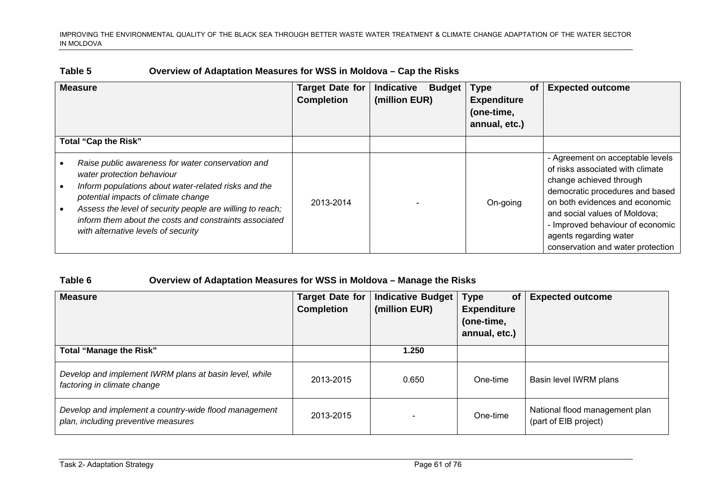| Overview of Adaptation Measures for WSS in Moldova – Cap the Risks<br>Table 5 |
|-------------------------------------------------------------------------------|
|-------------------------------------------------------------------------------|

| <b>Measure</b>                                                                                                                                                                                                                                                                                                                               | <b>Target Date for</b><br><b>Completion</b> | Indicative<br><b>Budget</b><br>(million EUR) | <b>Type</b><br><b>of</b><br><b>Expenditure</b><br>(one-time,<br>annual, etc.) | <b>Expected outcome</b>                                                                                                                                                                                                                                                                                  |
|----------------------------------------------------------------------------------------------------------------------------------------------------------------------------------------------------------------------------------------------------------------------------------------------------------------------------------------------|---------------------------------------------|----------------------------------------------|-------------------------------------------------------------------------------|----------------------------------------------------------------------------------------------------------------------------------------------------------------------------------------------------------------------------------------------------------------------------------------------------------|
| Total "Cap the Risk"                                                                                                                                                                                                                                                                                                                         |                                             |                                              |                                                                               |                                                                                                                                                                                                                                                                                                          |
| Raise public awareness for water conservation and<br>water protection behaviour<br>Inform populations about water-related risks and the<br>potential impacts of climate change<br>Assess the level of security people are willing to reach;<br>inform them about the costs and constraints associated<br>with alternative levels of security | 2013-2014                                   |                                              | On-going                                                                      | - Agreement on acceptable levels<br>of risks associated with climate<br>change achieved through<br>democratic procedures and based<br>on both evidences and economic<br>and social values of Moldova;<br>- Improved behaviour of economic<br>agents regarding water<br>conservation and water protection |

### **Table 6 Overview of Adaptation Measures for WSS in Moldova – Manage the Risks**

| <b>Measure</b>                                                                               | <b>Target Date for</b><br><b>Completion</b> | <b>Indicative Budget</b><br>(million EUR) | <b>Type</b><br>of<br><b>Expenditure</b><br>(one-time,<br>annual, etc.) | <b>Expected outcome</b>                                 |
|----------------------------------------------------------------------------------------------|---------------------------------------------|-------------------------------------------|------------------------------------------------------------------------|---------------------------------------------------------|
| <b>Total "Manage the Risk"</b>                                                               |                                             | 1.250                                     |                                                                        |                                                         |
| Develop and implement IWRM plans at basin level, while<br>factoring in climate change        | 2013-2015                                   | 0.650                                     | One-time                                                               | Basin level IWRM plans                                  |
| Develop and implement a country-wide flood management<br>plan, including preventive measures | 2013-2015                                   |                                           | One-time                                                               | National flood management plan<br>(part of EIB project) |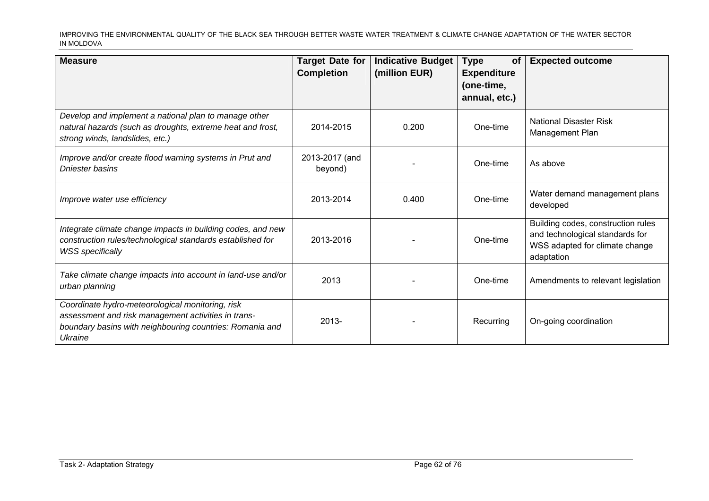| <b>Measure</b>                                                                                                                                                                 | <b>Target Date for</b><br><b>Completion</b> | <b>Indicative Budget</b><br>(million EUR) | <b>Type</b><br><b>of</b><br><b>Expenditure</b><br>(one-time,<br>annual, etc.) | <b>Expected outcome</b>                                                                                               |
|--------------------------------------------------------------------------------------------------------------------------------------------------------------------------------|---------------------------------------------|-------------------------------------------|-------------------------------------------------------------------------------|-----------------------------------------------------------------------------------------------------------------------|
| Develop and implement a national plan to manage other<br>natural hazards (such as droughts, extreme heat and frost,<br>strong winds, landslides, etc.)                         | 2014-2015                                   | 0.200                                     | One-time                                                                      | <b>National Disaster Risk</b><br>Management Plan                                                                      |
| Improve and/or create flood warning systems in Prut and<br>Dniester basins                                                                                                     | 2013-2017 (and<br>beyond)                   |                                           | One-time                                                                      | As above                                                                                                              |
| Improve water use efficiency                                                                                                                                                   | 2013-2014                                   | 0.400                                     | One-time                                                                      | Water demand management plans<br>developed                                                                            |
| Integrate climate change impacts in building codes, and new<br>construction rules/technological standards established for<br><b>WSS</b> specifically                           | 2013-2016                                   |                                           | One-time                                                                      | Building codes, construction rules<br>and technological standards for<br>WSS adapted for climate change<br>adaptation |
| Take climate change impacts into account in land-use and/or<br>urban planning                                                                                                  | 2013                                        |                                           | One-time                                                                      | Amendments to relevant legislation                                                                                    |
| Coordinate hydro-meteorological monitoring, risk<br>assessment and risk management activities in trans-<br>boundary basins with neighbouring countries: Romania and<br>Ukraine | $2013 -$                                    |                                           | Recurring                                                                     | On-going coordination                                                                                                 |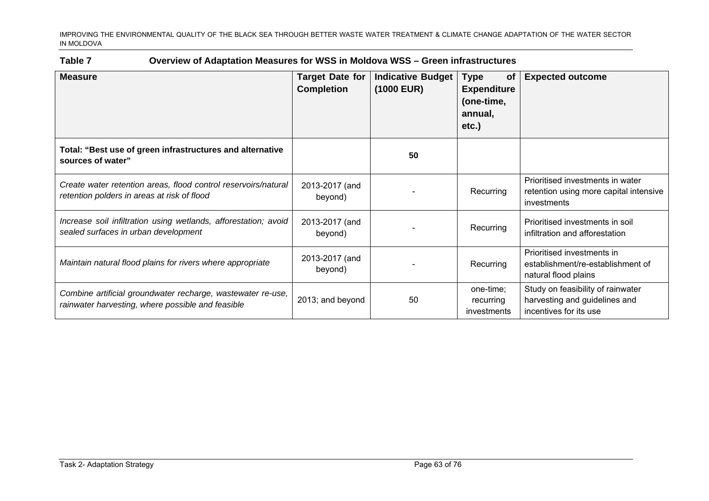### **Table 7 Overview of Adaptation Measures for WSS in Moldova WSS – Green infrastructures**

| <b>Measure</b>                                                                                                   | <b>Target Date for</b><br><b>Completion</b> | <b>Indicative Budget</b><br>(1000 EUR) | <b>Type</b><br><b>of</b><br><b>Expenditure</b><br>(one-time,<br>annual,<br>$etc.$ ) | <b>Expected outcome</b>                                                                      |
|------------------------------------------------------------------------------------------------------------------|---------------------------------------------|----------------------------------------|-------------------------------------------------------------------------------------|----------------------------------------------------------------------------------------------|
| Total: "Best use of green infrastructures and alternative<br>sources of water"                                   |                                             | 50                                     |                                                                                     |                                                                                              |
| Create water retention areas, flood control reservoirs/natural<br>retention polders in areas at risk of flood    | 2013-2017 (and<br>beyond)                   |                                        | Recurring                                                                           | Prioritised investments in water<br>retention using more capital intensive<br>investments    |
| Increase soil infiltration using wetlands, afforestation; avoid<br>sealed surfaces in urban development          | 2013-2017 (and<br>beyond)                   |                                        | Recurring                                                                           | Prioritised investments in soil<br>infiltration and afforestation                            |
| Maintain natural flood plains for rivers where appropriate                                                       | 2013-2017 (and<br>beyond)                   |                                        | Recurring                                                                           | Prioritised investments in<br>establishment/re-establishment of<br>natural flood plains      |
| Combine artificial groundwater recharge, wastewater re-use,<br>rainwater harvesting, where possible and feasible | 2013; and beyond                            | 50                                     | one-time;<br>recurring<br>investments                                               | Study on feasibility of rainwater<br>harvesting and guidelines and<br>incentives for its use |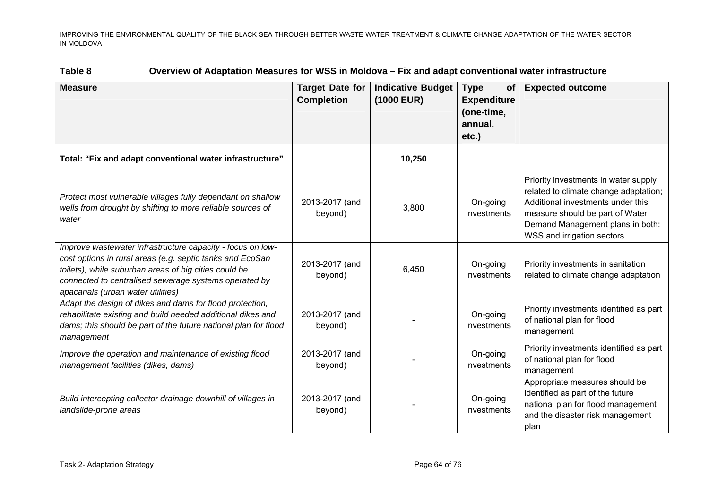| Table 8 | Overview of Adaptation Measures for WSS in Moldova – Fix and adapt conventional water infrastructure |  |
|---------|------------------------------------------------------------------------------------------------------|--|
|         |                                                                                                      |  |

| <b>Measure</b>                                                                                                                                                                                                                                                                 | <b>Target Date for</b><br><b>Completion</b> | <b>Indicative Budget</b><br>(1000 EUR) | <b>Type</b><br><b>of</b><br><b>Expenditure</b><br>(one-time,<br>annual, | <b>Expected outcome</b>                                                                                                                                                                                                 |
|--------------------------------------------------------------------------------------------------------------------------------------------------------------------------------------------------------------------------------------------------------------------------------|---------------------------------------------|----------------------------------------|-------------------------------------------------------------------------|-------------------------------------------------------------------------------------------------------------------------------------------------------------------------------------------------------------------------|
|                                                                                                                                                                                                                                                                                |                                             |                                        | etc.)                                                                   |                                                                                                                                                                                                                         |
| Total: "Fix and adapt conventional water infrastructure"                                                                                                                                                                                                                       |                                             | 10,250                                 |                                                                         |                                                                                                                                                                                                                         |
| Protect most vulnerable villages fully dependant on shallow<br>wells from drought by shifting to more reliable sources of<br>water                                                                                                                                             | 2013-2017 (and<br>beyond)                   | 3,800                                  | On-going<br>investments                                                 | Priority investments in water supply<br>related to climate change adaptation;<br>Additional investments under this<br>measure should be part of Water<br>Demand Management plans in both:<br>WSS and irrigation sectors |
| Improve wastewater infrastructure capacity - focus on low-<br>cost options in rural areas (e.g. septic tanks and EcoSan<br>toilets), while suburban areas of big cities could be<br>connected to centralised sewerage systems operated by<br>apacanals (urban water utilities) | 2013-2017 (and<br>beyond)                   | 6,450                                  | On-going<br>investments                                                 | Priority investments in sanitation<br>related to climate change adaptation                                                                                                                                              |
| Adapt the design of dikes and dams for flood protection,<br>rehabilitate existing and build needed additional dikes and<br>dams; this should be part of the future national plan for flood<br>management                                                                       | 2013-2017 (and<br>beyond)                   |                                        | On-going<br>investments                                                 | Priority investments identified as part<br>of national plan for flood<br>management                                                                                                                                     |
| Improve the operation and maintenance of existing flood<br>management facilities (dikes, dams)                                                                                                                                                                                 | 2013-2017 (and<br>beyond)                   |                                        | On-going<br>investments                                                 | Priority investments identified as part<br>of national plan for flood<br>management                                                                                                                                     |
| Build intercepting collector drainage downhill of villages in<br>landslide-prone areas                                                                                                                                                                                         | 2013-2017 (and<br>beyond)                   |                                        | On-going<br>investments                                                 | Appropriate measures should be<br>identified as part of the future<br>national plan for flood management<br>and the disaster risk management<br>plan                                                                    |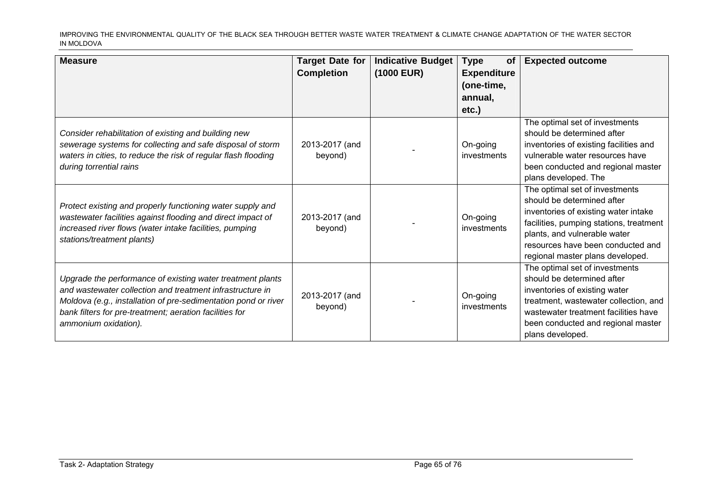| <b>Measure</b>                                                                                                                                                                                                                                                               | <b>Target Date for</b><br><b>Completion</b> | <b>Indicative Budget</b><br>(1000 EUR) | <b>Type</b><br><b>of</b><br><b>Expenditure</b><br>(one-time,<br>annual,<br>$etc.$ ) | <b>Expected outcome</b>                                                                                                                                                                                                                                  |
|------------------------------------------------------------------------------------------------------------------------------------------------------------------------------------------------------------------------------------------------------------------------------|---------------------------------------------|----------------------------------------|-------------------------------------------------------------------------------------|----------------------------------------------------------------------------------------------------------------------------------------------------------------------------------------------------------------------------------------------------------|
| Consider rehabilitation of existing and building new<br>sewerage systems for collecting and safe disposal of storm<br>waters in cities, to reduce the risk of regular flash flooding<br>during torrential rains                                                              | 2013-2017 (and<br>beyond)                   |                                        | On-going<br>investments                                                             | The optimal set of investments<br>should be determined after<br>inventories of existing facilities and<br>vulnerable water resources have<br>been conducted and regional master<br>plans developed. The                                                  |
| Protect existing and properly functioning water supply and<br>wastewater facilities against flooding and direct impact of<br>increased river flows (water intake facilities, pumping<br>stations/treatment plants)                                                           | 2013-2017 (and<br>beyond)                   |                                        | On-going<br>investments                                                             | The optimal set of investments<br>should be determined after<br>inventories of existing water intake<br>facilities, pumping stations, treatment<br>plants, and vulnerable water<br>resources have been conducted and<br>regional master plans developed. |
| Upgrade the performance of existing water treatment plants<br>and wastewater collection and treatment infrastructure in<br>Moldova (e.g., installation of pre-sedimentation pond or river<br>bank filters for pre-treatment; aeration facilities for<br>ammonium oxidation). | 2013-2017 (and<br>beyond)                   |                                        | On-going<br>investments                                                             | The optimal set of investments<br>should be determined after<br>inventories of existing water<br>treatment, wastewater collection, and<br>wastewater treatment facilities have<br>been conducted and regional master<br>plans developed.                 |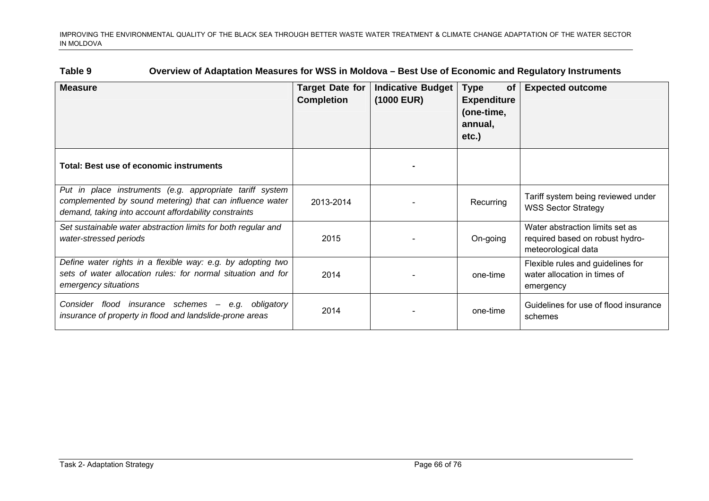| Table 9<br>Overview of Adaptation Measures for WSS in Moldova - Best Use of Economic and Regulatory Instruments |
|-----------------------------------------------------------------------------------------------------------------|
|-----------------------------------------------------------------------------------------------------------------|

| <b>Measure</b>                                                                                                                                                                | <b>Target Date for</b><br><b>Completion</b> | <b>Indicative Budget</b><br>$(1000$ EUR) | <b>Type</b><br>0f<br><b>Expenditure</b><br>(one-time,<br>annual,<br>$etc.$ ) | <b>Expected outcome</b>                                                                   |
|-------------------------------------------------------------------------------------------------------------------------------------------------------------------------------|---------------------------------------------|------------------------------------------|------------------------------------------------------------------------------|-------------------------------------------------------------------------------------------|
| Total: Best use of economic instruments                                                                                                                                       |                                             |                                          |                                                                              |                                                                                           |
| Put in place instruments (e.g. appropriate tariff system<br>complemented by sound metering) that can influence water<br>demand, taking into account affordability constraints | 2013-2014                                   |                                          | Recurring                                                                    | Tariff system being reviewed under<br><b>WSS Sector Strategy</b>                          |
| Set sustainable water abstraction limits for both regular and<br>water-stressed periods                                                                                       | 2015                                        |                                          | On-going                                                                     | Water abstraction limits set as<br>required based on robust hydro-<br>meteorological data |
| Define water rights in a flexible way: e.g. by adopting two<br>sets of water allocation rules: for normal situation and for<br>emergency situations                           | 2014                                        |                                          | one-time                                                                     | Flexible rules and guidelines for<br>water allocation in times of<br>emergency            |
| insurance schemes -<br>obligatory<br>Consider flood<br>e.g.<br>insurance of property in flood and landslide-prone areas                                                       | 2014                                        |                                          | one-time                                                                     | Guidelines for use of flood insurance<br>schemes                                          |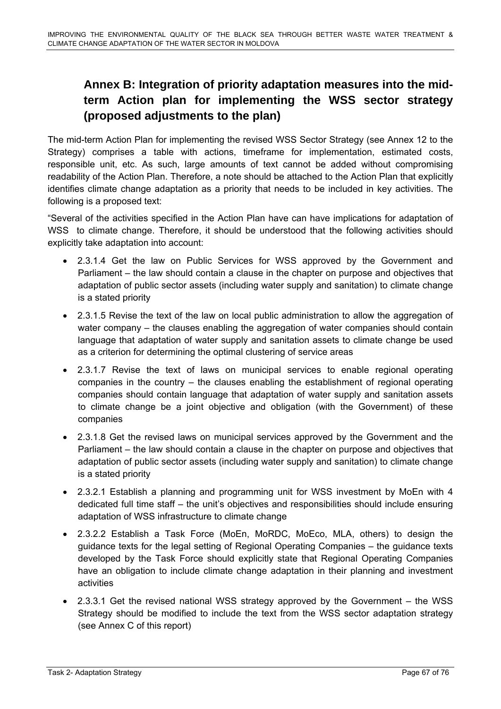# **Annex B: Integration of priority adaptation measures into the midterm Action plan for implementing the WSS sector strategy (proposed adjustments to the plan)**

The mid-term Action Plan for implementing the revised WSS Sector Strategy (see Annex 12 to the Strategy) comprises a table with actions, timeframe for implementation, estimated costs, responsible unit, etc. As such, large amounts of text cannot be added without compromising readability of the Action Plan. Therefore, a note should be attached to the Action Plan that explicitly identifies climate change adaptation as a priority that needs to be included in key activities. The following is a proposed text:

"Several of the activities specified in the Action Plan have can have implications for adaptation of WSS to climate change. Therefore, it should be understood that the following activities should explicitly take adaptation into account:

- 2.3.1.4 Get the law on Public Services for WSS approved by the Government and Parliament – the law should contain a clause in the chapter on purpose and objectives that adaptation of public sector assets (including water supply and sanitation) to climate change is a stated priority
- 2.3.1.5 Revise the text of the law on local public administration to allow the aggregation of water company – the clauses enabling the aggregation of water companies should contain language that adaptation of water supply and sanitation assets to climate change be used as a criterion for determining the optimal clustering of service areas
- 2.3.1.7 Revise the text of laws on municipal services to enable regional operating companies in the country – the clauses enabling the establishment of regional operating companies should contain language that adaptation of water supply and sanitation assets to climate change be a joint objective and obligation (with the Government) of these companies
- 2.3.1.8 Get the revised laws on municipal services approved by the Government and the Parliament – the law should contain a clause in the chapter on purpose and objectives that adaptation of public sector assets (including water supply and sanitation) to climate change is a stated priority
- 2.3.2.1 Establish a planning and programming unit for WSS investment by MoEn with 4 dedicated full time staff – the unit's objectives and responsibilities should include ensuring adaptation of WSS infrastructure to climate change
- 2.3.2.2 Establish a Task Force (MoEn, MoRDC, MoEco, MLA, others) to design the guidance texts for the legal setting of Regional Operating Companies – the guidance texts developed by the Task Force should explicitly state that Regional Operating Companies have an obligation to include climate change adaptation in their planning and investment activities
- 2.3.3.1 Get the revised national WSS strategy approved by the Government the WSS Strategy should be modified to include the text from the WSS sector adaptation strategy (see Annex C of this report)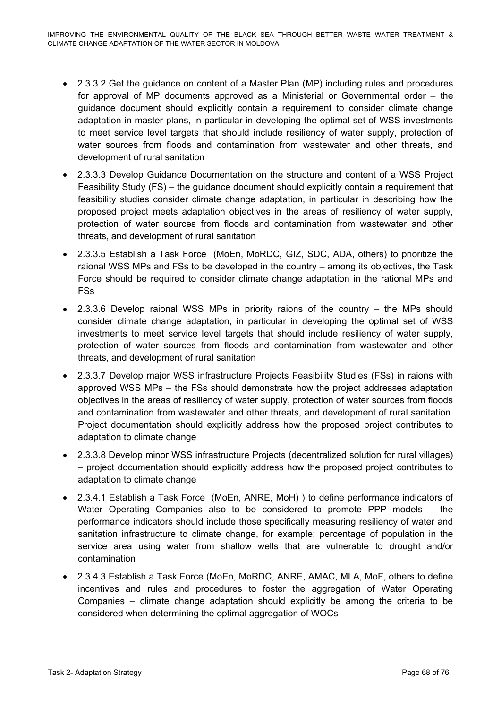- 2.3.3.2 Get the guidance on content of a Master Plan (MP) including rules and procedures for approval of MP documents approved as a Ministerial or Governmental order – the guidance document should explicitly contain a requirement to consider climate change adaptation in master plans, in particular in developing the optimal set of WSS investments to meet service level targets that should include resiliency of water supply, protection of water sources from floods and contamination from wastewater and other threats, and development of rural sanitation
- 2.3.3.3 Develop Guidance Documentation on the structure and content of a WSS Project Feasibility Study (FS) – the guidance document should explicitly contain a requirement that feasibility studies consider climate change adaptation, in particular in describing how the proposed project meets adaptation objectives in the areas of resiliency of water supply, protection of water sources from floods and contamination from wastewater and other threats, and development of rural sanitation
- 2.3.3.5 Establish a Task Force (MoEn, MoRDC, GIZ, SDC, ADA, others) to prioritize the raional WSS MPs and FSs to be developed in the country – among its objectives, the Task Force should be required to consider climate change adaptation in the rational MPs and FSs
- 2.3.3.6 Develop raional WSS MPs in priority raions of the country the MPs should consider climate change adaptation, in particular in developing the optimal set of WSS investments to meet service level targets that should include resiliency of water supply, protection of water sources from floods and contamination from wastewater and other threats, and development of rural sanitation
- 2.3.3.7 Develop major WSS infrastructure Projects Feasibility Studies (FSs) in raions with approved WSS MPs – the FSs should demonstrate how the project addresses adaptation objectives in the areas of resiliency of water supply, protection of water sources from floods and contamination from wastewater and other threats, and development of rural sanitation. Project documentation should explicitly address how the proposed project contributes to adaptation to climate change
- 2.3.3.8 Develop minor WSS infrastructure Projects (decentralized solution for rural villages) – project documentation should explicitly address how the proposed project contributes to adaptation to climate change
- 2.3.4.1 Establish a Task Force (MoEn, ANRE, MoH) ) to define performance indicators of Water Operating Companies also to be considered to promote PPP models – the performance indicators should include those specifically measuring resiliency of water and sanitation infrastructure to climate change, for example: percentage of population in the service area using water from shallow wells that are vulnerable to drought and/or contamination
- 2.3.4.3 Establish a Task Force (MoEn, MoRDC, ANRE, AMAC, MLA, MoF, others to define incentives and rules and procedures to foster the aggregation of Water Operating Companies – climate change adaptation should explicitly be among the criteria to be considered when determining the optimal aggregation of WOCs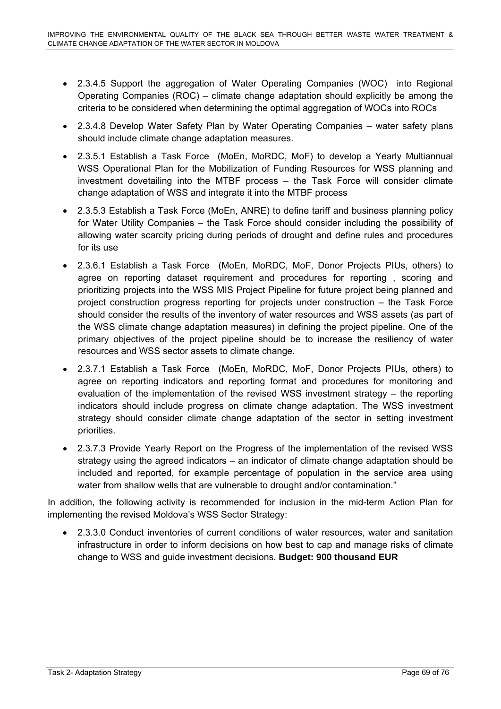- 2.3.4.5 Support the aggregation of Water Operating Companies (WOC) into Regional Operating Companies (ROC) – climate change adaptation should explicitly be among the criteria to be considered when determining the optimal aggregation of WOCs into ROCs
- 2.3.4.8 Develop Water Safety Plan by Water Operating Companies water safety plans should include climate change adaptation measures.
- 2.3.5.1 Establish a Task Force (MoEn, MoRDC, MoF) to develop a Yearly Multiannual WSS Operational Plan for the Mobilization of Funding Resources for WSS planning and investment dovetailing into the MTBF process – the Task Force will consider climate change adaptation of WSS and integrate it into the MTBF process
- 2.3.5.3 Establish a Task Force (MoEn, ANRE) to define tariff and business planning policy for Water Utility Companies – the Task Force should consider including the possibility of allowing water scarcity pricing during periods of drought and define rules and procedures for its use
- 2.3.6.1 Establish a Task Force (MoEn, MoRDC, MoF, Donor Projects PIUs, others) to agree on reporting dataset requirement and procedures for reporting , scoring and prioritizing projects into the WSS MIS Project Pipeline for future project being planned and project construction progress reporting for projects under construction – the Task Force should consider the results of the inventory of water resources and WSS assets (as part of the WSS climate change adaptation measures) in defining the project pipeline. One of the primary objectives of the project pipeline should be to increase the resiliency of water resources and WSS sector assets to climate change.
- 2.3.7.1 Establish a Task Force (MoEn, MoRDC, MoF, Donor Projects PIUs, others) to agree on reporting indicators and reporting format and procedures for monitoring and evaluation of the implementation of the revised WSS investment strategy – the reporting indicators should include progress on climate change adaptation. The WSS investment strategy should consider climate change adaptation of the sector in setting investment priorities.
- 2.3.7.3 Provide Yearly Report on the Progress of the implementation of the revised WSS strategy using the agreed indicators – an indicator of climate change adaptation should be included and reported, for example percentage of population in the service area using water from shallow wells that are vulnerable to drought and/or contamination."

In addition, the following activity is recommended for inclusion in the mid-term Action Plan for implementing the revised Moldova's WSS Sector Strategy:

• 2.3.3.0 Conduct inventories of current conditions of water resources, water and sanitation infrastructure in order to inform decisions on how best to cap and manage risks of climate change to WSS and guide investment decisions. **Budget: 900 thousand EUR**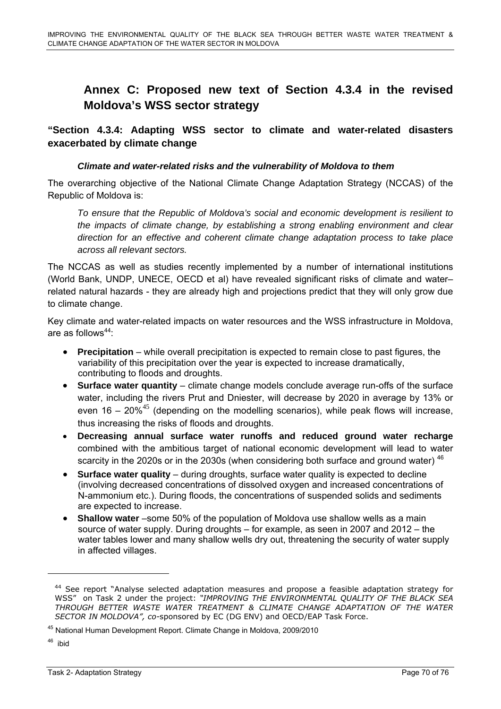# **Annex C: Proposed new text of Section 4.3.4 in the revised Moldova's WSS sector strategy**

**"Section 4.3.4: Adapting WSS sector to climate and water-related disasters exacerbated by climate change** 

#### *Climate and water-related risks and the vulnerability of Moldova to them*

The overarching objective of the National Climate Change Adaptation Strategy (NCCAS) of the Republic of Moldova is:

*To ensure that the Republic of Moldova's social and economic development is resilient to the impacts of climate change, by establishing a strong enabling environment and clear direction for an effective and coherent climate change adaptation process to take place across all relevant sectors.*

The NCCAS as well as studies recently implemented by a number of international institutions (World Bank, UNDP, UNECE, OECD et al) have revealed significant risks of climate and water– related natural hazards - they are already high and projections predict that they will only grow due to climate change.

Key climate and water-related impacts on water resources and the WSS infrastructure in Moldova, are as follows $44$ :

- **Precipitation** while overall precipitation is expected to remain close to past figures, the variability of this precipitation over the year is expected to increase dramatically, contributing to floods and droughts.
- **Surface water quantity** climate change models conclude average run-offs of the surface water, including the rivers Prut and Dniester, will decrease by 2020 in average by 13% or even 16 – 20%<sup>45</sup> (depending on the modelling scenarios), while peak flows will increase, thus increasing the risks of floods and droughts.
- **Decreasing annual surface water runoffs and reduced ground water recharge** combined with the ambitious target of national economic development will lead to water scarcity in the 2020s or in the 2030s (when considering both surface and ground water) <sup>46</sup>
- **Surface water quality** during droughts, surface water quality is expected to decline (involving decreased concentrations of dissolved oxygen and increased concentrations of N-ammonium etc.). During floods, the concentrations of suspended solids and sediments are expected to increase.
- **Shallow water** –some 50% of the population of Moldova use shallow wells as a main source of water supply. During droughts – for example, as seen in 2007 and 2012 – the water tables lower and many shallow wells dry out, threatening the security of water supply in affected villages.

<sup>&</sup>lt;sup>44</sup> See report "Analyse selected adaptation measures and propose a feasible adaptation strategy for WSS" on Task 2 under the project: *"IMPROVING THE ENVIRONMENTAL QUALITY OF THE BLACK SEA THROUGH BETTER WASTE WATER TREATMENT & CLIMATE CHANGE ADAPTATION OF THE WATER SECTOR IN MOLDOVA", co-*sponsored by EC (DG ENV) and OECD/EAP Task Force.

<sup>45</sup> National Human Development Report. Climate Change in Moldova, 2009/2010

<sup>46</sup> ibid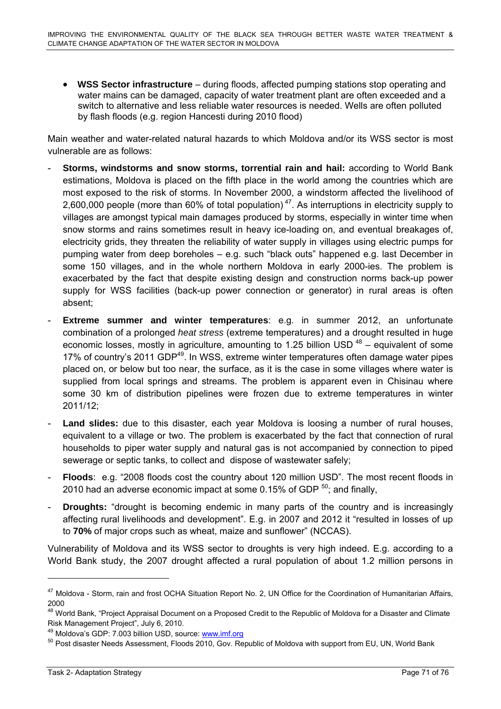• **WSS Sector infrastructure** – during floods, affected pumping stations stop operating and water mains can be damaged, capacity of water treatment plant are often exceeded and a switch to alternative and less reliable water resources is needed. Wells are often polluted by flash floods (e.g. region Hancesti during 2010 flood)

Main weather and water-related natural hazards to which Moldova and/or its WSS sector is most vulnerable are as follows:

- **Storms, windstorms and snow storms, torrential rain and hail:** according to World Bank estimations, Moldova is placed on the fifth place in the world among the countries which are most exposed to the risk of storms. In November 2000, a windstorm affected the livelihood of 2,600,000 people (more than 60% of total population)<sup>47</sup>. As interruptions in electricity supply to villages are amongst typical main damages produced by storms, especially in winter time when snow storms and rains sometimes result in heavy ice-loading on, and eventual breakages of, electricity grids, they threaten the reliability of water supply in villages using electric pumps for pumping water from deep boreholes – e.g. such "black outs" happened e.g. last December in some 150 villages, and in the whole northern Moldova in early 2000-ies. The problem is exacerbated by the fact that despite existing design and construction norms back-up power supply for WSS facilities (back-up power connection or generator) in rural areas is often absent;
- **Extreme summer and winter temperatures**: e.g. in summer 2012, an unfortunate combination of a prolonged *heat stress* (extreme temperatures) and a drought resulted in huge economic losses, mostly in agriculture, amounting to 1.25 billion USD  $48$  – equivalent of some 17% of country's 2011 GDP<sup>49</sup>. In WSS, extreme winter temperatures often damage water pipes placed on, or below but too near, the surface, as it is the case in some villages where water is supplied from local springs and streams. The problem is apparent even in Chisinau where some 30 km of distribution pipelines were frozen due to extreme temperatures in winter 2011/12;
- Land slides: due to this disaster, each year Moldova is loosing a number of rural houses, equivalent to a village or two. The problem is exacerbated by the fact that connection of rural households to piper water supply and natural gas is not accompanied by connection to piped sewerage or septic tanks, to collect and dispose of wastewater safely;
- **Floods**: e.g. "2008 floods cost the country about 120 million USD". The most recent floods in 2010 had an adverse economic impact at some 0.15% of GDP  $^{50}$ ; and finally,
- **Droughts:** "drought is becoming endemic in many parts of the country and is increasingly affecting rural livelihoods and development". E.g. in 2007 and 2012 it "resulted in losses of up to **70%** of major crops such as wheat, maize and sunflower" (NCCAS).

Vulnerability of Moldova and its WSS sector to droughts is very high indeed. E.g. according to a World Bank study, the 2007 drought affected a rural population of about 1.2 million persons in

<sup>&</sup>lt;sup>47</sup> Moldova - Storm, rain and frost OCHA Situation Report No. 2, UN Office for the Coordination of Humanitarian Affairs, 2000

<sup>&</sup>lt;sup>48</sup> World Bank, "Project Appraisal Document on a Proposed Credit to the Republic of Moldova for a Disaster and Climate Risk Management Project", July 6, 2010.

<sup>&</sup>lt;sup>49</sup> Moldova's GDP: 7.003 billion USD, s[ource:](http://www.imf.org/) www.imf.org<br><sup>50</sup> Post disaster Needs Assessment, Fl[oods 2](http://www.imf.org/)010, Gov. Republic of Moldova with support from EU, UN, World Bank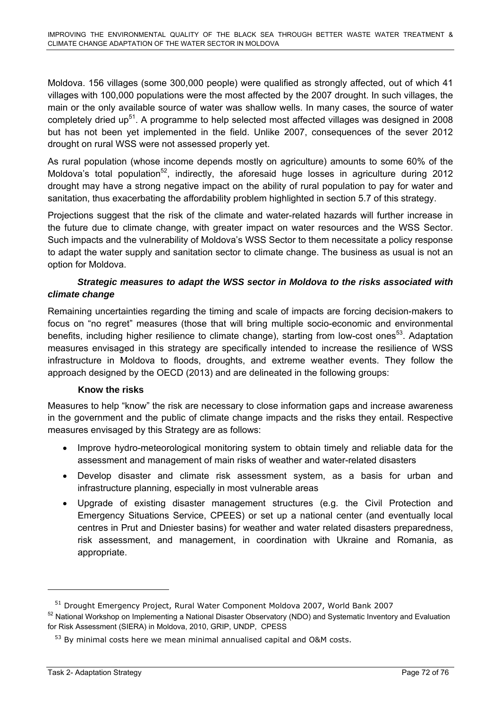Moldova. 156 villages (some 300,000 people) were qualified as strongly affected, out of which 41 villages with 100,000 populations were the most affected by the 2007 drought. In such villages, the main or the only available source of water was shallow wells. In many cases, the source of water completely dried up<sup>51</sup>. A programme to help selected most affected villages was designed in 2008 but has not been yet implemented in the field. Unlike 2007, consequences of the sever 2012 drought on rural WSS were not assessed properly yet.

As rural population (whose income depends mostly on agriculture) amounts to some 60% of the Moldova's total population<sup>52</sup>, indirectly, the aforesaid huge losses in agriculture during 2012 drought may have a strong negative impact on the ability of rural population to pay for water and sanitation, thus exacerbating the affordability problem highlighted in section 5.7 of this strategy.

Projections suggest that the risk of the climate and water-related hazards will further increase in the future due to climate change, with greater impact on water resources and the WSS Sector. Such impacts and the vulnerability of Moldova's WSS Sector to them necessitate a policy response to adapt the water supply and sanitation sector to climate change. The business as usual is not an option for Moldova.

# *Strategic measures to adapt the WSS sector in Moldova to the risks associated with climate change*

Remaining uncertainties regarding the timing and scale of impacts are forcing decision-makers to focus on "no regret" measures (those that will bring multiple socio-economic and environmental benefits, including higher resilience to climate change), starting from low-cost ones<sup>53</sup>. Adaptation measures envisaged in this strategy are specifically intended to increase the resilience of WSS infrastructure in Moldova to floods, droughts, and extreme weather events. They follow the approach designed by the OECD (2013) and are delineated in the following groups:

## **Know the risks**

Measures to help "know" the risk are necessary to close information gaps and increase awareness in the government and the public of climate change impacts and the risks they entail. Respective measures envisaged by this Strategy are as follows:

- Improve hydro-meteorological monitoring system to obtain timely and reliable data for the assessment and management of main risks of weather and water-related disasters
- Develop disaster and climate risk assessment system, as a basis for urban and infrastructure planning, especially in most vulnerable areas
- Upgrade of existing disaster management structures (e.g. the Civil Protection and Emergency Situations Service, CPEES) or set up a national center (and eventually local centres in Prut and Dniester basins) for weather and water related disasters preparedness, risk assessment, and management, in coordination with Ukraine and Romania, as appropriate.

<sup>&</sup>lt;sup>51</sup> Drought Emergency Project, Rural Water Component Moldova 2007, World Bank 2007

<sup>&</sup>lt;sup>52</sup> National Workshop on Implementing a National Disaster Observatory (NDO) and Systematic Inventory and Evaluation for Risk Assessment (SIERA) in Moldova, 2010, GRIP, UNDP, CPESS

<sup>&</sup>lt;sup>53</sup> By minimal costs here we mean minimal annualised capital and O&M costs.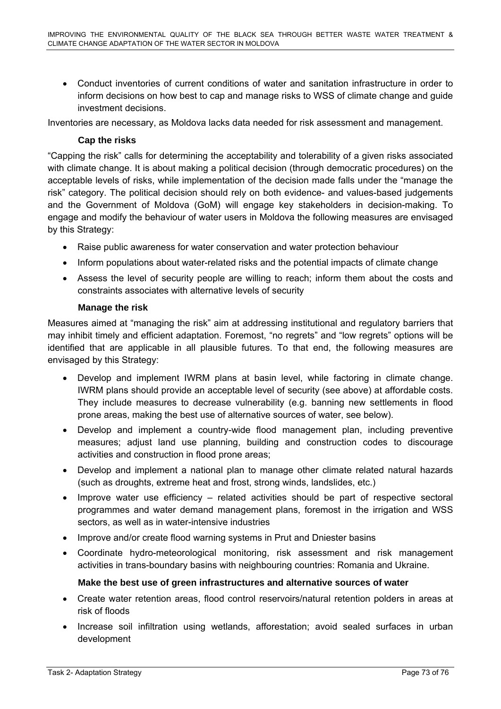• Conduct inventories of current conditions of water and sanitation infrastructure in order to inform decisions on how best to cap and manage risks to WSS of climate change and guide investment decisions.

Inventories are necessary, as Moldova lacks data needed for risk assessment and management.

### **Cap the risks**

"Capping the risk" calls for determining the acceptability and tolerability of a given risks associated with climate change. It is about making a political decision (through democratic procedures) on the acceptable levels of risks, while implementation of the decision made falls under the "manage the risk" category. The political decision should rely on both evidence- and values-based judgements and the Government of Moldova (GoM) will engage key stakeholders in decision-making. To engage and modify the behaviour of water users in Moldova the following measures are envisaged by this Strategy:

- Raise public awareness for water conservation and water protection behaviour
- Inform populations about water-related risks and the potential impacts of climate change
- Assess the level of security people are willing to reach; inform them about the costs and constraints associates with alternative levels of security

### **Manage the risk**

Measures aimed at "managing the risk" aim at addressing institutional and regulatory barriers that may inhibit timely and efficient adaptation. Foremost, "no regrets" and "low regrets" options will be identified that are applicable in all plausible futures. To that end, the following measures are envisaged by this Strategy:

- Develop and implement IWRM plans at basin level, while factoring in climate change. IWRM plans should provide an acceptable level of security (see above) at affordable costs. They include measures to decrease vulnerability (e.g. banning new settlements in flood prone areas, making the best use of alternative sources of water, see below).
- Develop and implement a country-wide flood management plan, including preventive measures; adjust land use planning, building and construction codes to discourage activities and construction in flood prone areas;
- Develop and implement a national plan to manage other climate related natural hazards (such as droughts, extreme heat and frost, strong winds, landslides, etc.)
- Improve water use efficiency related activities should be part of respective sectoral programmes and water demand management plans, foremost in the irrigation and WSS sectors, as well as in water-intensive industries
- Improve and/or create flood warning systems in Prut and Dniester basins
- Coordinate hydro-meteorological monitoring, risk assessment and risk management activities in trans-boundary basins with neighbouring countries: Romania and Ukraine.

## **Make the best use of green infrastructures and alternative sources of water**

- Create water retention areas, flood control reservoirs/natural retention polders in areas at risk of floods
- Increase soil infiltration using wetlands, afforestation; avoid sealed surfaces in urban development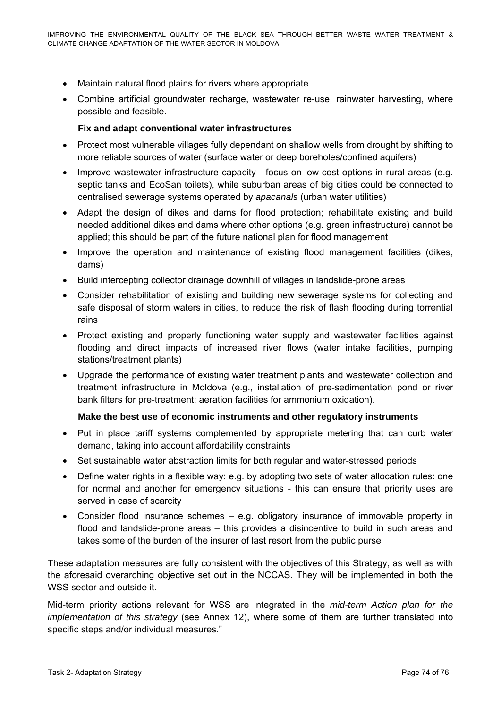- Maintain natural flood plains for rivers where appropriate
- Combine artificial groundwater recharge, wastewater re-use, rainwater harvesting, where possible and feasible.

#### **Fix and adapt conventional water infrastructures**

- Protect most vulnerable villages fully dependant on shallow wells from drought by shifting to more reliable sources of water (surface water or deep boreholes/confined aquifers)
- Improve wastewater infrastructure capacity focus on low-cost options in rural areas (e.g. septic tanks and EcoSan toilets), while suburban areas of big cities could be connected to centralised sewerage systems operated by *apacanals* (urban water utilities)
- Adapt the design of dikes and dams for flood protection; rehabilitate existing and build needed additional dikes and dams where other options (e.g. green infrastructure) cannot be applied; this should be part of the future national plan for flood management
- Improve the operation and maintenance of existing flood management facilities (dikes, dams)
- Build intercepting collector drainage downhill of villages in landslide-prone areas
- Consider rehabilitation of existing and building new sewerage systems for collecting and safe disposal of storm waters in cities, to reduce the risk of flash flooding during torrential rains
- Protect existing and properly functioning water supply and wastewater facilities against flooding and direct impacts of increased river flows (water intake facilities, pumping stations/treatment plants)
- Upgrade the performance of existing water treatment plants and wastewater collection and treatment infrastructure in Moldova (e.g., installation of pre-sedimentation pond or river bank filters for pre-treatment; aeration facilities for ammonium oxidation).

#### **Make the best use of economic instruments and other regulatory instruments**

- Put in place tariff systems complemented by appropriate metering that can curb water demand, taking into account affordability constraints
- Set sustainable water abstraction limits for both regular and water-stressed periods
- Define water rights in a flexible way: e.g. by adopting two sets of water allocation rules: one for normal and another for emergency situations - this can ensure that priority uses are served in case of scarcity
- Consider flood insurance schemes e.g. obligatory insurance of immovable property in flood and landslide-prone areas – this provides a disincentive to build in such areas and takes some of the burden of the insurer of last resort from the public purse

These adaptation measures are fully consistent with the objectives of this Strategy, as well as with the aforesaid overarching objective set out in the NCCAS. They will be implemented in both the WSS sector and outside it.

Mid-term priority actions relevant for WSS are integrated in the *mid-term Action plan for the implementation of this strategy* (see Annex 12), where some of them are further translated into specific steps and/or individual measures."